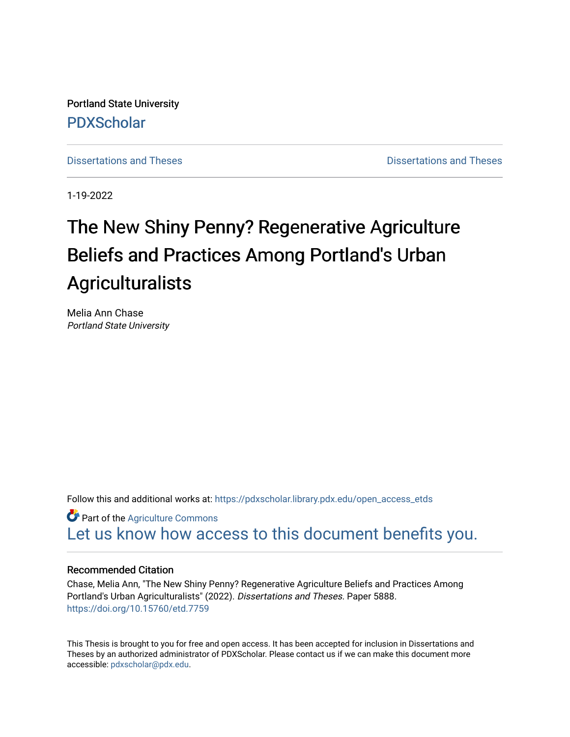Portland State University [PDXScholar](https://pdxscholar.library.pdx.edu/)

[Dissertations and Theses](https://pdxscholar.library.pdx.edu/open_access_etds) **Distributions** and Theses **Distributions** and Theses

1-19-2022

# The New Shiny Penny? Regenerative Agriculture Beliefs and Practices Among Portland's Urban Agriculturalists

Melia Ann Chase Portland State University

Follow this and additional works at: [https://pdxscholar.library.pdx.edu/open\\_access\\_etds](https://pdxscholar.library.pdx.edu/open_access_etds?utm_source=pdxscholar.library.pdx.edu%2Fopen_access_etds%2F5888&utm_medium=PDF&utm_campaign=PDFCoverPages)

**Part of the [Agriculture Commons](http://network.bepress.com/hgg/discipline/1076?utm_source=pdxscholar.library.pdx.edu%2Fopen_access_etds%2F5888&utm_medium=PDF&utm_campaign=PDFCoverPages)** [Let us know how access to this document benefits you.](http://library.pdx.edu/services/pdxscholar-services/pdxscholar-feedback/) 

### Recommended Citation

Chase, Melia Ann, "The New Shiny Penny? Regenerative Agriculture Beliefs and Practices Among Portland's Urban Agriculturalists" (2022). Dissertations and Theses. Paper 5888. <https://doi.org/10.15760/etd.7759>

This Thesis is brought to you for free and open access. It has been accepted for inclusion in Dissertations and Theses by an authorized administrator of PDXScholar. Please contact us if we can make this document more accessible: [pdxscholar@pdx.edu.](mailto:pdxscholar@pdx.edu)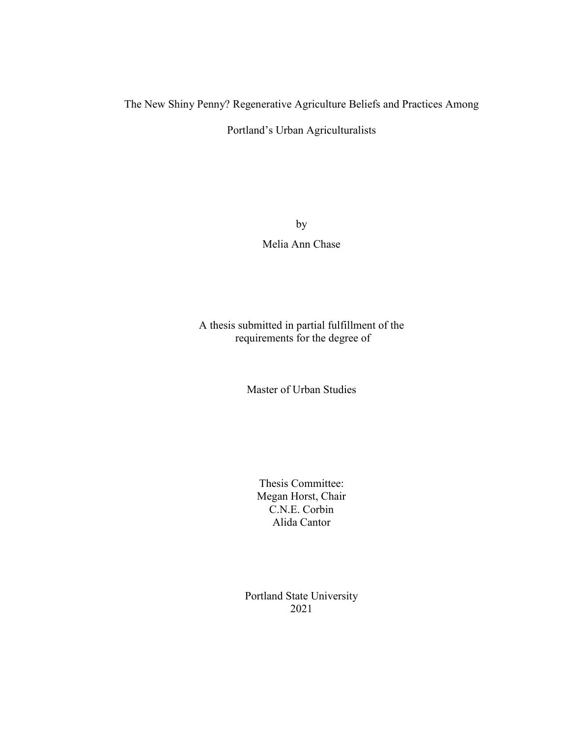## The New Shiny Penny? Regenerative Agriculture Beliefs and Practices Among

Portland's Urban Agriculturalists

by Melia Ann Chase

## A thesis submitted in partial fulfillment of the requirements for the degree of

Master of Urban Studies

Thesis Committee: Megan Horst, Chair C.N.E. Corbin Alida Cantor

Portland State University 2021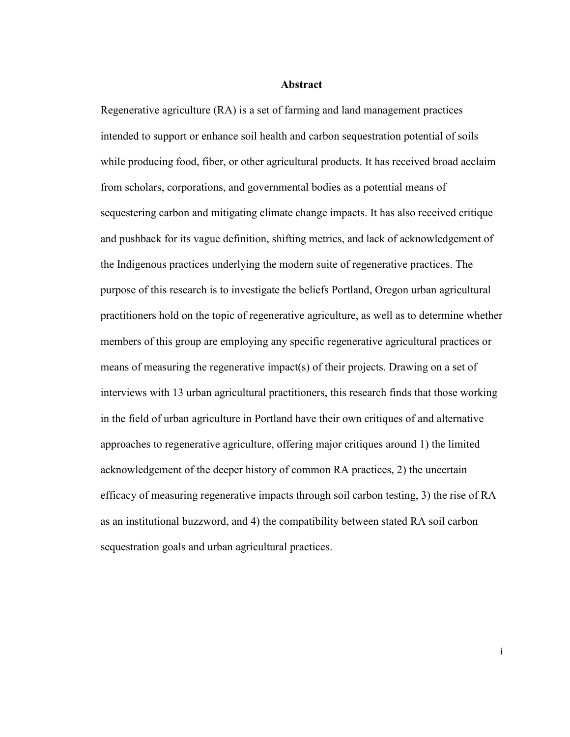#### **Abstract**

Regenerative agriculture (RA) is a set of farming and land management practices intended to support or enhance soil health and carbon sequestration potential of soils while producing food, fiber, or other agricultural products. It has received broad acclaim from scholars, corporations, and governmental bodies as a potential means of sequestering carbon and mitigating climate change impacts. It has also received critique and pushback for its vague definition, shifting metrics, and lack of acknowledgement of the Indigenous practices underlying the modern suite of regenerative practices. The purpose of this research is to investigate the beliefs Portland, Oregon urban agricultural practitioners hold on the topic of regenerative agriculture, as well as to determine whether members of this group are employing any specific regenerative agricultural practices or means of measuring the regenerative impact(s) of their projects. Drawing on a set of interviews with 13 urban agricultural practitioners, this research finds that those working in the field of urban agriculture in Portland have their own critiques of and alternative approaches to regenerative agriculture, offering major critiques around 1) the limited acknowledgement of the deeper history of common RA practices, 2) the uncertain efficacy of measuring regenerative impacts through soil carbon testing, 3) the rise of RA as an institutional buzzword, and 4) the compatibility between stated RA soil carbon sequestration goals and urban agricultural practices.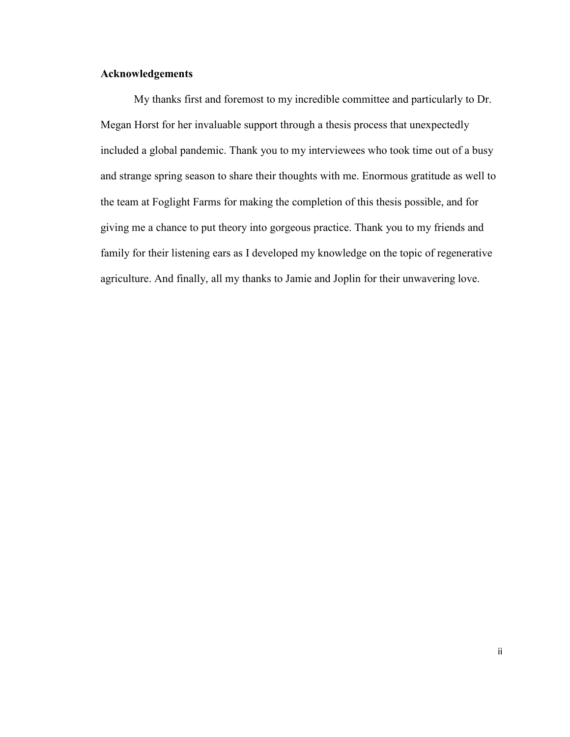### **Acknowledgements**

My thanks first and foremost to my incredible committee and particularly to Dr. Megan Horst for her invaluable support through a thesis process that unexpectedly included a global pandemic. Thank you to my interviewees who took time out of a busy and strange spring season to share their thoughts with me. Enormous gratitude as well to the team at Foglight Farms for making the completion of this thesis possible, and for giving me a chance to put theory into gorgeous practice. Thank you to my friends and family for their listening ears as I developed my knowledge on the topic of regenerative agriculture. And finally, all my thanks to Jamie and Joplin for their unwavering love.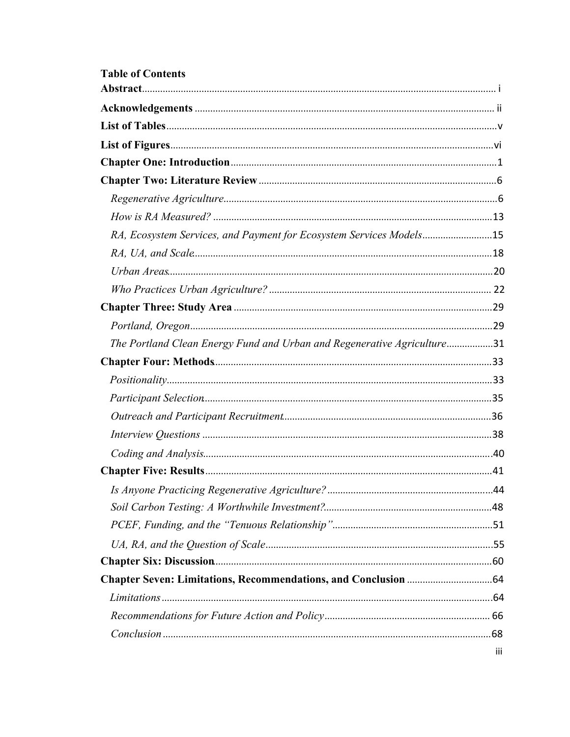| <b>Table of Contents</b>                                                |     |
|-------------------------------------------------------------------------|-----|
|                                                                         |     |
|                                                                         |     |
|                                                                         |     |
|                                                                         |     |
|                                                                         |     |
|                                                                         |     |
|                                                                         |     |
| RA, Ecosystem Services, and Payment for Ecosystem Services Models15     |     |
|                                                                         |     |
|                                                                         |     |
|                                                                         |     |
|                                                                         |     |
|                                                                         |     |
| The Portland Clean Energy Fund and Urban and Regenerative Agriculture31 |     |
|                                                                         |     |
|                                                                         |     |
|                                                                         |     |
|                                                                         |     |
|                                                                         |     |
|                                                                         |     |
|                                                                         |     |
|                                                                         |     |
|                                                                         |     |
|                                                                         |     |
|                                                                         |     |
|                                                                         |     |
|                                                                         |     |
|                                                                         |     |
|                                                                         |     |
|                                                                         |     |
|                                                                         | iii |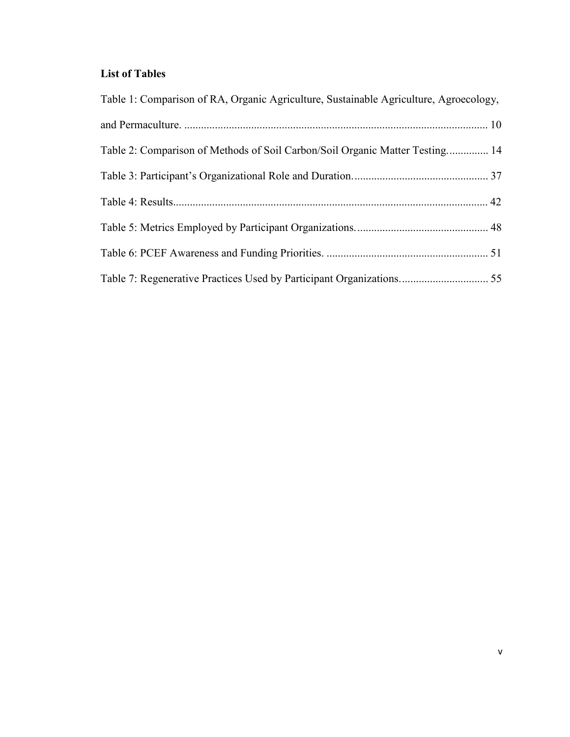## **List of Tables**

| Table 1: Comparison of RA, Organic Agriculture, Sustainable Agriculture, Agroecology, |  |
|---------------------------------------------------------------------------------------|--|
|                                                                                       |  |
| Table 2: Comparison of Methods of Soil Carbon/Soil Organic Matter Testing 14          |  |
|                                                                                       |  |
|                                                                                       |  |
|                                                                                       |  |
|                                                                                       |  |
| Table 7: Regenerative Practices Used by Participant Organizations 55                  |  |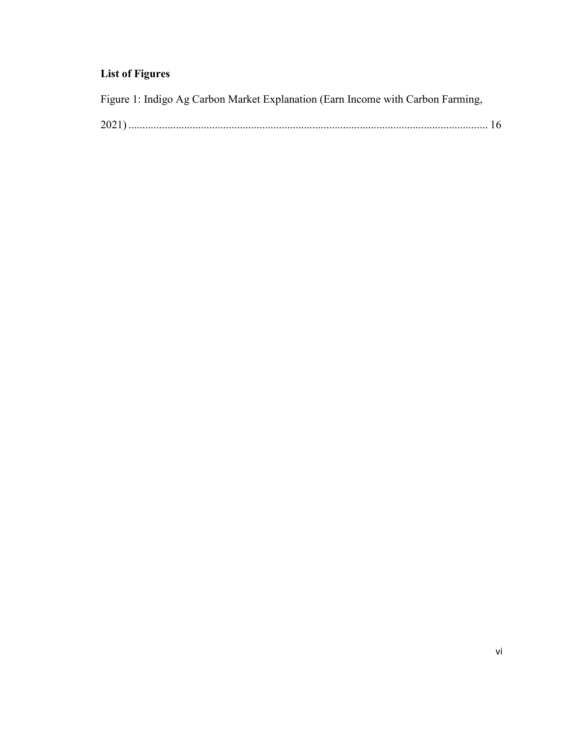## **List of Figures**

Figure 1: Indigo Ag Carbon Market Explanation (Earn Income with Carbon Farming,

| ~∪ |  |
|----|--|
|----|--|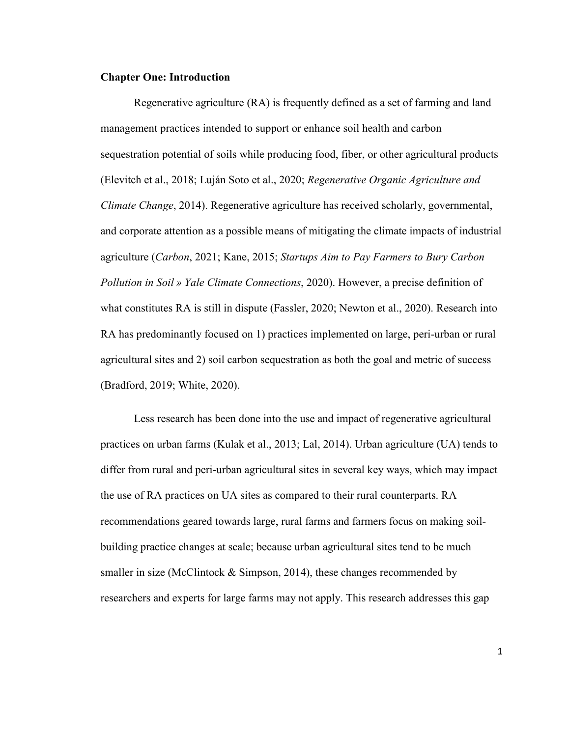#### **Chapter One: Introduction**

Regenerative agriculture (RA) is frequently defined as a set of farming and land management practices intended to support or enhance soil health and carbon sequestration potential of soils while producing food, fiber, or other agricultural products (Elevitch et al., 2018; Luján Soto et al., 2020; *Regenerative Organic Agriculture and Climate Change*, 2014). Regenerative agriculture has received scholarly, governmental, and corporate attention as a possible means of mitigating the climate impacts of industrial agriculture (*Carbon*, 2021; Kane, 2015; *Startups Aim to Pay Farmers to Bury Carbon Pollution in Soil » Yale Climate Connections*, 2020). However, a precise definition of what constitutes RA is still in dispute (Fassler, 2020; Newton et al., 2020). Research into RA has predominantly focused on 1) practices implemented on large, peri-urban or rural agricultural sites and 2) soil carbon sequestration as both the goal and metric of success (Bradford, 2019; White, 2020).

Less research has been done into the use and impact of regenerative agricultural practices on urban farms (Kulak et al., 2013; Lal, 2014). Urban agriculture (UA) tends to differ from rural and peri-urban agricultural sites in several key ways, which may impact the use of RA practices on UA sites as compared to their rural counterparts. RA recommendations geared towards large, rural farms and farmers focus on making soilbuilding practice changes at scale; because urban agricultural sites tend to be much smaller in size (McClintock & Simpson, 2014), these changes recommended by researchers and experts for large farms may not apply. This research addresses this gap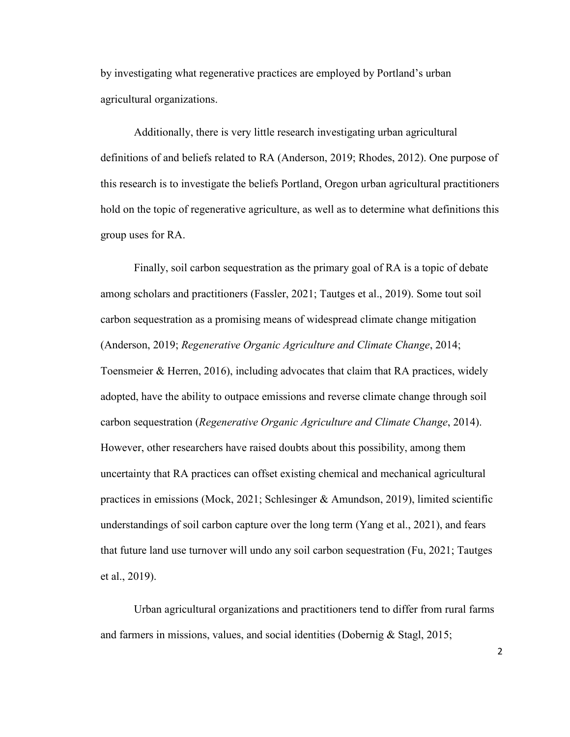by investigating what regenerative practices are employed by Portland's urban agricultural organizations.

Additionally, there is very little research investigating urban agricultural definitions of and beliefs related to RA (Anderson, 2019; Rhodes, 2012). One purpose of this research is to investigate the beliefs Portland, Oregon urban agricultural practitioners hold on the topic of regenerative agriculture, as well as to determine what definitions this group uses for RA.

Finally, soil carbon sequestration as the primary goal of RA is a topic of debate among scholars and practitioners (Fassler, 2021; Tautges et al., 2019). Some tout soil carbon sequestration as a promising means of widespread climate change mitigation (Anderson, 2019; *Regenerative Organic Agriculture and Climate Change*, 2014; Toensmeier & Herren, 2016), including advocates that claim that RA practices, widely adopted, have the ability to outpace emissions and reverse climate change through soil carbon sequestration (*Regenerative Organic Agriculture and Climate Change*, 2014). However, other researchers have raised doubts about this possibility, among them uncertainty that RA practices can offset existing chemical and mechanical agricultural practices in emissions (Mock, 2021; Schlesinger & Amundson, 2019), limited scientific understandings of soil carbon capture over the long term (Yang et al., 2021), and fears that future land use turnover will undo any soil carbon sequestration (Fu, 2021; Tautges et al., 2019).

Urban agricultural organizations and practitioners tend to differ from rural farms and farmers in missions, values, and social identities (Dobernig & Stagl, 2015;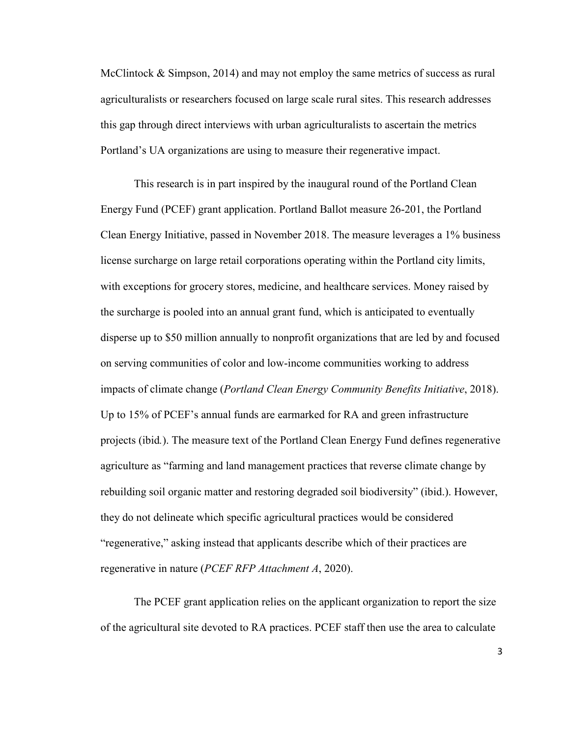McClintock  $\&$  Simpson, 2014) and may not employ the same metrics of success as rural agriculturalists or researchers focused on large scale rural sites. This research addresses this gap through direct interviews with urban agriculturalists to ascertain the metrics Portland's UA organizations are using to measure their regenerative impact.

This research is in part inspired by the inaugural round of the Portland Clean Energy Fund (PCEF) grant application. Portland Ballot measure 26-201, the Portland Clean Energy Initiative, passed in November 2018. The measure leverages a 1% business license surcharge on large retail corporations operating within the Portland city limits, with exceptions for grocery stores, medicine, and healthcare services. Money raised by the surcharge is pooled into an annual grant fund, which is anticipated to eventually disperse up to \$50 million annually to nonprofit organizations that are led by and focused on serving communities of color and low-income communities working to address impacts of climate change (*Portland Clean Energy Community Benefits Initiative*, 2018). Up to 15% of PCEF's annual funds are earmarked for RA and green infrastructure projects (ibid*.*). The measure text of the Portland Clean Energy Fund defines regenerative agriculture as "farming and land management practices that reverse climate change by rebuilding soil organic matter and restoring degraded soil biodiversity" (ibid.). However, they do not delineate which specific agricultural practices would be considered "regenerative," asking instead that applicants describe which of their practices are regenerative in nature (*PCEF RFP Attachment A*, 2020).

The PCEF grant application relies on the applicant organization to report the size of the agricultural site devoted to RA practices. PCEF staff then use the area to calculate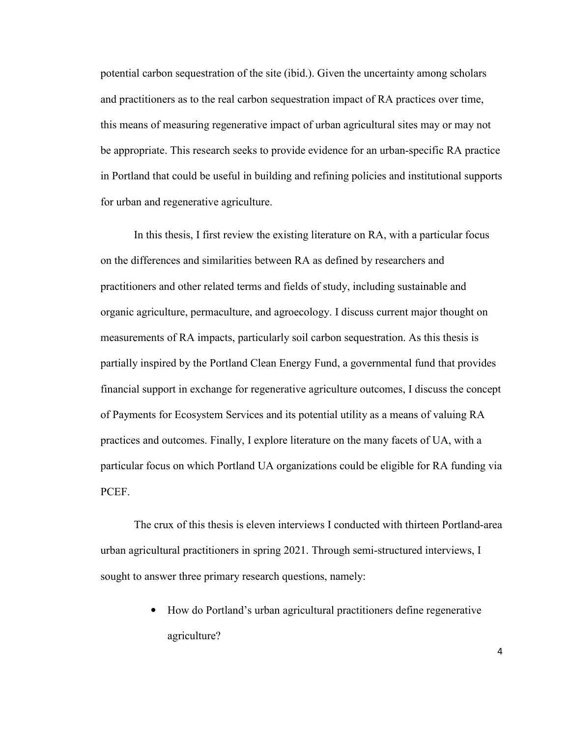potential carbon sequestration of the site (ibid.). Given the uncertainty among scholars and practitioners as to the real carbon sequestration impact of RA practices over time, this means of measuring regenerative impact of urban agricultural sites may or may not be appropriate. This research seeks to provide evidence for an urban-specific RA practice in Portland that could be useful in building and refining policies and institutional supports for urban and regenerative agriculture.

In this thesis, I first review the existing literature on RA, with a particular focus on the differences and similarities between RA as defined by researchers and practitioners and other related terms and fields of study, including sustainable and organic agriculture, permaculture, and agroecology. I discuss current major thought on measurements of RA impacts, particularly soil carbon sequestration. As this thesis is partially inspired by the Portland Clean Energy Fund, a governmental fund that provides financial support in exchange for regenerative agriculture outcomes, I discuss the concept of Payments for Ecosystem Services and its potential utility as a means of valuing RA practices and outcomes. Finally, I explore literature on the many facets of UA, with a particular focus on which Portland UA organizations could be eligible for RA funding via PCEF.

The crux of this thesis is eleven interviews I conducted with thirteen Portland-area urban agricultural practitioners in spring 2021. Through semi-structured interviews, I sought to answer three primary research questions, namely:

> • How do Portland's urban agricultural practitioners define regenerative agriculture?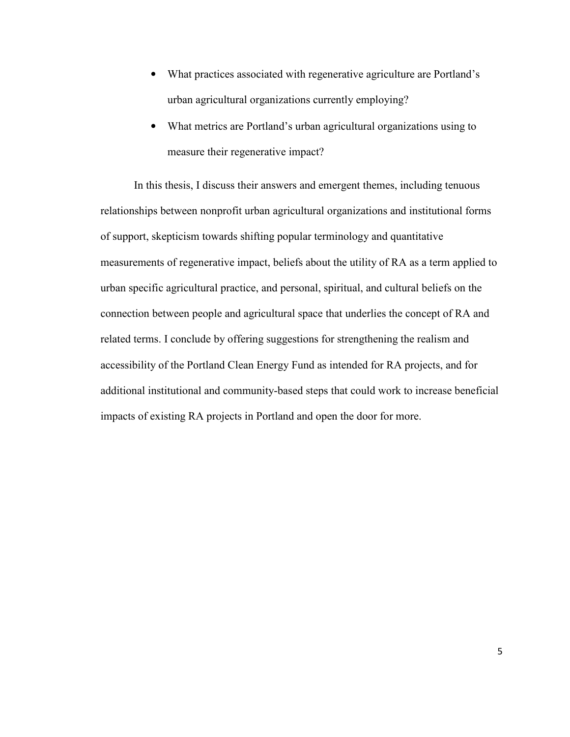- What practices associated with regenerative agriculture are Portland's urban agricultural organizations currently employing?
- What metrics are Portland's urban agricultural organizations using to measure their regenerative impact?

In this thesis, I discuss their answers and emergent themes, including tenuous relationships between nonprofit urban agricultural organizations and institutional forms of support, skepticism towards shifting popular terminology and quantitative measurements of regenerative impact, beliefs about the utility of RA as a term applied to urban specific agricultural practice, and personal, spiritual, and cultural beliefs on the connection between people and agricultural space that underlies the concept of RA and related terms. I conclude by offering suggestions for strengthening the realism and accessibility of the Portland Clean Energy Fund as intended for RA projects, and for additional institutional and community-based steps that could work to increase beneficial impacts of existing RA projects in Portland and open the door for more.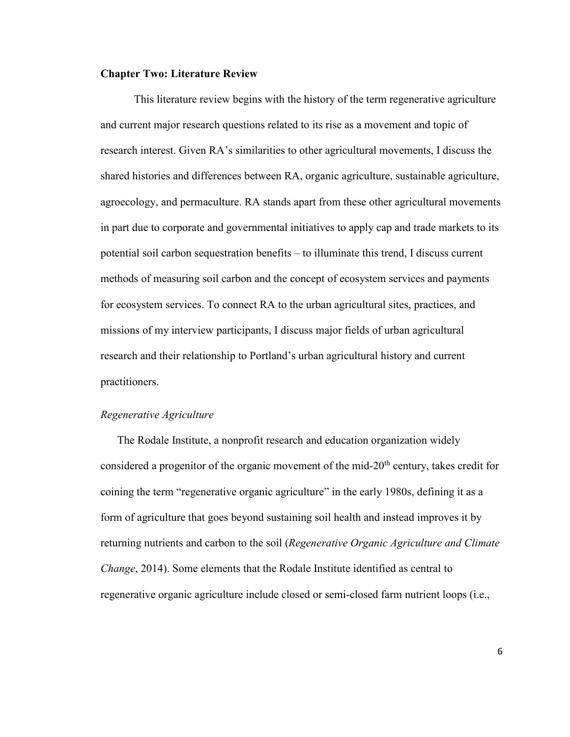#### **Chapter Two: Literature Review**

 This literature review begins with the history of the term regenerative agriculture and current major research questions related to its rise as a movement and topic of research interest. Given RA's similarities to other agricultural movements, I discuss the shared histories and differences between RA, organic agriculture, sustainable agriculture, agroecology, and permaculture. RA stands apart from these other agricultural movements in part due to corporate and governmental initiatives to apply cap and trade markets to its potential soil carbon sequestration benefits – to illuminate this trend, I discuss current methods of measuring soil carbon and the concept of ecosystem services and payments for ecosystem services. To connect RA to the urban agricultural sites, practices, and missions of my interview participants, I discuss major fields of urban agricultural research and their relationship to Portland's urban agricultural history and current practitioners.

#### *Regenerative Agriculture*

The Rodale Institute, a nonprofit research and education organization widely considered a progenitor of the organic movement of the mid- $20<sup>th</sup>$  century, takes credit for coining the term "regenerative organic agriculture" in the early 1980s, defining it as a form of agriculture that goes beyond sustaining soil health and instead improves it by returning nutrients and carbon to the soil (*Regenerative Organic Agriculture and Climate Change*, 2014). Some elements that the Rodale Institute identified as central to regenerative organic agriculture include closed or semi-closed farm nutrient loops (i.e.,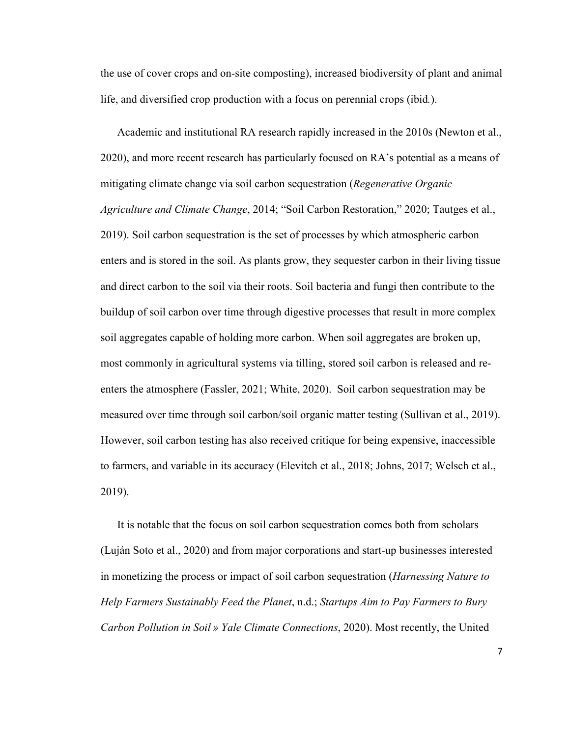the use of cover crops and on-site composting), increased biodiversity of plant and animal life, and diversified crop production with a focus on perennial crops (ibid*.*).

Academic and institutional RA research rapidly increased in the 2010s (Newton et al., 2020), and more recent research has particularly focused on RA's potential as a means of mitigating climate change via soil carbon sequestration (*Regenerative Organic Agriculture and Climate Change*, 2014; "Soil Carbon Restoration," 2020; Tautges et al., 2019). Soil carbon sequestration is the set of processes by which atmospheric carbon enters and is stored in the soil. As plants grow, they sequester carbon in their living tissue and direct carbon to the soil via their roots. Soil bacteria and fungi then contribute to the buildup of soil carbon over time through digestive processes that result in more complex soil aggregates capable of holding more carbon. When soil aggregates are broken up, most commonly in agricultural systems via tilling, stored soil carbon is released and reenters the atmosphere (Fassler, 2021; White, 2020). Soil carbon sequestration may be measured over time through soil carbon/soil organic matter testing (Sullivan et al., 2019). However, soil carbon testing has also received critique for being expensive, inaccessible to farmers, and variable in its accuracy (Elevitch et al., 2018; Johns, 2017; Welsch et al., 2019).

It is notable that the focus on soil carbon sequestration comes both from scholars (Luján Soto et al., 2020) and from major corporations and start-up businesses interested in monetizing the process or impact of soil carbon sequestration (*Harnessing Nature to Help Farmers Sustainably Feed the Planet*, n.d.; *Startups Aim to Pay Farmers to Bury Carbon Pollution in Soil » Yale Climate Connections*, 2020). Most recently, the United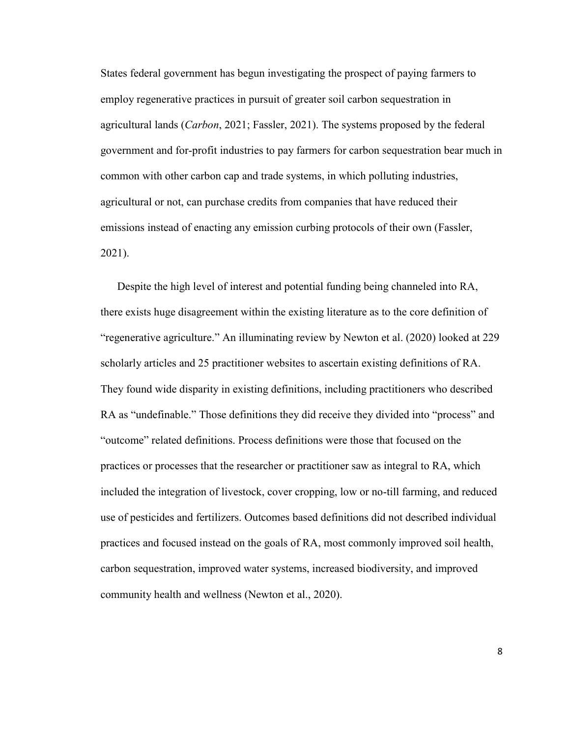States federal government has begun investigating the prospect of paying farmers to employ regenerative practices in pursuit of greater soil carbon sequestration in agricultural lands (*Carbon*, 2021; Fassler, 2021). The systems proposed by the federal government and for-profit industries to pay farmers for carbon sequestration bear much in common with other carbon cap and trade systems, in which polluting industries, agricultural or not, can purchase credits from companies that have reduced their emissions instead of enacting any emission curbing protocols of their own (Fassler, 2021).

Despite the high level of interest and potential funding being channeled into RA, there exists huge disagreement within the existing literature as to the core definition of "regenerative agriculture." An illuminating review by Newton et al. (2020) looked at 229 scholarly articles and 25 practitioner websites to ascertain existing definitions of RA. They found wide disparity in existing definitions, including practitioners who described RA as "undefinable." Those definitions they did receive they divided into "process" and "outcome" related definitions. Process definitions were those that focused on the practices or processes that the researcher or practitioner saw as integral to RA, which included the integration of livestock, cover cropping, low or no-till farming, and reduced use of pesticides and fertilizers. Outcomes based definitions did not described individual practices and focused instead on the goals of RA, most commonly improved soil health, carbon sequestration, improved water systems, increased biodiversity, and improved community health and wellness (Newton et al., 2020).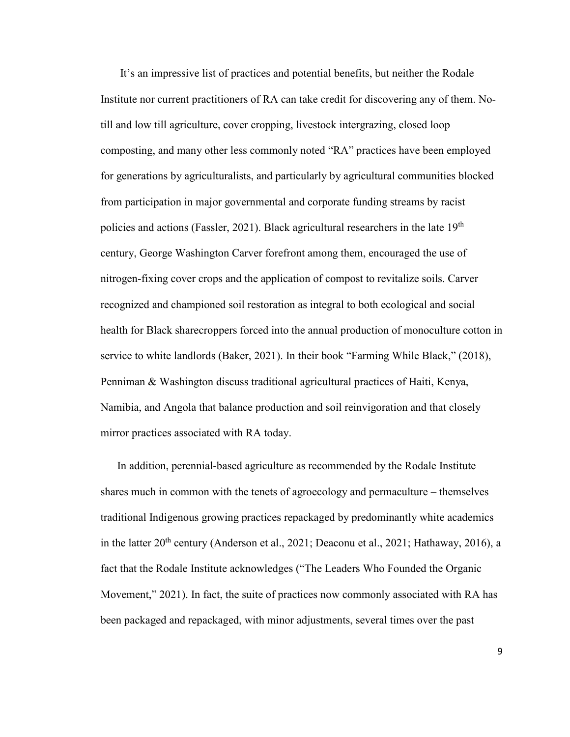It's an impressive list of practices and potential benefits, but neither the Rodale Institute nor current practitioners of RA can take credit for discovering any of them. Notill and low till agriculture, cover cropping, livestock intergrazing, closed loop composting, and many other less commonly noted "RA" practices have been employed for generations by agriculturalists, and particularly by agricultural communities blocked from participation in major governmental and corporate funding streams by racist policies and actions (Fassler, 2021). Black agricultural researchers in the late 19th century, George Washington Carver forefront among them, encouraged the use of nitrogen-fixing cover crops and the application of compost to revitalize soils. Carver recognized and championed soil restoration as integral to both ecological and social health for Black sharecroppers forced into the annual production of monoculture cotton in service to white landlords (Baker, 2021). In their book "Farming While Black," (2018), Penniman & Washington discuss traditional agricultural practices of Haiti, Kenya, Namibia, and Angola that balance production and soil reinvigoration and that closely mirror practices associated with RA today.

In addition, perennial-based agriculture as recommended by the Rodale Institute shares much in common with the tenets of agroecology and permaculture – themselves traditional Indigenous growing practices repackaged by predominantly white academics in the latter  $20<sup>th</sup>$  century (Anderson et al., 2021; Deaconu et al., 2021; Hathaway, 2016), a fact that the Rodale Institute acknowledges ("The Leaders Who Founded the Organic Movement," 2021). In fact, the suite of practices now commonly associated with RA has been packaged and repackaged, with minor adjustments, several times over the past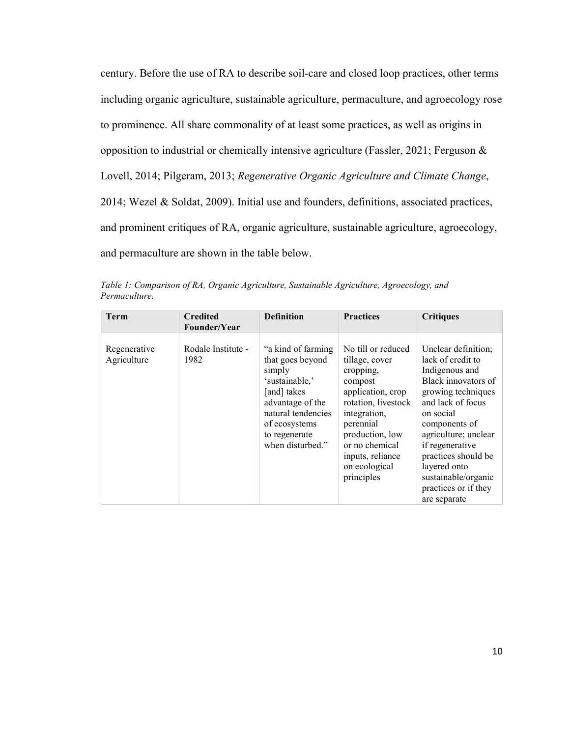century. Before the use of RA to describe soil-care and closed loop practices, other terms including organic agriculture, sustainable agriculture, permaculture, and agroecology rose to prominence. All share commonality of at least some practices, as well as origins in opposition to industrial or chemically intensive agriculture (Fassler, 2021; Ferguson & Lovell, 2014; Pilgeram, 2013; *Regenerative Organic Agriculture and Climate Change*, 2014; Wezel & Soldat, 2009). Initial use and founders, definitions, associated practices, and prominent critiques of RA, organic agriculture, sustainable agriculture, agroecology, and permaculture are shown in the table below.

**Term Credited Founder/Year Definition Practices Critiques** Regenerative Agriculture Rodale Institute - 1982 "a kind of farming that goes beyond simply 'sustainable,' [and] takes advantage of the No till or reduced tillage, cover cropping, compost application, crop rotation, livestock Unclear definition; lack of credit to Indigenous and Black innovators of growing techniques and lack of focus

natural tendencies of ecosystems to regenerate when disturbed."

integration, perennial production, low or no chemical inputs, reliance on ecological principles

on social components of agriculture; unclear if regenerative practices should be layered onto sustainable/organic practices or if they are separate

*Table 1: Comparison of RA, Organic Agriculture, Sustainable Agriculture, Agroecology, and Permaculture.*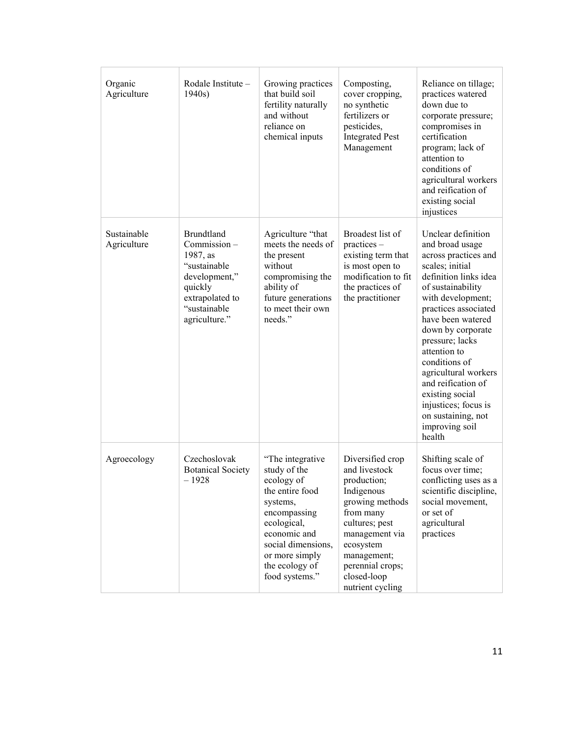| Organic<br>Agriculture     | Rodale Institute -<br>1940s                                                                                                                  | Growing practices<br>that build soil<br>fertility naturally<br>and without<br>reliance on<br>chemical inputs                                                                                             | Composting,<br>cover cropping,<br>no synthetic<br>fertilizers or<br>pesticides,<br><b>Integrated Pest</b><br>Management                                                                                               | Reliance on tillage;<br>practices watered<br>down due to<br>corporate pressure;<br>compromises in<br>certification<br>program; lack of<br>attention to<br>conditions of<br>agricultural workers<br>and reification of<br>existing social<br>injustices                                                                                                                                                               |
|----------------------------|----------------------------------------------------------------------------------------------------------------------------------------------|----------------------------------------------------------------------------------------------------------------------------------------------------------------------------------------------------------|-----------------------------------------------------------------------------------------------------------------------------------------------------------------------------------------------------------------------|----------------------------------------------------------------------------------------------------------------------------------------------------------------------------------------------------------------------------------------------------------------------------------------------------------------------------------------------------------------------------------------------------------------------|
| Sustainable<br>Agriculture | <b>Brundtland</b><br>Commission-<br>1987, as<br>"sustainable<br>development,"<br>quickly<br>extrapolated to<br>"sustainable<br>agriculture." | Agriculture "that<br>meets the needs of<br>the present<br>without<br>compromising the<br>ability of<br>future generations<br>to meet their own<br>needs."                                                | Broadest list of<br>practices –<br>existing term that<br>is most open to<br>modification to fit<br>the practices of<br>the practitioner                                                                               | Unclear definition<br>and broad usage<br>across practices and<br>scales; initial<br>definition links idea<br>of sustainability<br>with development;<br>practices associated<br>have been watered<br>down by corporate<br>pressure; lacks<br>attention to<br>conditions of<br>agricultural workers<br>and reification of<br>existing social<br>injustices; focus is<br>on sustaining, not<br>improving soil<br>health |
| Agroecology                | Czechoslovak<br><b>Botanical Society</b><br>$-1928$                                                                                          | "The integrative<br>study of the<br>ecology of<br>the entire food<br>systems,<br>encompassing<br>ecological,<br>economic and<br>social dimensions,<br>or more simply<br>the ecology of<br>food systems." | Diversified crop<br>and livestock<br>production;<br>Indigenous<br>growing methods<br>from many<br>cultures; pest<br>management via<br>ecosystem<br>management;<br>perennial crops;<br>closed-loop<br>nutrient cycling | Shifting scale of<br>focus over time;<br>conflicting uses as a<br>scientific discipline,<br>social movement,<br>or set of<br>agricultural<br>practices                                                                                                                                                                                                                                                               |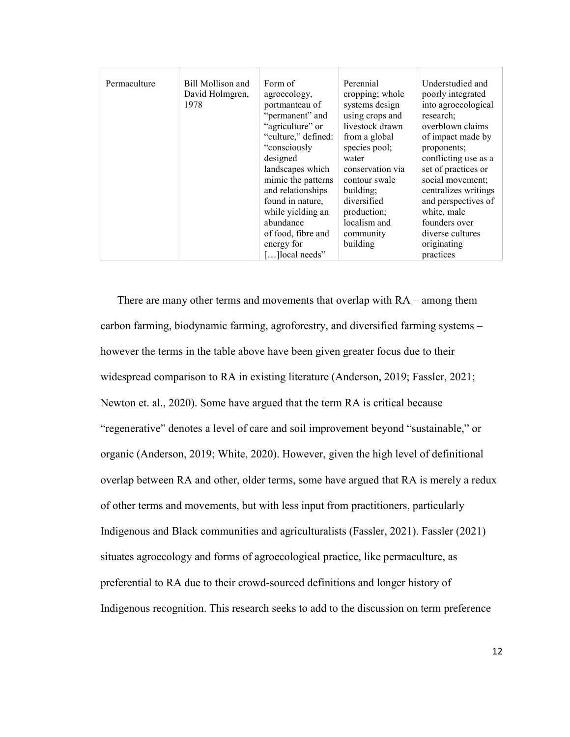| Permaculture | Bill Mollison and<br>David Holmgren,<br>1978 | Form of<br>agroecology,<br>portmanteau of<br>"permanent" and<br>"agriculture" or<br>"culture," defined:<br>"consciously<br>designed<br>landscapes which<br>mimic the patterns<br>and relationships<br>found in nature.<br>while yielding an<br>abundance<br>of food, fibre and<br>energy for | Perennial<br>cropping; whole<br>systems design<br>using crops and<br>livestock drawn<br>from a global<br>species pool;<br>water<br>conservation via<br>contour swale<br>building;<br>diversified<br>production;<br>localism and<br>community<br>building | Understudied and<br>poorly integrated<br>into agroecological<br>research;<br>overblown claims<br>of impact made by<br>proponents;<br>conflicting use as a<br>set of practices or<br>social movement;<br>centralizes writings<br>and perspectives of<br>white, male<br>founders over<br>diverse cultures<br>originating |
|--------------|----------------------------------------------|----------------------------------------------------------------------------------------------------------------------------------------------------------------------------------------------------------------------------------------------------------------------------------------------|----------------------------------------------------------------------------------------------------------------------------------------------------------------------------------------------------------------------------------------------------------|------------------------------------------------------------------------------------------------------------------------------------------------------------------------------------------------------------------------------------------------------------------------------------------------------------------------|
|              |                                              | []local needs"                                                                                                                                                                                                                                                                               |                                                                                                                                                                                                                                                          | practices                                                                                                                                                                                                                                                                                                              |

There are many other terms and movements that overlap with RA – among them carbon farming, biodynamic farming, agroforestry, and diversified farming systems – however the terms in the table above have been given greater focus due to their widespread comparison to RA in existing literature (Anderson, 2019; Fassler, 2021; Newton et. al., 2020). Some have argued that the term RA is critical because "regenerative" denotes a level of care and soil improvement beyond "sustainable," or organic (Anderson, 2019; White, 2020). However, given the high level of definitional overlap between RA and other, older terms, some have argued that RA is merely a redux of other terms and movements, but with less input from practitioners, particularly Indigenous and Black communities and agriculturalists (Fassler, 2021). Fassler (2021) situates agroecology and forms of agroecological practice, like permaculture, as preferential to RA due to their crowd-sourced definitions and longer history of Indigenous recognition. This research seeks to add to the discussion on term preference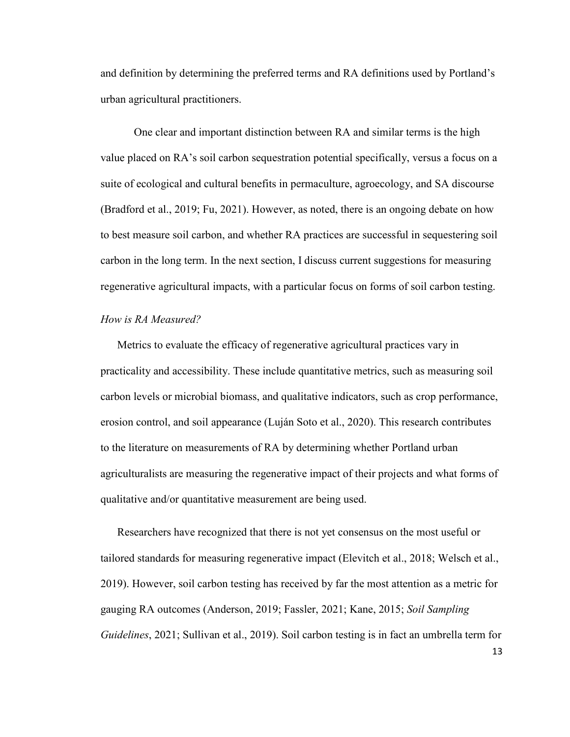and definition by determining the preferred terms and RA definitions used by Portland's urban agricultural practitioners.

One clear and important distinction between RA and similar terms is the high value placed on RA's soil carbon sequestration potential specifically, versus a focus on a suite of ecological and cultural benefits in permaculture, agroecology, and SA discourse (Bradford et al., 2019; Fu, 2021). However, as noted, there is an ongoing debate on how to best measure soil carbon, and whether RA practices are successful in sequestering soil carbon in the long term. In the next section, I discuss current suggestions for measuring regenerative agricultural impacts, with a particular focus on forms of soil carbon testing.

#### *How is RA Measured?*

Metrics to evaluate the efficacy of regenerative agricultural practices vary in practicality and accessibility. These include quantitative metrics, such as measuring soil carbon levels or microbial biomass, and qualitative indicators, such as crop performance, erosion control, and soil appearance (Luján Soto et al., 2020). This research contributes to the literature on measurements of RA by determining whether Portland urban agriculturalists are measuring the regenerative impact of their projects and what forms of qualitative and/or quantitative measurement are being used.

Researchers have recognized that there is not yet consensus on the most useful or tailored standards for measuring regenerative impact (Elevitch et al., 2018; Welsch et al., 2019). However, soil carbon testing has received by far the most attention as a metric for gauging RA outcomes (Anderson, 2019; Fassler, 2021; Kane, 2015; *Soil Sampling Guidelines*, 2021; Sullivan et al., 2019). Soil carbon testing is in fact an umbrella term for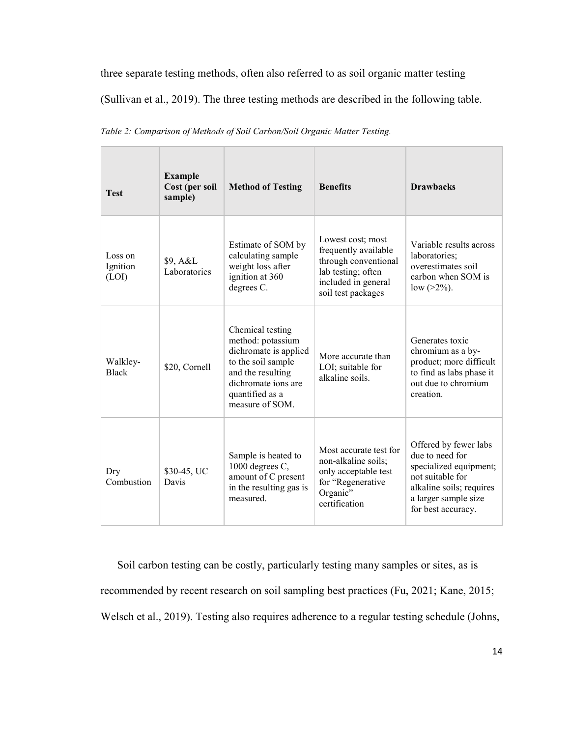three separate testing methods, often also referred to as soil organic matter testing

(Sullivan et al., 2019). The three testing methods are described in the following table.

| <b>Test</b>                  | <b>Example</b><br>Cost (per soil<br>sample) | <b>Method of Testing</b>                                                                                                                                               | <b>Benefits</b>                                                                                                                      | <b>Drawbacks</b>                                                                                                                                                 |
|------------------------------|---------------------------------------------|------------------------------------------------------------------------------------------------------------------------------------------------------------------------|--------------------------------------------------------------------------------------------------------------------------------------|------------------------------------------------------------------------------------------------------------------------------------------------------------------|
| Loss on<br>Ignition<br>(LOI) | \$9, A&L<br>Laboratories                    | Estimate of SOM by<br>calculating sample<br>weight loss after<br>ignition at 360<br>degrees C.                                                                         | Lowest cost; most<br>frequently available<br>through conventional<br>lab testing; often<br>included in general<br>soil test packages | Variable results across<br>laboratories;<br>overestimates soil<br>carbon when SOM is<br>low $(>2\%)$ .                                                           |
| Walkley-<br><b>Black</b>     | \$20, Cornell                               | Chemical testing<br>method: potassium<br>dichromate is applied<br>to the soil sample<br>and the resulting<br>dichromate ions are<br>quantified as a<br>measure of SOM. | More accurate than<br>LOI; suitable for<br>alkaline soils.                                                                           | Generates toxic<br>chromium as a by-<br>product; more difficult<br>to find as labs phase it<br>out due to chromium<br>creation                                   |
| Dry<br>Combustion            | \$30-45, UC<br>Davis                        | Sample is heated to<br>1000 degrees C,<br>amount of C present<br>in the resulting gas is<br>measured.                                                                  | Most accurate test for<br>non-alkaline soils;<br>only acceptable test<br>for "Regenerative<br>Organic"<br>certification              | Offered by fewer labs<br>due to need for<br>specialized equipment;<br>not suitable for<br>alkaline soils; requires<br>a larger sample size<br>for best accuracy. |

*Table 2: Comparison of Methods of Soil Carbon/Soil Organic Matter Testing.* 

Soil carbon testing can be costly, particularly testing many samples or sites, as is recommended by recent research on soil sampling best practices (Fu, 2021; Kane, 2015; Welsch et al., 2019). Testing also requires adherence to a regular testing schedule (Johns,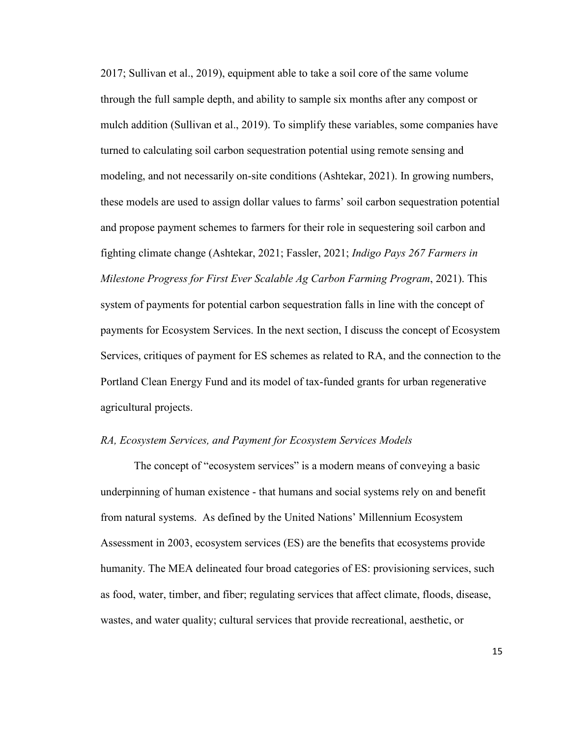2017; Sullivan et al., 2019), equipment able to take a soil core of the same volume through the full sample depth, and ability to sample six months after any compost or mulch addition (Sullivan et al., 2019). To simplify these variables, some companies have turned to calculating soil carbon sequestration potential using remote sensing and modeling, and not necessarily on-site conditions (Ashtekar, 2021). In growing numbers, these models are used to assign dollar values to farms' soil carbon sequestration potential and propose payment schemes to farmers for their role in sequestering soil carbon and fighting climate change (Ashtekar, 2021; Fassler, 2021; *Indigo Pays 267 Farmers in Milestone Progress for First Ever Scalable Ag Carbon Farming Program*, 2021). This system of payments for potential carbon sequestration falls in line with the concept of payments for Ecosystem Services. In the next section, I discuss the concept of Ecosystem Services, critiques of payment for ES schemes as related to RA, and the connection to the Portland Clean Energy Fund and its model of tax-funded grants for urban regenerative agricultural projects.

#### *RA, Ecosystem Services, and Payment for Ecosystem Services Models*

The concept of "ecosystem services" is a modern means of conveying a basic underpinning of human existence - that humans and social systems rely on and benefit from natural systems. As defined by the United Nations' Millennium Ecosystem Assessment in 2003, ecosystem services (ES) are the benefits that ecosystems provide humanity. The MEA delineated four broad categories of ES: provisioning services, such as food, water, timber, and fiber; regulating services that affect climate, floods, disease, wastes, and water quality; cultural services that provide recreational, aesthetic, or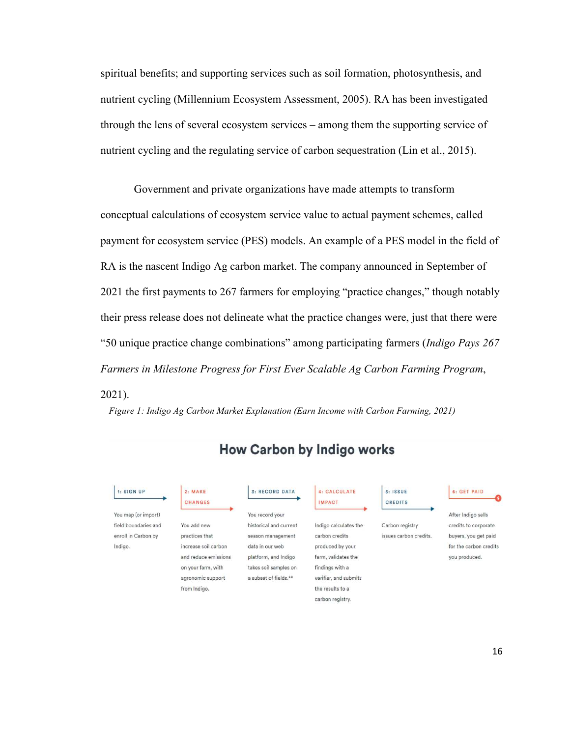spiritual benefits; and supporting services such as soil formation, photosynthesis, and nutrient cycling (Millennium Ecosystem Assessment, 2005). RA has been investigated through the lens of several ecosystem services – among them the supporting service of nutrient cycling and the regulating service of carbon sequestration (Lin et al., 2015).

Government and private organizations have made attempts to transform conceptual calculations of ecosystem service value to actual payment schemes, called payment for ecosystem service (PES) models. An example of a PES model in the field of RA is the nascent Indigo Ag carbon market. The company announced in September of 2021 the first payments to 267 farmers for employing "practice changes," though notably their press release does not delineate what the practice changes were, just that there were "50 unique practice change combinations" among participating farmers (*Indigo Pays 267 Farmers in Milestone Progress for First Ever Scalable Ag Carbon Farming Program*, 2021).

*Figure 1: Indigo Ag Carbon Market Explanation (Earn Income with Carbon Farming, 2021)* 



## **How Carbon by Indigo works**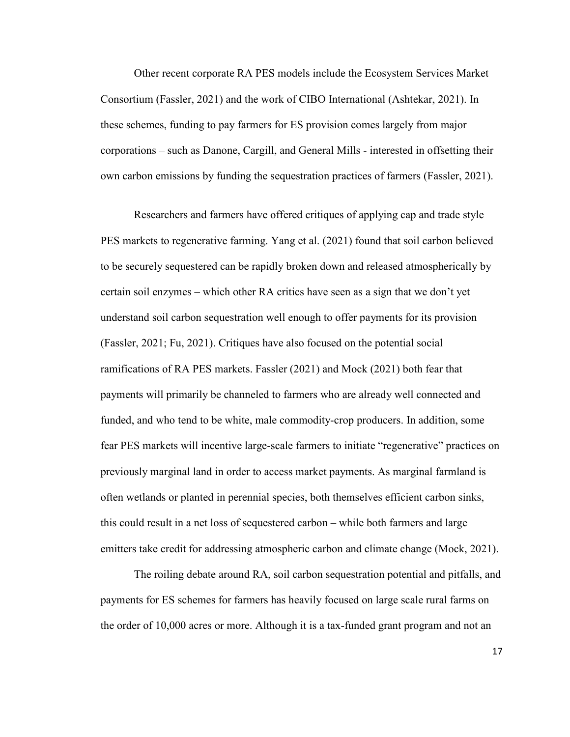Other recent corporate RA PES models include the Ecosystem Services Market Consortium (Fassler, 2021) and the work of CIBO International (Ashtekar, 2021). In these schemes, funding to pay farmers for ES provision comes largely from major corporations – such as Danone, Cargill, and General Mills - interested in offsetting their own carbon emissions by funding the sequestration practices of farmers (Fassler, 2021).

Researchers and farmers have offered critiques of applying cap and trade style PES markets to regenerative farming. Yang et al. (2021) found that soil carbon believed to be securely sequestered can be rapidly broken down and released atmospherically by certain soil enzymes – which other RA critics have seen as a sign that we don't yet understand soil carbon sequestration well enough to offer payments for its provision (Fassler, 2021; Fu, 2021). Critiques have also focused on the potential social ramifications of RA PES markets. Fassler (2021) and Mock (2021) both fear that payments will primarily be channeled to farmers who are already well connected and funded, and who tend to be white, male commodity-crop producers. In addition, some fear PES markets will incentive large-scale farmers to initiate "regenerative" practices on previously marginal land in order to access market payments. As marginal farmland is often wetlands or planted in perennial species, both themselves efficient carbon sinks, this could result in a net loss of sequestered carbon – while both farmers and large emitters take credit for addressing atmospheric carbon and climate change (Mock, 2021).

The roiling debate around RA, soil carbon sequestration potential and pitfalls, and payments for ES schemes for farmers has heavily focused on large scale rural farms on the order of 10,000 acres or more. Although it is a tax-funded grant program and not an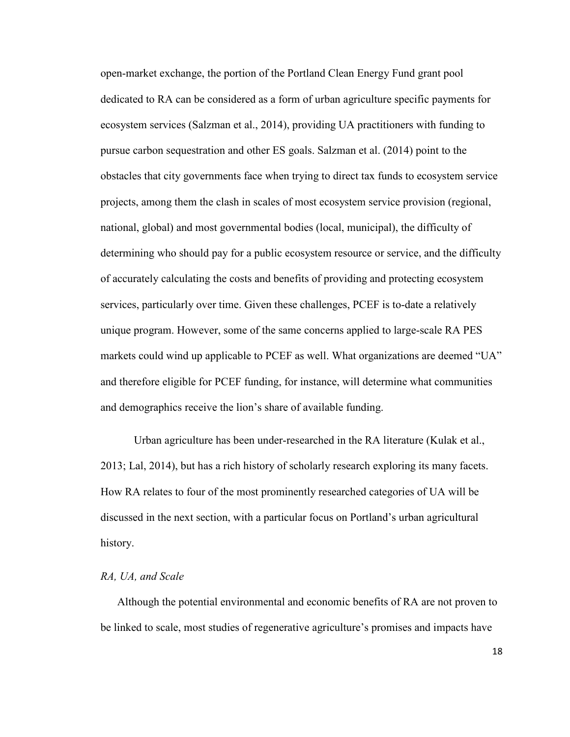open-market exchange, the portion of the Portland Clean Energy Fund grant pool dedicated to RA can be considered as a form of urban agriculture specific payments for ecosystem services (Salzman et al., 2014), providing UA practitioners with funding to pursue carbon sequestration and other ES goals. Salzman et al. (2014) point to the obstacles that city governments face when trying to direct tax funds to ecosystem service projects, among them the clash in scales of most ecosystem service provision (regional, national, global) and most governmental bodies (local, municipal), the difficulty of determining who should pay for a public ecosystem resource or service, and the difficulty of accurately calculating the costs and benefits of providing and protecting ecosystem services, particularly over time. Given these challenges, PCEF is to-date a relatively unique program. However, some of the same concerns applied to large-scale RA PES markets could wind up applicable to PCEF as well. What organizations are deemed "UA" and therefore eligible for PCEF funding, for instance, will determine what communities and demographics receive the lion's share of available funding.

Urban agriculture has been under-researched in the RA literature (Kulak et al., 2013; Lal, 2014), but has a rich history of scholarly research exploring its many facets. How RA relates to four of the most prominently researched categories of UA will be discussed in the next section, with a particular focus on Portland's urban agricultural history.

#### *RA, UA, and Scale*

Although the potential environmental and economic benefits of RA are not proven to be linked to scale, most studies of regenerative agriculture's promises and impacts have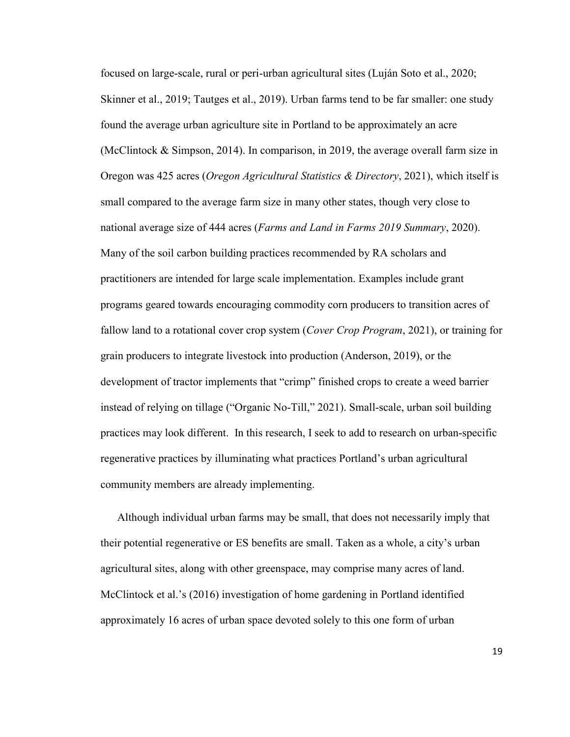focused on large-scale, rural or peri-urban agricultural sites (Luján Soto et al., 2020; Skinner et al., 2019; Tautges et al., 2019). Urban farms tend to be far smaller: one study found the average urban agriculture site in Portland to be approximately an acre (McClintock & Simpson, 2014). In comparison, in 2019, the average overall farm size in Oregon was 425 acres (*Oregon Agricultural Statistics & Directory*, 2021), which itself is small compared to the average farm size in many other states, though very close to national average size of 444 acres (*Farms and Land in Farms 2019 Summary*, 2020). Many of the soil carbon building practices recommended by RA scholars and practitioners are intended for large scale implementation. Examples include grant programs geared towards encouraging commodity corn producers to transition acres of fallow land to a rotational cover crop system (*Cover Crop Program*, 2021), or training for grain producers to integrate livestock into production (Anderson, 2019), or the development of tractor implements that "crimp" finished crops to create a weed barrier instead of relying on tillage ("Organic No-Till," 2021). Small-scale, urban soil building practices may look different. In this research, I seek to add to research on urban-specific regenerative practices by illuminating what practices Portland's urban agricultural community members are already implementing.

Although individual urban farms may be small, that does not necessarily imply that their potential regenerative or ES benefits are small. Taken as a whole, a city's urban agricultural sites, along with other greenspace, may comprise many acres of land. McClintock et al.'s (2016) investigation of home gardening in Portland identified approximately 16 acres of urban space devoted solely to this one form of urban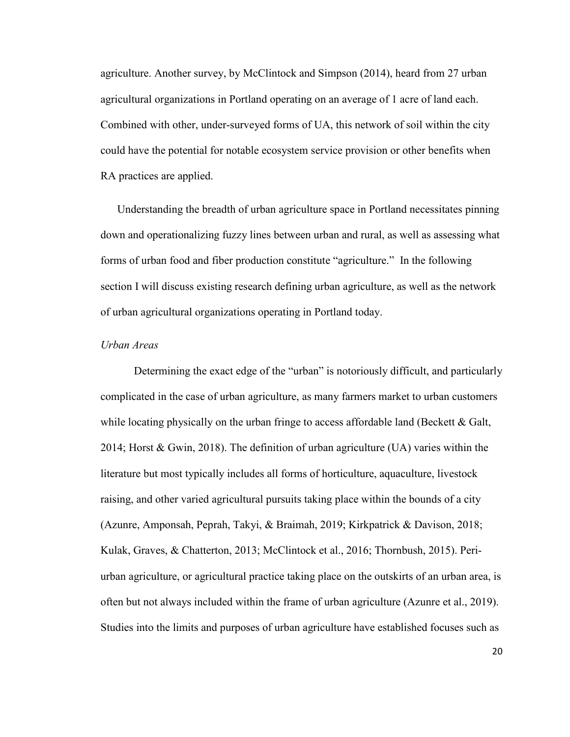agriculture. Another survey, by McClintock and Simpson (2014), heard from 27 urban agricultural organizations in Portland operating on an average of 1 acre of land each. Combined with other, under-surveyed forms of UA, this network of soil within the city could have the potential for notable ecosystem service provision or other benefits when RA practices are applied.

Understanding the breadth of urban agriculture space in Portland necessitates pinning down and operationalizing fuzzy lines between urban and rural, as well as assessing what forms of urban food and fiber production constitute "agriculture." In the following section I will discuss existing research defining urban agriculture, as well as the network of urban agricultural organizations operating in Portland today.

#### *Urban Areas*

Determining the exact edge of the "urban" is notoriously difficult, and particularly complicated in the case of urban agriculture, as many farmers market to urban customers while locating physically on the urban fringe to access affordable land (Beckett  $\&$  Galt, 2014; Horst & Gwin, 2018). The definition of urban agriculture (UA) varies within the literature but most typically includes all forms of horticulture, aquaculture, livestock raising, and other varied agricultural pursuits taking place within the bounds of a city (Azunre, Amponsah, Peprah, Takyi, & Braimah, 2019; Kirkpatrick & Davison, 2018; Kulak, Graves, & Chatterton, 2013; McClintock et al., 2016; Thornbush, 2015). Periurban agriculture, or agricultural practice taking place on the outskirts of an urban area, is often but not always included within the frame of urban agriculture (Azunre et al., 2019). Studies into the limits and purposes of urban agriculture have established focuses such as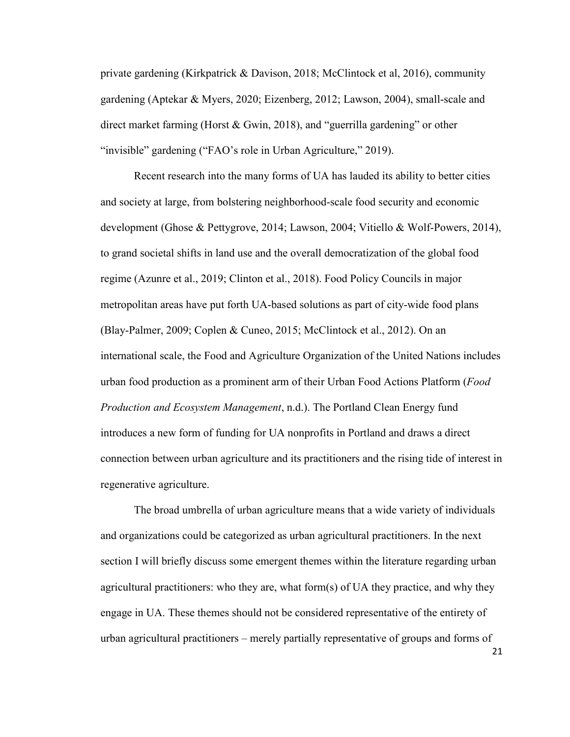private gardening (Kirkpatrick & Davison, 2018; McClintock et al, 2016), community gardening (Aptekar & Myers, 2020; Eizenberg, 2012; Lawson, 2004), small-scale and direct market farming (Horst & Gwin, 2018), and "guerrilla gardening" or other "invisible" gardening ("FAO's role in Urban Agriculture," 2019).

Recent research into the many forms of UA has lauded its ability to better cities and society at large, from bolstering neighborhood-scale food security and economic development (Ghose & Pettygrove, 2014; Lawson, 2004; Vitiello & Wolf-Powers, 2014), to grand societal shifts in land use and the overall democratization of the global food regime (Azunre et al., 2019; Clinton et al., 2018). Food Policy Councils in major metropolitan areas have put forth UA-based solutions as part of city-wide food plans (Blay-Palmer, 2009; Coplen & Cuneo, 2015; McClintock et al., 2012). On an international scale, the Food and Agriculture Organization of the United Nations includes urban food production as a prominent arm of their Urban Food Actions Platform (*Food Production and Ecosystem Management*, n.d.). The Portland Clean Energy fund introduces a new form of funding for UA nonprofits in Portland and draws a direct connection between urban agriculture and its practitioners and the rising tide of interest in regenerative agriculture.

The broad umbrella of urban agriculture means that a wide variety of individuals and organizations could be categorized as urban agricultural practitioners. In the next section I will briefly discuss some emergent themes within the literature regarding urban agricultural practitioners: who they are, what form(s) of UA they practice, and why they engage in UA. These themes should not be considered representative of the entirety of urban agricultural practitioners – merely partially representative of groups and forms of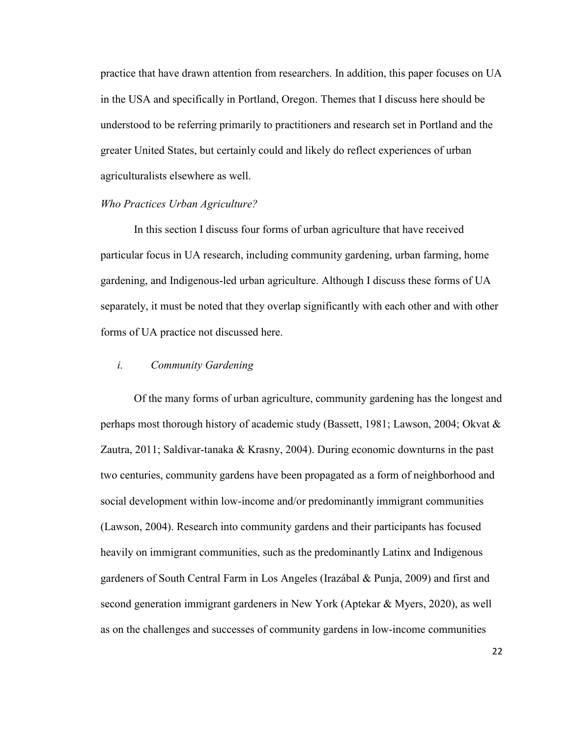practice that have drawn attention from researchers. In addition, this paper focuses on UA in the USA and specifically in Portland, Oregon. Themes that I discuss here should be understood to be referring primarily to practitioners and research set in Portland and the greater United States, but certainly could and likely do reflect experiences of urban agriculturalists elsewhere as well.

#### *Who Practices Urban Agriculture?*

In this section I discuss four forms of urban agriculture that have received particular focus in UA research, including community gardening, urban farming, home gardening, and Indigenous-led urban agriculture. Although I discuss these forms of UA separately, it must be noted that they overlap significantly with each other and with other forms of UA practice not discussed here.

#### *i. Community Gardening*

Of the many forms of urban agriculture, community gardening has the longest and perhaps most thorough history of academic study (Bassett, 1981; Lawson, 2004; Okvat & Zautra, 2011; Saldivar-tanaka & Krasny, 2004). During economic downturns in the past two centuries, community gardens have been propagated as a form of neighborhood and social development within low-income and/or predominantly immigrant communities (Lawson, 2004). Research into community gardens and their participants has focused heavily on immigrant communities, such as the predominantly Latinx and Indigenous gardeners of South Central Farm in Los Angeles (Irazábal & Punja, 2009) and first and second generation immigrant gardeners in New York (Aptekar & Myers, 2020), as well as on the challenges and successes of community gardens in low-income communities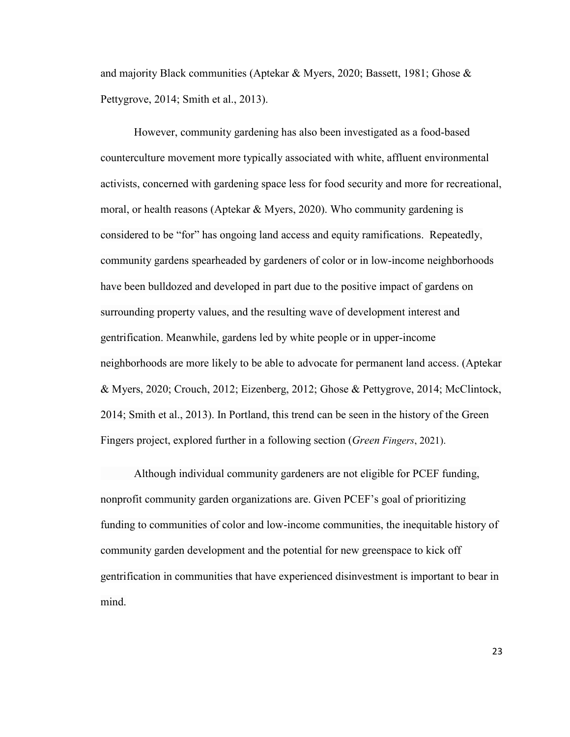and majority Black communities (Aptekar & Myers, 2020; Bassett, 1981; Ghose & Pettygrove, 2014; Smith et al., 2013).

However, community gardening has also been investigated as a food-based counterculture movement more typically associated with white, affluent environmental activists, concerned with gardening space less for food security and more for recreational, moral, or health reasons (Aptekar & Myers, 2020). Who community gardening is considered to be "for" has ongoing land access and equity ramifications. Repeatedly, community gardens spearheaded by gardeners of color or in low-income neighborhoods have been bulldozed and developed in part due to the positive impact of gardens on surrounding property values, and the resulting wave of development interest and gentrification. Meanwhile, gardens led by white people or in upper-income neighborhoods are more likely to be able to advocate for permanent land access. (Aptekar & Myers, 2020; Crouch, 2012; Eizenberg, 2012; Ghose & Pettygrove, 2014; McClintock, 2014; Smith et al., 2013). In Portland, this trend can be seen in the history of the Green Fingers project, explored further in a following section (*Green Fingers*, 2021).

Although individual community gardeners are not eligible for PCEF funding, nonprofit community garden organizations are. Given PCEF's goal of prioritizing funding to communities of color and low-income communities, the inequitable history of community garden development and the potential for new greenspace to kick off gentrification in communities that have experienced disinvestment is important to bear in mind.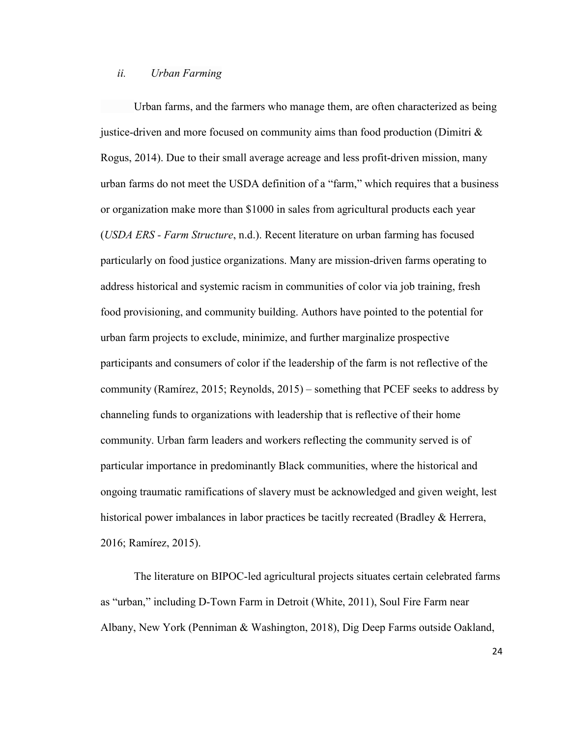#### *ii. Urban Farming*

Urban farms, and the farmers who manage them, are often characterized as being justice-driven and more focused on community aims than food production (Dimitri & Rogus, 2014). Due to their small average acreage and less profit-driven mission, many urban farms do not meet the USDA definition of a "farm," which requires that a business or organization make more than \$1000 in sales from agricultural products each year (*USDA ERS - Farm Structure*, n.d.). Recent literature on urban farming has focused particularly on food justice organizations. Many are mission-driven farms operating to address historical and systemic racism in communities of color via job training, fresh food provisioning, and community building. Authors have pointed to the potential for urban farm projects to exclude, minimize, and further marginalize prospective participants and consumers of color if the leadership of the farm is not reflective of the community (Ramírez, 2015; Reynolds, 2015) – something that PCEF seeks to address by channeling funds to organizations with leadership that is reflective of their home community. Urban farm leaders and workers reflecting the community served is of particular importance in predominantly Black communities, where the historical and ongoing traumatic ramifications of slavery must be acknowledged and given weight, lest historical power imbalances in labor practices be tacitly recreated (Bradley & Herrera, 2016; Ramírez, 2015).

The literature on BIPOC-led agricultural projects situates certain celebrated farms as "urban," including D-Town Farm in Detroit (White, 2011), Soul Fire Farm near Albany, New York (Penniman & Washington, 2018), Dig Deep Farms outside Oakland,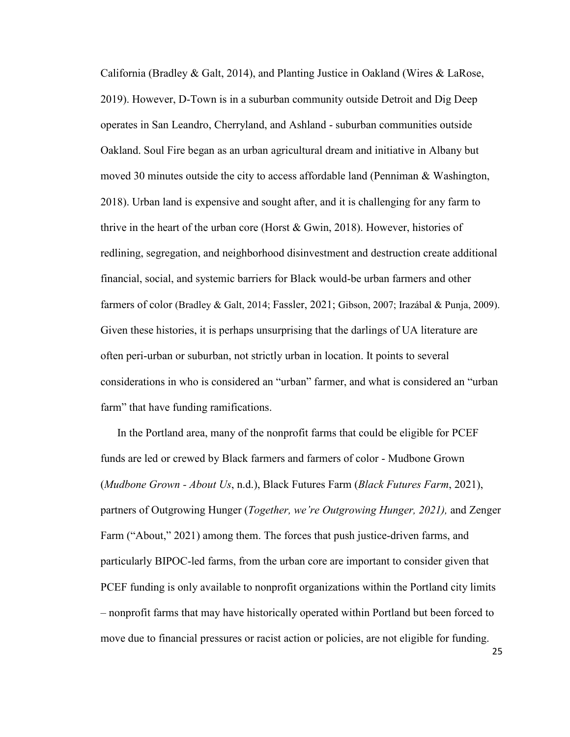California (Bradley  $\&$  Galt, 2014), and Planting Justice in Oakland (Wires  $\&$  LaRose, 2019). However, D-Town is in a suburban community outside Detroit and Dig Deep operates in San Leandro, Cherryland, and Ashland - suburban communities outside Oakland. Soul Fire began as an urban agricultural dream and initiative in Albany but moved 30 minutes outside the city to access affordable land (Penniman & Washington, 2018). Urban land is expensive and sought after, and it is challenging for any farm to thrive in the heart of the urban core (Horst & Gwin, 2018). However, histories of redlining, segregation, and neighborhood disinvestment and destruction create additional financial, social, and systemic barriers for Black would-be urban farmers and other farmers of color (Bradley & Galt, 2014; Fassler, 2021; Gibson, 2007; Irazábal & Punja, 2009). Given these histories, it is perhaps unsurprising that the darlings of UA literature are often peri-urban or suburban, not strictly urban in location. It points to several considerations in who is considered an "urban" farmer, and what is considered an "urban farm" that have funding ramifications.

In the Portland area, many of the nonprofit farms that could be eligible for PCEF funds are led or crewed by Black farmers and farmers of color - Mudbone Grown (*Mudbone Grown - About Us*, n.d.), Black Futures Farm (*Black Futures Farm*, 2021), partners of Outgrowing Hunger (*Together, we're Outgrowing Hunger, 2021),* and Zenger Farm ("About," 2021) among them. The forces that push justice-driven farms, and particularly BIPOC-led farms, from the urban core are important to consider given that PCEF funding is only available to nonprofit organizations within the Portland city limits – nonprofit farms that may have historically operated within Portland but been forced to move due to financial pressures or racist action or policies, are not eligible for funding.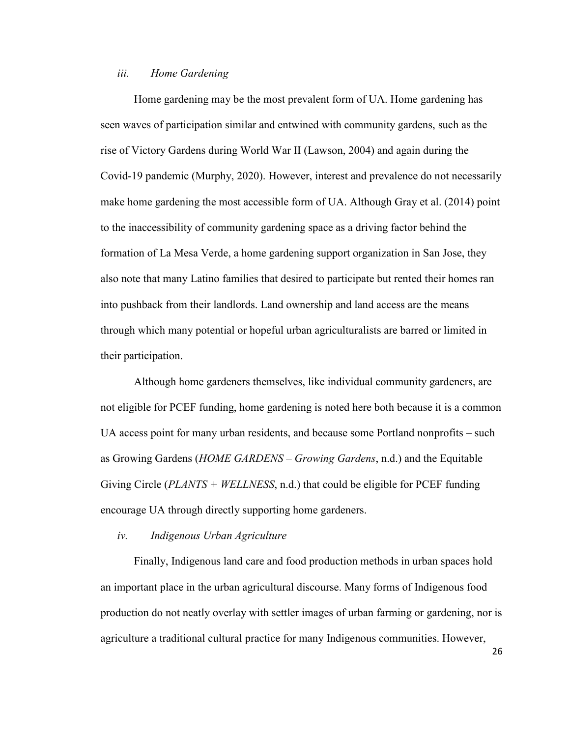#### *iii. Home Gardening*

Home gardening may be the most prevalent form of UA. Home gardening has seen waves of participation similar and entwined with community gardens, such as the rise of Victory Gardens during World War II (Lawson, 2004) and again during the Covid-19 pandemic (Murphy, 2020). However, interest and prevalence do not necessarily make home gardening the most accessible form of UA. Although Gray et al. (2014) point to the inaccessibility of community gardening space as a driving factor behind the formation of La Mesa Verde, a home gardening support organization in San Jose, they also note that many Latino families that desired to participate but rented their homes ran into pushback from their landlords. Land ownership and land access are the means through which many potential or hopeful urban agriculturalists are barred or limited in their participation.

Although home gardeners themselves, like individual community gardeners, are not eligible for PCEF funding, home gardening is noted here both because it is a common UA access point for many urban residents, and because some Portland nonprofits – such as Growing Gardens (*HOME GARDENS – Growing Gardens*, n.d.) and the Equitable Giving Circle (*PLANTS + WELLNESS*, n.d.) that could be eligible for PCEF funding encourage UA through directly supporting home gardeners.

#### *iv. Indigenous Urban Agriculture*

Finally, Indigenous land care and food production methods in urban spaces hold an important place in the urban agricultural discourse. Many forms of Indigenous food production do not neatly overlay with settler images of urban farming or gardening, nor is agriculture a traditional cultural practice for many Indigenous communities. However,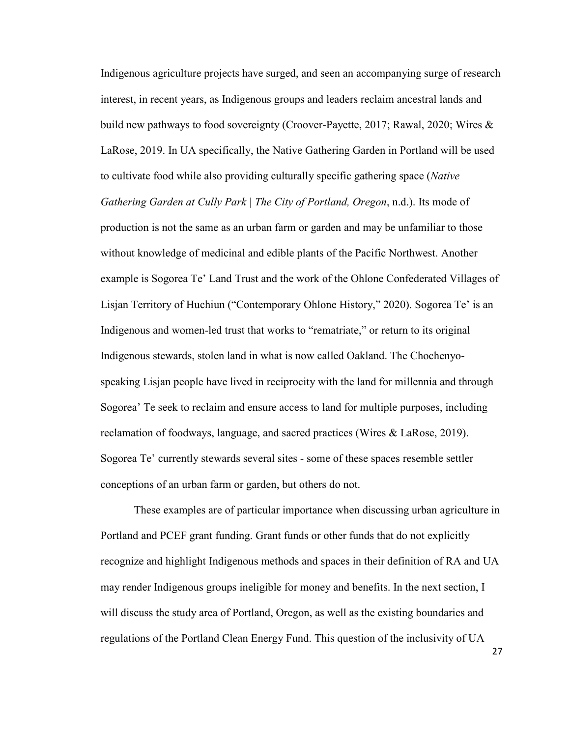Indigenous agriculture projects have surged, and seen an accompanying surge of research interest, in recent years, as Indigenous groups and leaders reclaim ancestral lands and build new pathways to food sovereignty (Croover-Payette, 2017; Rawal, 2020; Wires & LaRose, 2019. In UA specifically, the Native Gathering Garden in Portland will be used to cultivate food while also providing culturally specific gathering space (*Native Gathering Garden at Cully Park | The City of Portland, Oregon*, n.d.). Its mode of production is not the same as an urban farm or garden and may be unfamiliar to those without knowledge of medicinal and edible plants of the Pacific Northwest. Another example is Sogorea Te' Land Trust and the work of the Ohlone Confederated Villages of Lisjan Territory of Huchiun ("Contemporary Ohlone History," 2020). Sogorea Te' is an Indigenous and women-led trust that works to "rematriate," or return to its original Indigenous stewards, stolen land in what is now called Oakland. The Chochenyospeaking Lisjan people have lived in reciprocity with the land for millennia and through Sogorea' Te seek to reclaim and ensure access to land for multiple purposes, including reclamation of foodways, language, and sacred practices (Wires & LaRose, 2019). Sogorea Te' currently stewards several sites - some of these spaces resemble settler conceptions of an urban farm or garden, but others do not.

 These examples are of particular importance when discussing urban agriculture in Portland and PCEF grant funding. Grant funds or other funds that do not explicitly recognize and highlight Indigenous methods and spaces in their definition of RA and UA may render Indigenous groups ineligible for money and benefits. In the next section, I will discuss the study area of Portland, Oregon, as well as the existing boundaries and regulations of the Portland Clean Energy Fund. This question of the inclusivity of UA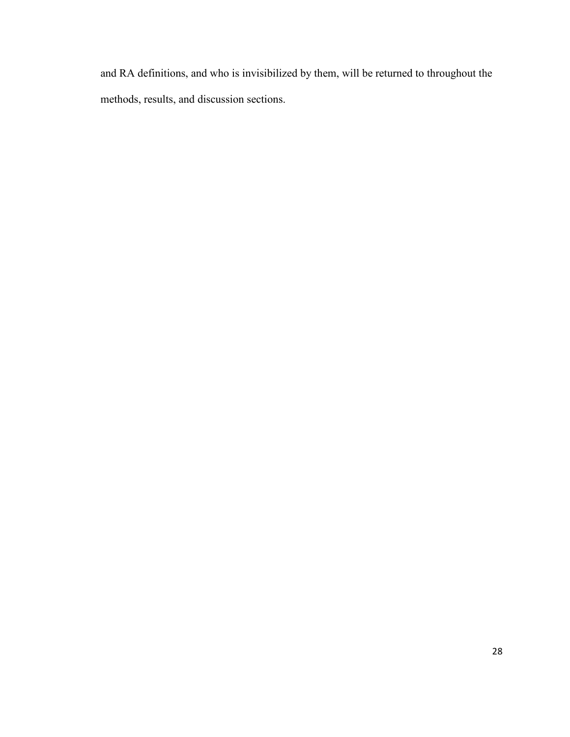and RA definitions, and who is invisibilized by them, will be returned to throughout the methods, results, and discussion sections.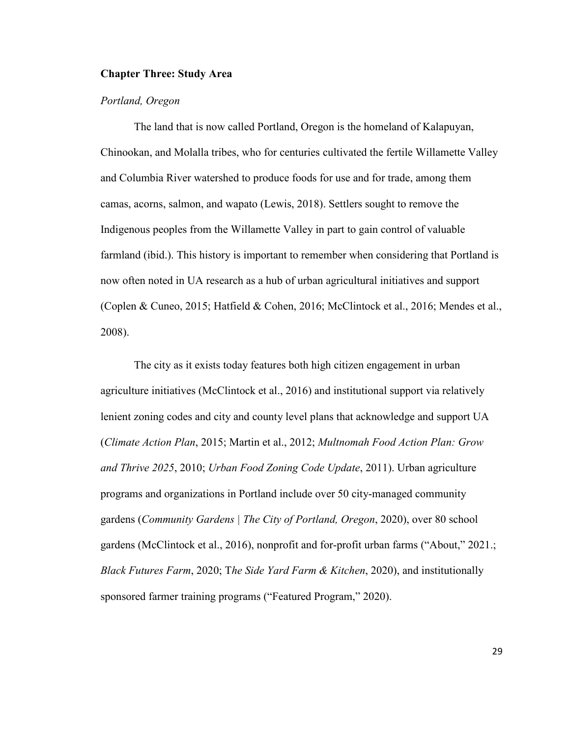### **Chapter Three: Study Area**

#### *Portland, Oregon*

The land that is now called Portland, Oregon is the homeland of Kalapuyan, Chinookan, and Molalla tribes, who for centuries cultivated the fertile Willamette Valley and Columbia River watershed to produce foods for use and for trade, among them camas, acorns, salmon, and wapato (Lewis, 2018). Settlers sought to remove the Indigenous peoples from the Willamette Valley in part to gain control of valuable farmland (ibid.). This history is important to remember when considering that Portland is now often noted in UA research as a hub of urban agricultural initiatives and support (Coplen & Cuneo, 2015; Hatfield & Cohen, 2016; McClintock et al., 2016; Mendes et al., 2008).

The city as it exists today features both high citizen engagement in urban agriculture initiatives (McClintock et al., 2016) and institutional support via relatively lenient zoning codes and city and county level plans that acknowledge and support UA (*Climate Action Plan*, 2015; Martin et al., 2012; *Multnomah Food Action Plan: Grow and Thrive 2025*, 2010; *Urban Food Zoning Code Update*, 2011). Urban agriculture programs and organizations in Portland include over 50 city-managed community gardens (*Community Gardens | The City of Portland, Oregon*, 2020), over 80 school gardens (McClintock et al., 2016), nonprofit and for-profit urban farms ("About," 2021.; *Black Futures Farm*, 2020; T*he Side Yard Farm & Kitchen*, 2020), and institutionally sponsored farmer training programs ("Featured Program," 2020).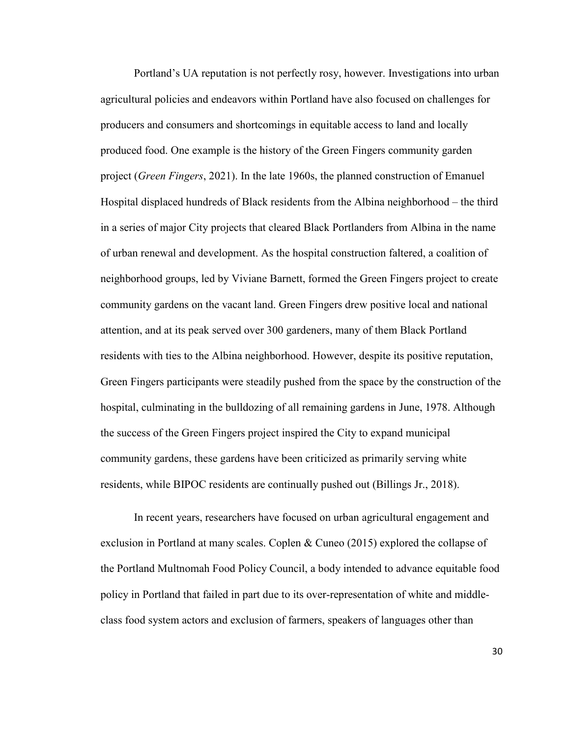Portland's UA reputation is not perfectly rosy, however. Investigations into urban agricultural policies and endeavors within Portland have also focused on challenges for producers and consumers and shortcomings in equitable access to land and locally produced food. One example is the history of the Green Fingers community garden project (*Green Fingers*, 2021). In the late 1960s, the planned construction of Emanuel Hospital displaced hundreds of Black residents from the Albina neighborhood – the third in a series of major City projects that cleared Black Portlanders from Albina in the name of urban renewal and development. As the hospital construction faltered, a coalition of neighborhood groups, led by Viviane Barnett, formed the Green Fingers project to create community gardens on the vacant land. Green Fingers drew positive local and national attention, and at its peak served over 300 gardeners, many of them Black Portland residents with ties to the Albina neighborhood. However, despite its positive reputation, Green Fingers participants were steadily pushed from the space by the construction of the hospital, culminating in the bulldozing of all remaining gardens in June, 1978. Although the success of the Green Fingers project inspired the City to expand municipal community gardens, these gardens have been criticized as primarily serving white residents, while BIPOC residents are continually pushed out (Billings Jr., 2018).

In recent years, researchers have focused on urban agricultural engagement and exclusion in Portland at many scales. Coplen & Cuneo (2015) explored the collapse of the Portland Multnomah Food Policy Council, a body intended to advance equitable food policy in Portland that failed in part due to its over-representation of white and middleclass food system actors and exclusion of farmers, speakers of languages other than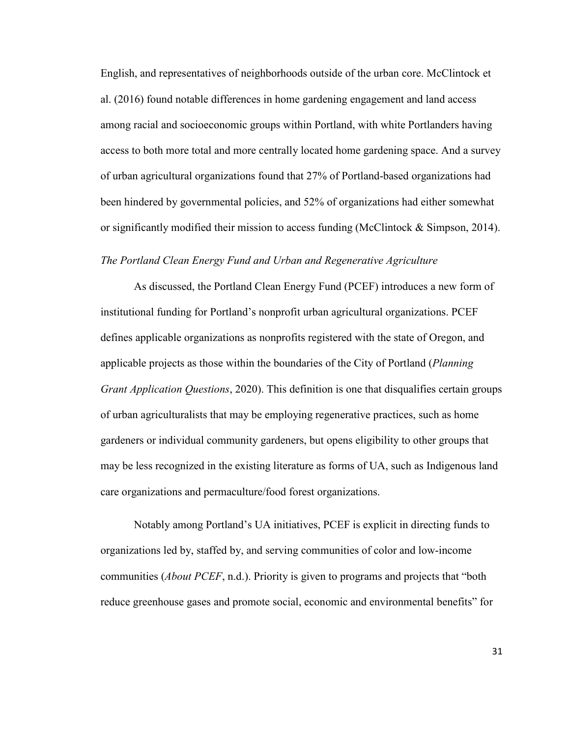English, and representatives of neighborhoods outside of the urban core. McClintock et al. (2016) found notable differences in home gardening engagement and land access among racial and socioeconomic groups within Portland, with white Portlanders having access to both more total and more centrally located home gardening space. And a survey of urban agricultural organizations found that 27% of Portland-based organizations had been hindered by governmental policies, and 52% of organizations had either somewhat or significantly modified their mission to access funding (McClintock & Simpson, 2014).

#### *The Portland Clean Energy Fund and Urban and Regenerative Agriculture*

As discussed, the Portland Clean Energy Fund (PCEF) introduces a new form of institutional funding for Portland's nonprofit urban agricultural organizations. PCEF defines applicable organizations as nonprofits registered with the state of Oregon, and applicable projects as those within the boundaries of the City of Portland (*Planning Grant Application Questions*, 2020). This definition is one that disqualifies certain groups of urban agriculturalists that may be employing regenerative practices, such as home gardeners or individual community gardeners, but opens eligibility to other groups that may be less recognized in the existing literature as forms of UA, such as Indigenous land care organizations and permaculture/food forest organizations.

Notably among Portland's UA initiatives, PCEF is explicit in directing funds to organizations led by, staffed by, and serving communities of color and low-income communities (*About PCEF*, n.d.). Priority is given to programs and projects that "both reduce greenhouse gases and promote social, economic and environmental benefits" for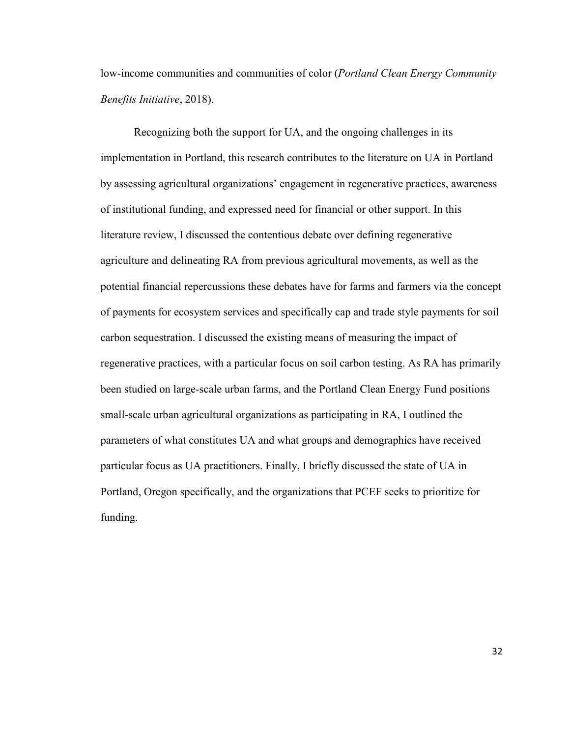low-income communities and communities of color (*Portland Clean Energy Community Benefits Initiative*, 2018).

Recognizing both the support for UA, and the ongoing challenges in its implementation in Portland, this research contributes to the literature on UA in Portland by assessing agricultural organizations' engagement in regenerative practices, awareness of institutional funding, and expressed need for financial or other support. In this literature review, I discussed the contentious debate over defining regenerative agriculture and delineating RA from previous agricultural movements, as well as the potential financial repercussions these debates have for farms and farmers via the concept of payments for ecosystem services and specifically cap and trade style payments for soil carbon sequestration. I discussed the existing means of measuring the impact of regenerative practices, with a particular focus on soil carbon testing. As RA has primarily been studied on large-scale urban farms, and the Portland Clean Energy Fund positions small-scale urban agricultural organizations as participating in RA, I outlined the parameters of what constitutes UA and what groups and demographics have received particular focus as UA practitioners. Finally, I briefly discussed the state of UA in Portland, Oregon specifically, and the organizations that PCEF seeks to prioritize for funding.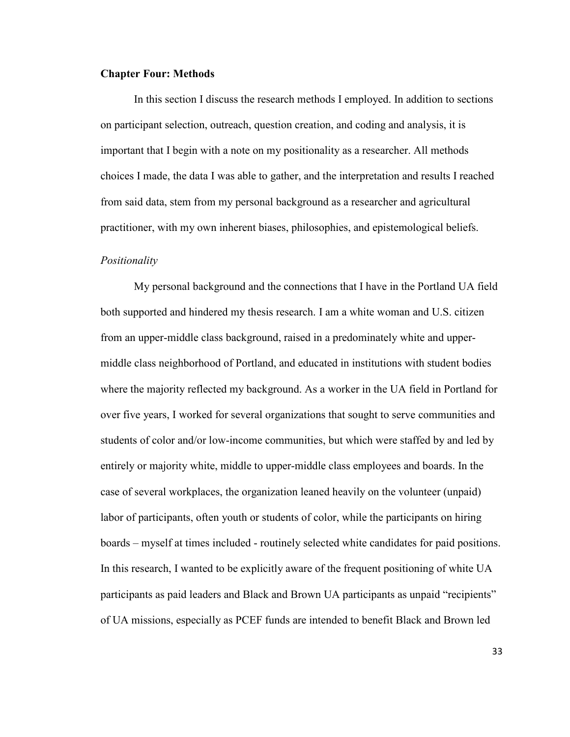#### **Chapter Four: Methods**

In this section I discuss the research methods I employed. In addition to sections on participant selection, outreach, question creation, and coding and analysis, it is important that I begin with a note on my positionality as a researcher. All methods choices I made, the data I was able to gather, and the interpretation and results I reached from said data, stem from my personal background as a researcher and agricultural practitioner, with my own inherent biases, philosophies, and epistemological beliefs.

#### *Positionality*

My personal background and the connections that I have in the Portland UA field both supported and hindered my thesis research. I am a white woman and U.S. citizen from an upper-middle class background, raised in a predominately white and uppermiddle class neighborhood of Portland, and educated in institutions with student bodies where the majority reflected my background. As a worker in the UA field in Portland for over five years, I worked for several organizations that sought to serve communities and students of color and/or low-income communities, but which were staffed by and led by entirely or majority white, middle to upper-middle class employees and boards. In the case of several workplaces, the organization leaned heavily on the volunteer (unpaid) labor of participants, often youth or students of color, while the participants on hiring boards – myself at times included - routinely selected white candidates for paid positions. In this research, I wanted to be explicitly aware of the frequent positioning of white UA participants as paid leaders and Black and Brown UA participants as unpaid "recipients" of UA missions, especially as PCEF funds are intended to benefit Black and Brown led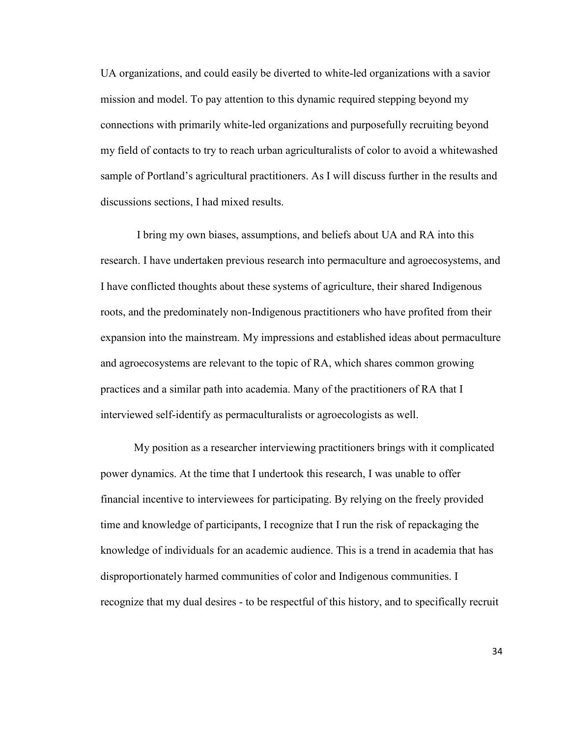UA organizations, and could easily be diverted to white-led organizations with a savior mission and model. To pay attention to this dynamic required stepping beyond my connections with primarily white-led organizations and purposefully recruiting beyond my field of contacts to try to reach urban agriculturalists of color to avoid a whitewashed sample of Portland's agricultural practitioners. As I will discuss further in the results and discussions sections, I had mixed results.

 I bring my own biases, assumptions, and beliefs about UA and RA into this research. I have undertaken previous research into permaculture and agroecosystems, and I have conflicted thoughts about these systems of agriculture, their shared Indigenous roots, and the predominately non-Indigenous practitioners who have profited from their expansion into the mainstream. My impressions and established ideas about permaculture and agroecosystems are relevant to the topic of RA, which shares common growing practices and a similar path into academia. Many of the practitioners of RA that I interviewed self-identify as permaculturalists or agroecologists as well.

My position as a researcher interviewing practitioners brings with it complicated power dynamics. At the time that I undertook this research, I was unable to offer financial incentive to interviewees for participating. By relying on the freely provided time and knowledge of participants, I recognize that I run the risk of repackaging the knowledge of individuals for an academic audience. This is a trend in academia that has disproportionately harmed communities of color and Indigenous communities. I recognize that my dual desires - to be respectful of this history, and to specifically recruit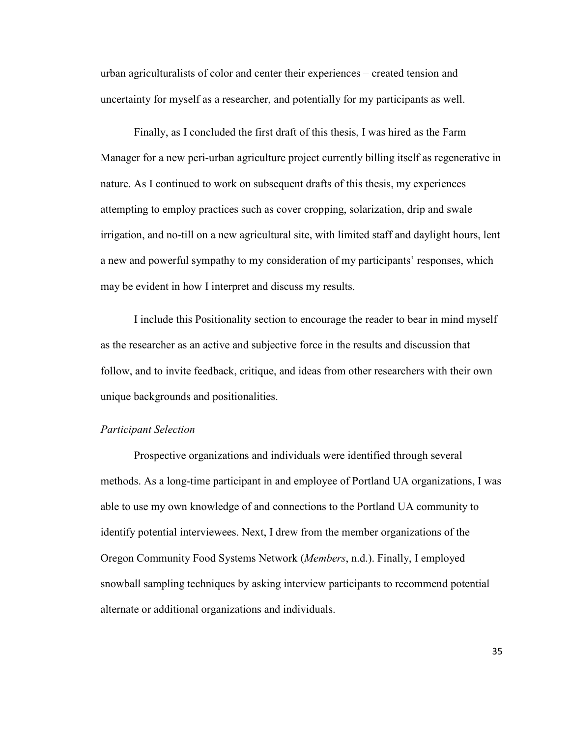urban agriculturalists of color and center their experiences – created tension and uncertainty for myself as a researcher, and potentially for my participants as well.

Finally, as I concluded the first draft of this thesis, I was hired as the Farm Manager for a new peri-urban agriculture project currently billing itself as regenerative in nature. As I continued to work on subsequent drafts of this thesis, my experiences attempting to employ practices such as cover cropping, solarization, drip and swale irrigation, and no-till on a new agricultural site, with limited staff and daylight hours, lent a new and powerful sympathy to my consideration of my participants' responses, which may be evident in how I interpret and discuss my results.

I include this Positionality section to encourage the reader to bear in mind myself as the researcher as an active and subjective force in the results and discussion that follow, and to invite feedback, critique, and ideas from other researchers with their own unique backgrounds and positionalities.

#### *Participant Selection*

Prospective organizations and individuals were identified through several methods. As a long-time participant in and employee of Portland UA organizations, I was able to use my own knowledge of and connections to the Portland UA community to identify potential interviewees. Next, I drew from the member organizations of the Oregon Community Food Systems Network (*Members*, n.d.). Finally, I employed snowball sampling techniques by asking interview participants to recommend potential alternate or additional organizations and individuals.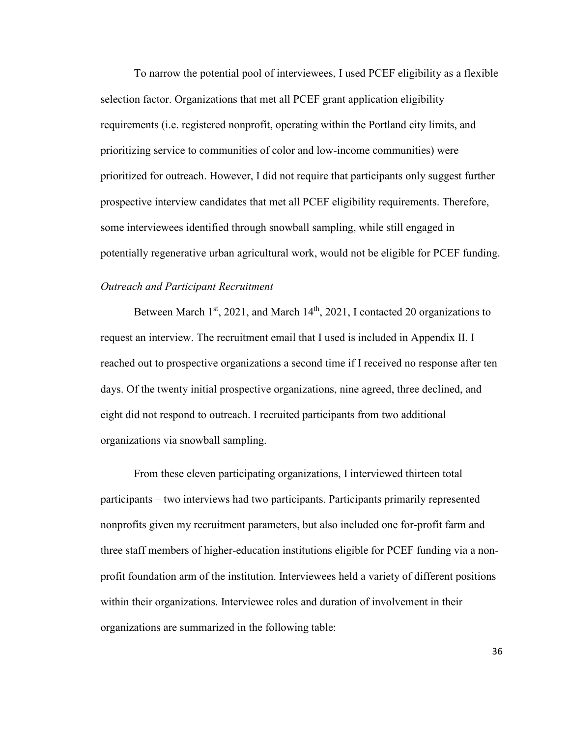To narrow the potential pool of interviewees, I used PCEF eligibility as a flexible selection factor. Organizations that met all PCEF grant application eligibility requirements (i.e. registered nonprofit, operating within the Portland city limits, and prioritizing service to communities of color and low-income communities) were prioritized for outreach. However, I did not require that participants only suggest further prospective interview candidates that met all PCEF eligibility requirements. Therefore, some interviewees identified through snowball sampling, while still engaged in potentially regenerative urban agricultural work, would not be eligible for PCEF funding.

## *Outreach and Participant Recruitment*

Between March  $1<sup>st</sup>$ , 2021, and March  $14<sup>th</sup>$ , 2021, I contacted 20 organizations to request an interview. The recruitment email that I used is included in Appendix II. I reached out to prospective organizations a second time if I received no response after ten days. Of the twenty initial prospective organizations, nine agreed, three declined, and eight did not respond to outreach. I recruited participants from two additional organizations via snowball sampling.

From these eleven participating organizations, I interviewed thirteen total participants – two interviews had two participants. Participants primarily represented nonprofits given my recruitment parameters, but also included one for-profit farm and three staff members of higher-education institutions eligible for PCEF funding via a nonprofit foundation arm of the institution. Interviewees held a variety of different positions within their organizations. Interviewee roles and duration of involvement in their organizations are summarized in the following table: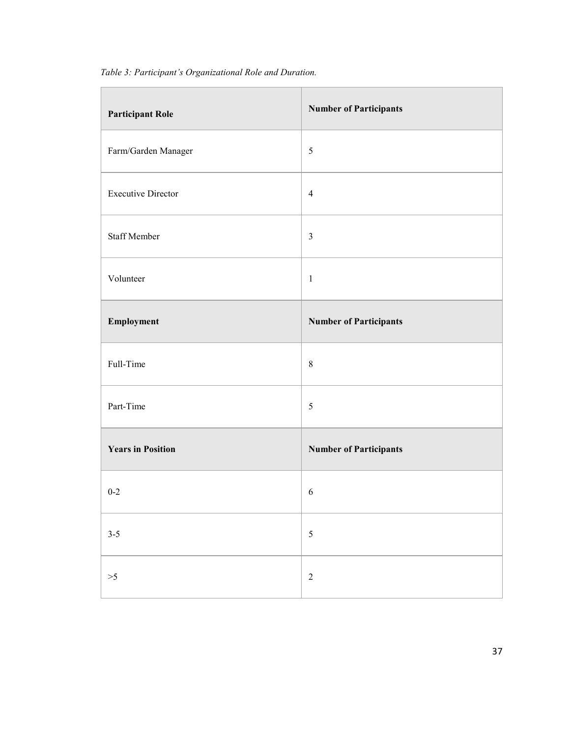| <b>Participant Role</b>   | <b>Number of Participants</b> |
|---------------------------|-------------------------------|
| Farm/Garden Manager       | 5                             |
| <b>Executive Director</b> | $\overline{4}$                |
| Staff Member              | $\mathfrak{Z}$                |
| Volunteer                 | $\mathbf{1}$                  |
| Employment                | <b>Number of Participants</b> |
| Full-Time                 | 8                             |
| Part-Time                 | $\sqrt{5}$                    |
| <b>Years in Position</b>  | <b>Number of Participants</b> |
| $0 - 2$                   | 6                             |
| $3 - 5$                   | $\sqrt{5}$                    |
| >5                        | $\sqrt{2}$                    |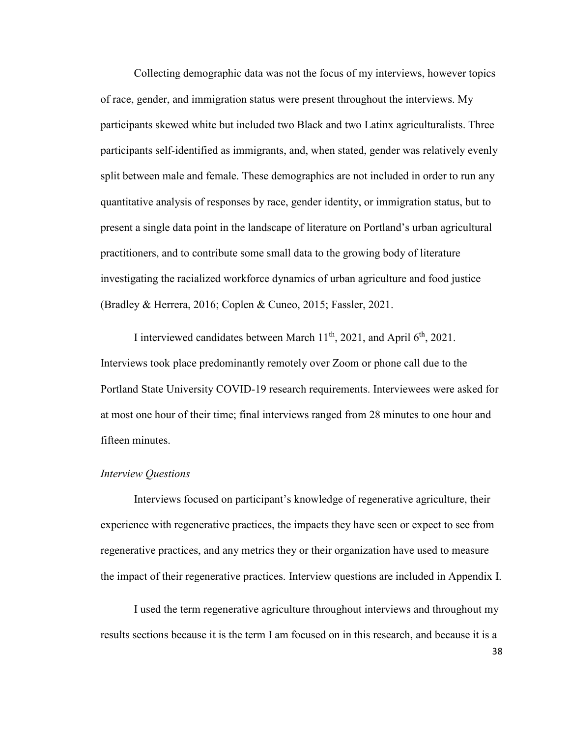Collecting demographic data was not the focus of my interviews, however topics of race, gender, and immigration status were present throughout the interviews. My participants skewed white but included two Black and two Latinx agriculturalists. Three participants self-identified as immigrants, and, when stated, gender was relatively evenly split between male and female. These demographics are not included in order to run any quantitative analysis of responses by race, gender identity, or immigration status, but to present a single data point in the landscape of literature on Portland's urban agricultural practitioners, and to contribute some small data to the growing body of literature investigating the racialized workforce dynamics of urban agriculture and food justice (Bradley & Herrera, 2016; Coplen & Cuneo, 2015; Fassler, 2021.

I interviewed candidates between March  $11<sup>th</sup>$ , 2021, and April  $6<sup>th</sup>$ , 2021. Interviews took place predominantly remotely over Zoom or phone call due to the Portland State University COVID-19 research requirements. Interviewees were asked for at most one hour of their time; final interviews ranged from 28 minutes to one hour and fifteen minutes.

#### *Interview Questions*

Interviews focused on participant's knowledge of regenerative agriculture, their experience with regenerative practices, the impacts they have seen or expect to see from regenerative practices, and any metrics they or their organization have used to measure the impact of their regenerative practices. Interview questions are included in Appendix I.

I used the term regenerative agriculture throughout interviews and throughout my results sections because it is the term I am focused on in this research, and because it is a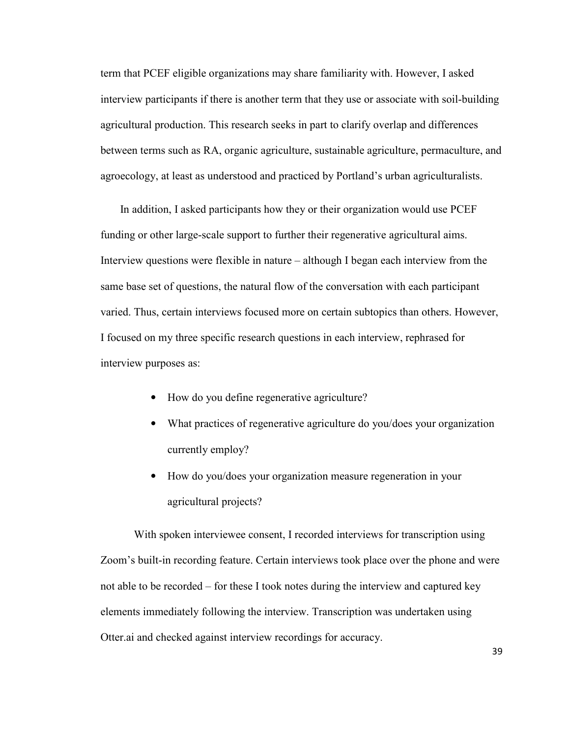term that PCEF eligible organizations may share familiarity with. However, I asked interview participants if there is another term that they use or associate with soil-building agricultural production. This research seeks in part to clarify overlap and differences between terms such as RA, organic agriculture, sustainable agriculture, permaculture, and agroecology, at least as understood and practiced by Portland's urban agriculturalists.

 In addition, I asked participants how they or their organization would use PCEF funding or other large-scale support to further their regenerative agricultural aims. Interview questions were flexible in nature – although I began each interview from the same base set of questions, the natural flow of the conversation with each participant varied. Thus, certain interviews focused more on certain subtopics than others. However, I focused on my three specific research questions in each interview, rephrased for interview purposes as:

- How do you define regenerative agriculture?
- What practices of regenerative agriculture do you/does your organization currently employ?
- How do you/does your organization measure regeneration in your agricultural projects?

With spoken interviewee consent, I recorded interviews for transcription using Zoom's built-in recording feature. Certain interviews took place over the phone and were not able to be recorded – for these I took notes during the interview and captured key elements immediately following the interview. Transcription was undertaken using Otter.ai and checked against interview recordings for accuracy.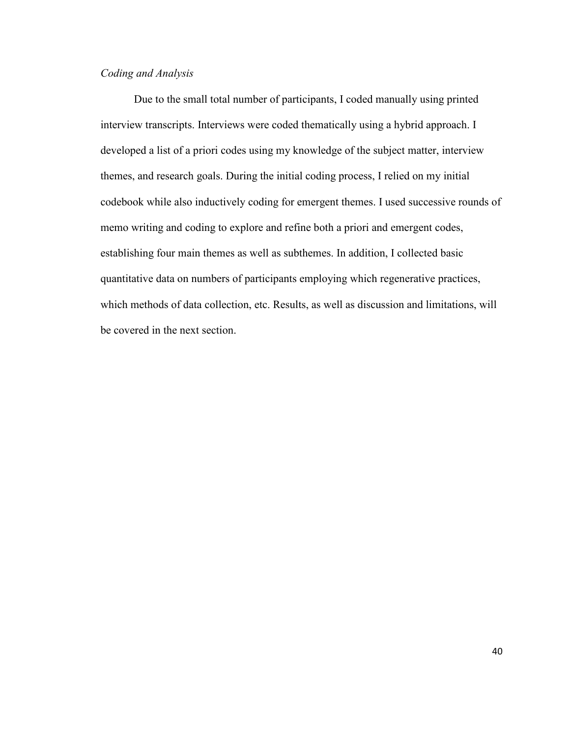# *Coding and Analysis*

Due to the small total number of participants, I coded manually using printed interview transcripts. Interviews were coded thematically using a hybrid approach. I developed a list of a priori codes using my knowledge of the subject matter, interview themes, and research goals. During the initial coding process, I relied on my initial codebook while also inductively coding for emergent themes. I used successive rounds of memo writing and coding to explore and refine both a priori and emergent codes, establishing four main themes as well as subthemes. In addition, I collected basic quantitative data on numbers of participants employing which regenerative practices, which methods of data collection, etc. Results, as well as discussion and limitations, will be covered in the next section.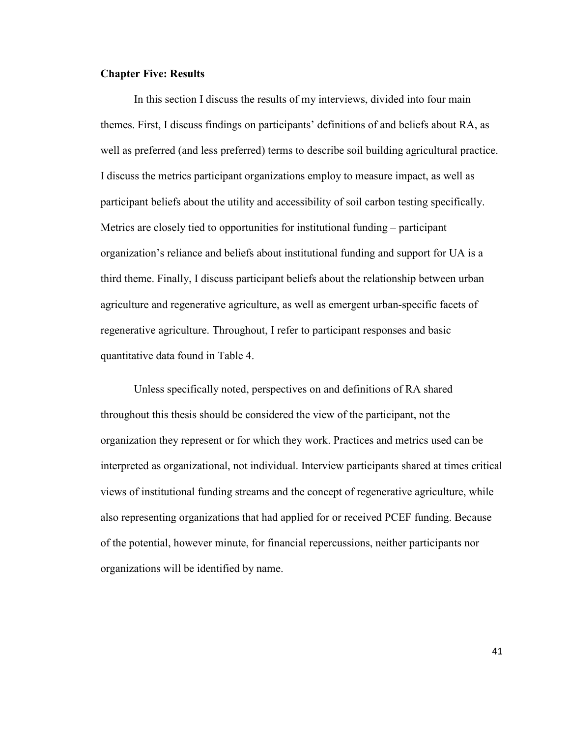### **Chapter Five: Results**

In this section I discuss the results of my interviews, divided into four main themes. First, I discuss findings on participants' definitions of and beliefs about RA, as well as preferred (and less preferred) terms to describe soil building agricultural practice. I discuss the metrics participant organizations employ to measure impact, as well as participant beliefs about the utility and accessibility of soil carbon testing specifically. Metrics are closely tied to opportunities for institutional funding – participant organization's reliance and beliefs about institutional funding and support for UA is a third theme. Finally, I discuss participant beliefs about the relationship between urban agriculture and regenerative agriculture, as well as emergent urban-specific facets of regenerative agriculture. Throughout, I refer to participant responses and basic quantitative data found in Table 4.

Unless specifically noted, perspectives on and definitions of RA shared throughout this thesis should be considered the view of the participant, not the organization they represent or for which they work. Practices and metrics used can be interpreted as organizational, not individual. Interview participants shared at times critical views of institutional funding streams and the concept of regenerative agriculture, while also representing organizations that had applied for or received PCEF funding. Because of the potential, however minute, for financial repercussions, neither participants nor organizations will be identified by name.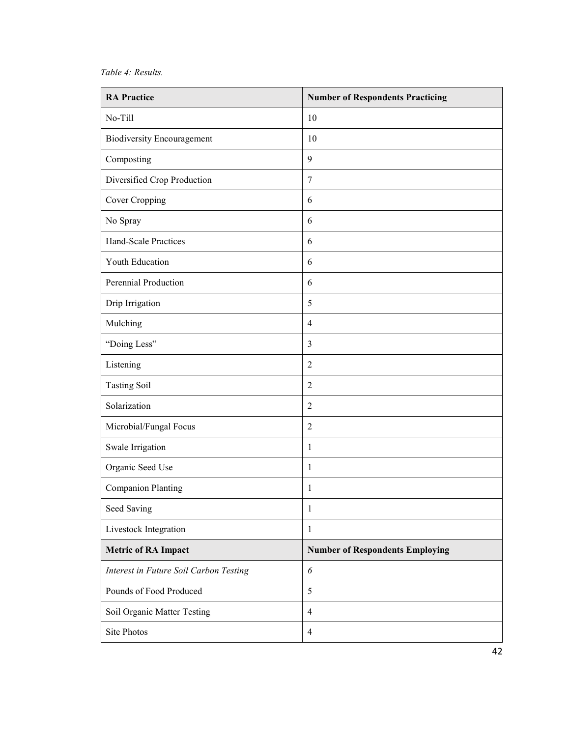## *Table 4: Results.*

| <b>RA Practice</b>                     | <b>Number of Respondents Practicing</b> |
|----------------------------------------|-----------------------------------------|
| No-Till                                | 10                                      |
| <b>Biodiversity Encouragement</b>      | 10                                      |
| Composting                             | 9                                       |
| Diversified Crop Production            | 7                                       |
| Cover Cropping                         | 6                                       |
| No Spray                               | 6                                       |
| Hand-Scale Practices                   | 6                                       |
| Youth Education                        | 6                                       |
| Perennial Production                   | 6                                       |
| Drip Irrigation                        | 5                                       |
| Mulching                               | $\overline{4}$                          |
| "Doing Less"                           | $\mathfrak{Z}$                          |
| Listening                              | $\overline{2}$                          |
| <b>Tasting Soil</b>                    | $\overline{2}$                          |
| Solarization                           | $\overline{2}$                          |
| Microbial/Fungal Focus                 | $\overline{2}$                          |
| Swale Irrigation                       | 1                                       |
| Organic Seed Use                       | 1                                       |
| <b>Companion Planting</b>              | $\mathbf{1}$                            |
| Seed Saving                            | 1                                       |
| Livestock Integration                  | 1                                       |
| <b>Metric of RA Impact</b>             | <b>Number of Respondents Employing</b>  |
| Interest in Future Soil Carbon Testing | 6                                       |
| Pounds of Food Produced                | $\sqrt{5}$                              |
| Soil Organic Matter Testing            | $\overline{4}$                          |
| Site Photos                            | $\overline{4}$                          |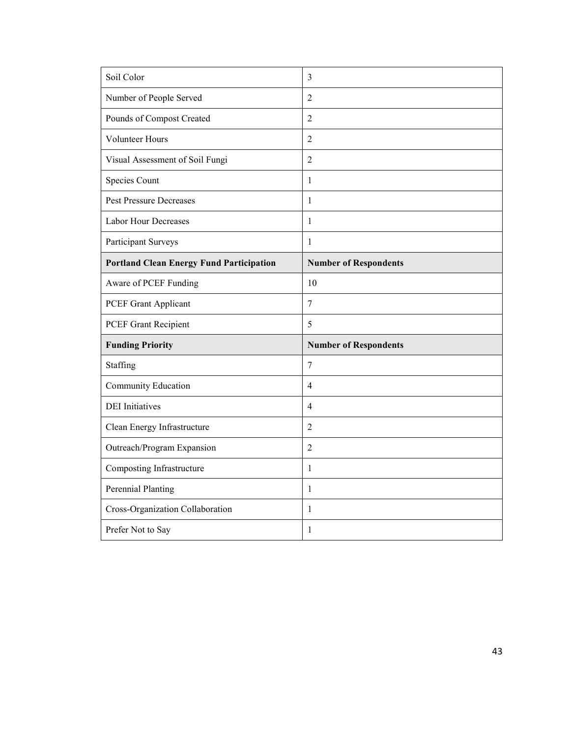| Soil Color                                      | $\overline{3}$               |
|-------------------------------------------------|------------------------------|
| Number of People Served                         | $\overline{2}$               |
| Pounds of Compost Created                       | $\overline{2}$               |
| <b>Volunteer Hours</b>                          | $\overline{2}$               |
| Visual Assessment of Soil Fungi                 | $\overline{2}$               |
| <b>Species Count</b>                            | $\mathbf{1}$                 |
| <b>Pest Pressure Decreases</b>                  | 1                            |
| <b>Labor Hour Decreases</b>                     | 1                            |
| Participant Surveys                             | $\mathbf{1}$                 |
| <b>Portland Clean Energy Fund Participation</b> | <b>Number of Respondents</b> |
| Aware of PCEF Funding                           | 10                           |
| PCEF Grant Applicant                            | $\overline{7}$               |
| PCEF Grant Recipient                            | 5                            |
| <b>Funding Priority</b>                         | <b>Number of Respondents</b> |
| Staffing                                        | 7                            |
| Community Education                             | $\overline{4}$               |
| <b>DEI</b> Initiatives                          | $\overline{4}$               |
| Clean Energy Infrastructure                     | $\overline{2}$               |
|                                                 |                              |
| Outreach/Program Expansion                      | $\overline{2}$               |
| Composting Infrastructure                       | $\mathbf{1}$                 |
| <b>Perennial Planting</b>                       | 1                            |
| Cross-Organization Collaboration                | $\mathbf{1}$                 |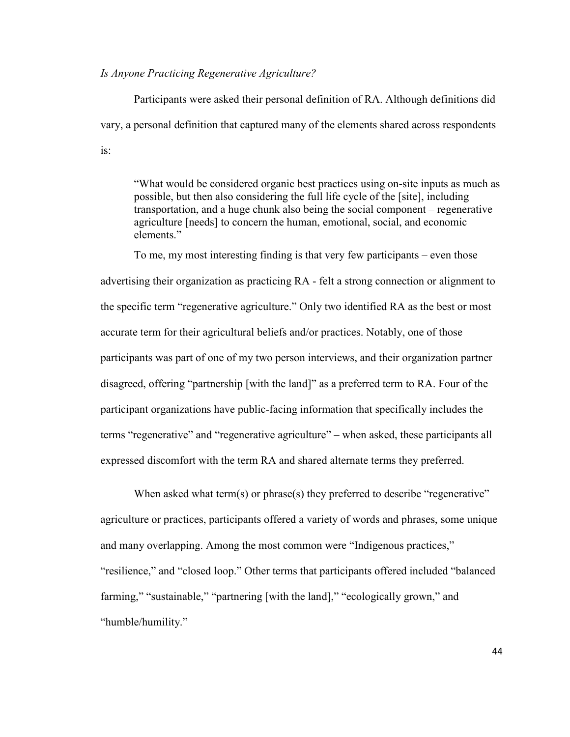## *Is Anyone Practicing Regenerative Agriculture?*

Participants were asked their personal definition of RA. Although definitions did vary, a personal definition that captured many of the elements shared across respondents is:

"What would be considered organic best practices using on-site inputs as much as possible, but then also considering the full life cycle of the [site], including transportation, and a huge chunk also being the social component – regenerative agriculture [needs] to concern the human, emotional, social, and economic elements."

To me, my most interesting finding is that very few participants – even those advertising their organization as practicing RA - felt a strong connection or alignment to the specific term "regenerative agriculture." Only two identified RA as the best or most accurate term for their agricultural beliefs and/or practices. Notably, one of those participants was part of one of my two person interviews, and their organization partner disagreed, offering "partnership [with the land]" as a preferred term to RA. Four of the participant organizations have public-facing information that specifically includes the terms "regenerative" and "regenerative agriculture" – when asked, these participants all expressed discomfort with the term RA and shared alternate terms they preferred.

When asked what term(s) or phrase(s) they preferred to describe "regenerative" agriculture or practices, participants offered a variety of words and phrases, some unique and many overlapping. Among the most common were "Indigenous practices," "resilience," and "closed loop." Other terms that participants offered included "balanced farming," "sustainable," "partnering [with the land]," "ecologically grown," and "humble/humility."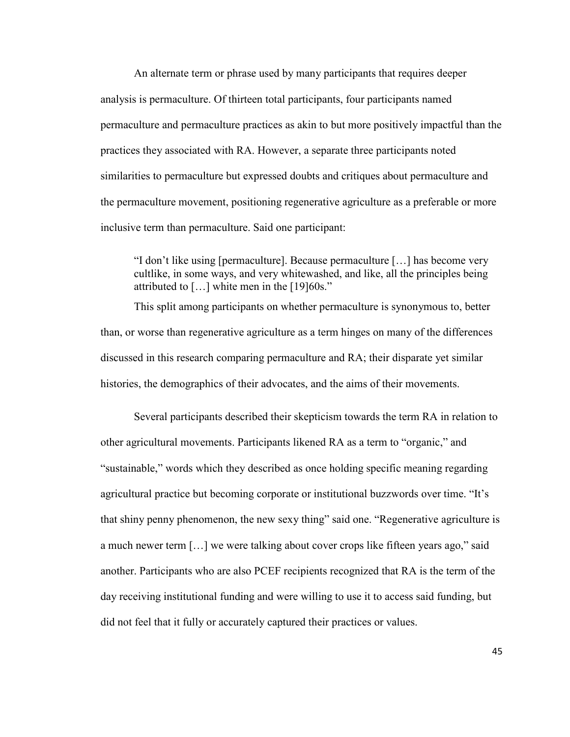An alternate term or phrase used by many participants that requires deeper analysis is permaculture. Of thirteen total participants, four participants named permaculture and permaculture practices as akin to but more positively impactful than the practices they associated with RA. However, a separate three participants noted similarities to permaculture but expressed doubts and critiques about permaculture and the permaculture movement, positioning regenerative agriculture as a preferable or more inclusive term than permaculture. Said one participant:

"I don't like using [permaculture]. Because permaculture […] has become very cultlike, in some ways, and very whitewashed, and like, all the principles being attributed to […] white men in the [19]60s."

This split among participants on whether permaculture is synonymous to, better than, or worse than regenerative agriculture as a term hinges on many of the differences discussed in this research comparing permaculture and RA; their disparate yet similar histories, the demographics of their advocates, and the aims of their movements.

Several participants described their skepticism towards the term RA in relation to other agricultural movements. Participants likened RA as a term to "organic," and "sustainable," words which they described as once holding specific meaning regarding agricultural practice but becoming corporate or institutional buzzwords over time. "It's that shiny penny phenomenon, the new sexy thing" said one. "Regenerative agriculture is a much newer term […] we were talking about cover crops like fifteen years ago," said another. Participants who are also PCEF recipients recognized that RA is the term of the day receiving institutional funding and were willing to use it to access said funding, but did not feel that it fully or accurately captured their practices or values.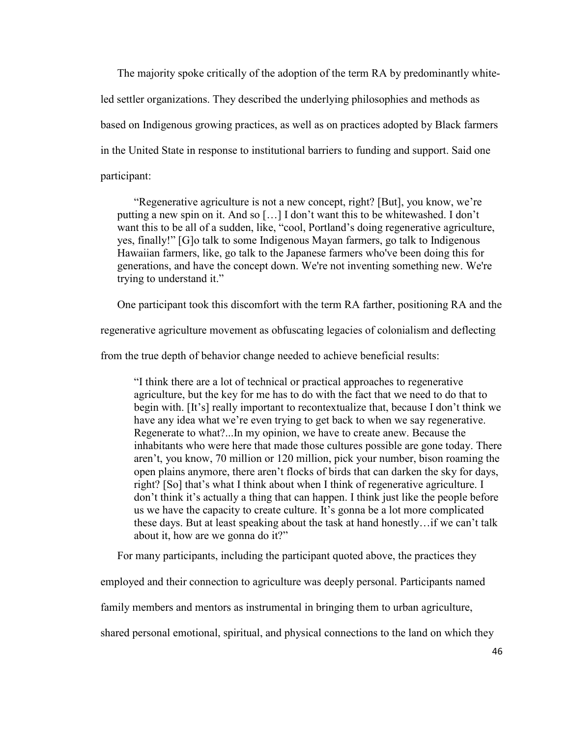The majority spoke critically of the adoption of the term RA by predominantly whiteled settler organizations. They described the underlying philosophies and methods as based on Indigenous growing practices, as well as on practices adopted by Black farmers in the United State in response to institutional barriers to funding and support. Said one participant:

"Regenerative agriculture is not a new concept, right? [But], you know, we're putting a new spin on it. And so […] I don't want this to be whitewashed. I don't want this to be all of a sudden, like, "cool, Portland's doing regenerative agriculture, yes, finally!" [G]o talk to some Indigenous Mayan farmers, go talk to Indigenous Hawaiian farmers, like, go talk to the Japanese farmers who've been doing this for generations, and have the concept down. We're not inventing something new. We're trying to understand it."

One participant took this discomfort with the term RA farther, positioning RA and the

regenerative agriculture movement as obfuscating legacies of colonialism and deflecting

from the true depth of behavior change needed to achieve beneficial results:

"I think there are a lot of technical or practical approaches to regenerative agriculture, but the key for me has to do with the fact that we need to do that to begin with. [It's] really important to recontextualize that, because I don't think we have any idea what we're even trying to get back to when we say regenerative. Regenerate to what?...In my opinion, we have to create anew. Because the inhabitants who were here that made those cultures possible are gone today. There aren't, you know, 70 million or 120 million, pick your number, bison roaming the open plains anymore, there aren't flocks of birds that can darken the sky for days, right? [So] that's what I think about when I think of regenerative agriculture. I don't think it's actually a thing that can happen. I think just like the people before us we have the capacity to create culture. It's gonna be a lot more complicated these days. But at least speaking about the task at hand honestly…if we can't talk about it, how are we gonna do it?"

For many participants, including the participant quoted above, the practices they

employed and their connection to agriculture was deeply personal. Participants named

family members and mentors as instrumental in bringing them to urban agriculture,

shared personal emotional, spiritual, and physical connections to the land on which they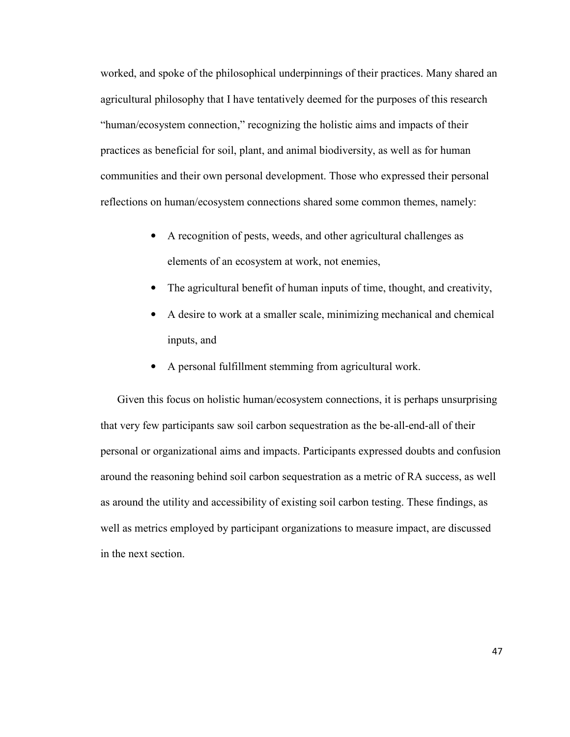worked, and spoke of the philosophical underpinnings of their practices. Many shared an agricultural philosophy that I have tentatively deemed for the purposes of this research "human/ecosystem connection," recognizing the holistic aims and impacts of their practices as beneficial for soil, plant, and animal biodiversity, as well as for human communities and their own personal development. Those who expressed their personal reflections on human/ecosystem connections shared some common themes, namely:

- A recognition of pests, weeds, and other agricultural challenges as elements of an ecosystem at work, not enemies,
- The agricultural benefit of human inputs of time, thought, and creativity,
- A desire to work at a smaller scale, minimizing mechanical and chemical inputs, and
- A personal fulfillment stemming from agricultural work.

Given this focus on holistic human/ecosystem connections, it is perhaps unsurprising that very few participants saw soil carbon sequestration as the be-all-end-all of their personal or organizational aims and impacts. Participants expressed doubts and confusion around the reasoning behind soil carbon sequestration as a metric of RA success, as well as around the utility and accessibility of existing soil carbon testing. These findings, as well as metrics employed by participant organizations to measure impact, are discussed in the next section.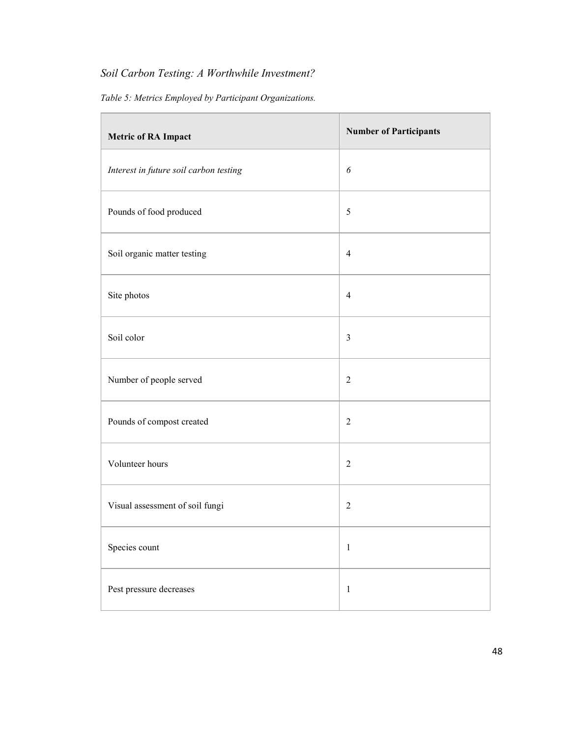# *Soil Carbon Testing: A Worthwhile Investment?*

*Table 5: Metrics Employed by Participant Organizations.* 

| <b>Metric of RA Impact</b>             | <b>Number of Participants</b> |
|----------------------------------------|-------------------------------|
| Interest in future soil carbon testing | 6                             |
| Pounds of food produced                | $\sqrt{5}$                    |
| Soil organic matter testing            | $\overline{4}$                |
| Site photos                            | $\overline{4}$                |
| Soil color                             | $\mathfrak{Z}$                |
| Number of people served                | $\overline{2}$                |
| Pounds of compost created              | $\overline{2}$                |
| Volunteer hours                        | $\overline{2}$                |
| Visual assessment of soil fungi        | $\overline{2}$                |
| Species count                          | $\,1\,$                       |
| Pest pressure decreases                | $\mathbf 1$                   |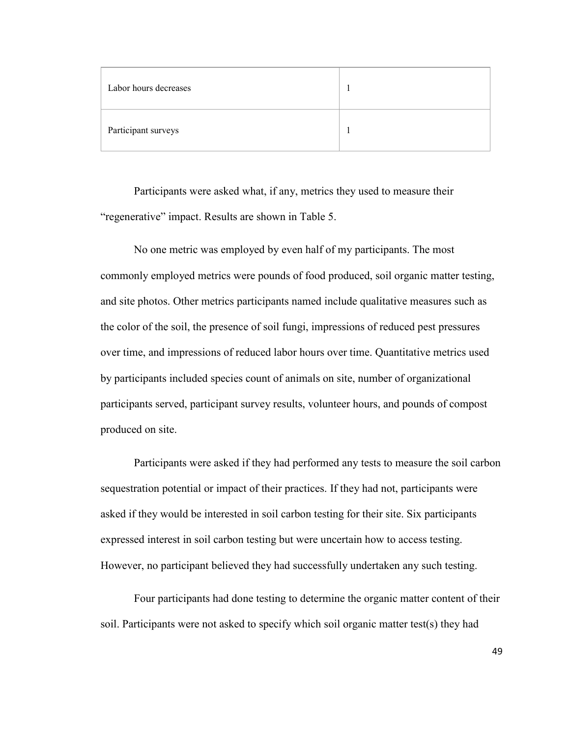| Labor hours decreases |  |
|-----------------------|--|
| Participant surveys   |  |

Participants were asked what, if any, metrics they used to measure their "regenerative" impact. Results are shown in Table 5.

No one metric was employed by even half of my participants. The most commonly employed metrics were pounds of food produced, soil organic matter testing, and site photos. Other metrics participants named include qualitative measures such as the color of the soil, the presence of soil fungi, impressions of reduced pest pressures over time, and impressions of reduced labor hours over time. Quantitative metrics used by participants included species count of animals on site, number of organizational participants served, participant survey results, volunteer hours, and pounds of compost produced on site.

Participants were asked if they had performed any tests to measure the soil carbon sequestration potential or impact of their practices. If they had not, participants were asked if they would be interested in soil carbon testing for their site. Six participants expressed interest in soil carbon testing but were uncertain how to access testing. However, no participant believed they had successfully undertaken any such testing.

Four participants had done testing to determine the organic matter content of their soil. Participants were not asked to specify which soil organic matter test(s) they had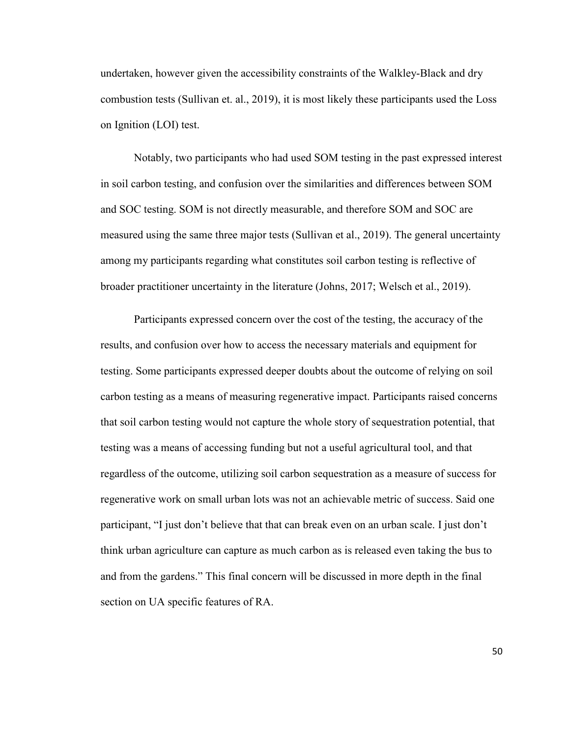undertaken, however given the accessibility constraints of the Walkley-Black and dry combustion tests (Sullivan et. al., 2019), it is most likely these participants used the Loss on Ignition (LOI) test.

Notably, two participants who had used SOM testing in the past expressed interest in soil carbon testing, and confusion over the similarities and differences between SOM and SOC testing. SOM is not directly measurable, and therefore SOM and SOC are measured using the same three major tests (Sullivan et al., 2019). The general uncertainty among my participants regarding what constitutes soil carbon testing is reflective of broader practitioner uncertainty in the literature (Johns, 2017; Welsch et al., 2019).

Participants expressed concern over the cost of the testing, the accuracy of the results, and confusion over how to access the necessary materials and equipment for testing. Some participants expressed deeper doubts about the outcome of relying on soil carbon testing as a means of measuring regenerative impact. Participants raised concerns that soil carbon testing would not capture the whole story of sequestration potential, that testing was a means of accessing funding but not a useful agricultural tool, and that regardless of the outcome, utilizing soil carbon sequestration as a measure of success for regenerative work on small urban lots was not an achievable metric of success. Said one participant, "I just don't believe that that can break even on an urban scale. I just don't think urban agriculture can capture as much carbon as is released even taking the bus to and from the gardens." This final concern will be discussed in more depth in the final section on UA specific features of RA.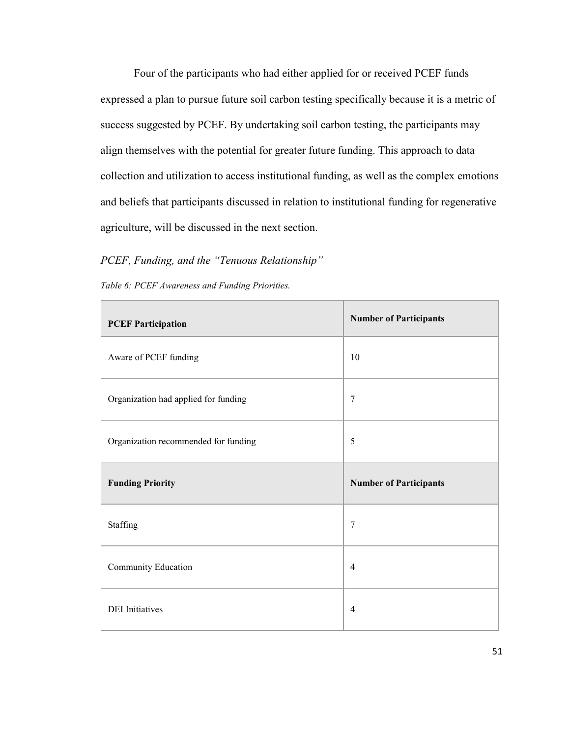Four of the participants who had either applied for or received PCEF funds expressed a plan to pursue future soil carbon testing specifically because it is a metric of success suggested by PCEF. By undertaking soil carbon testing, the participants may align themselves with the potential for greater future funding. This approach to data collection and utilization to access institutional funding, as well as the complex emotions and beliefs that participants discussed in relation to institutional funding for regenerative agriculture, will be discussed in the next section.

# *PCEF, Funding, and the "Tenuous Relationship"*

| Table 6: PCEF Awareness and Funding Priorities. |
|-------------------------------------------------|
|                                                 |

| <b>PCEF Participation</b>            | <b>Number of Participants</b> |
|--------------------------------------|-------------------------------|
| Aware of PCEF funding                | 10                            |
| Organization had applied for funding | 7                             |
| Organization recommended for funding | 5                             |
|                                      |                               |
| <b>Funding Priority</b>              | <b>Number of Participants</b> |
| Staffing                             | $\overline{7}$                |
| Community Education                  | $\overline{4}$                |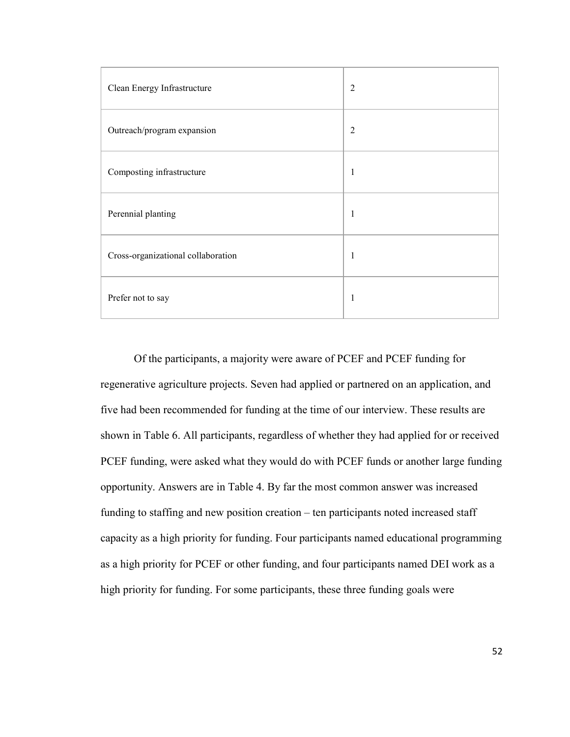| Clean Energy Infrastructure        | $\overline{2}$ |
|------------------------------------|----------------|
| Outreach/program expansion         | $\overline{2}$ |
| Composting infrastructure          | 1              |
| Perennial planting                 | 1              |
| Cross-organizational collaboration | 1              |
| Prefer not to say                  | 1              |

Of the participants, a majority were aware of PCEF and PCEF funding for regenerative agriculture projects. Seven had applied or partnered on an application, and five had been recommended for funding at the time of our interview. These results are shown in Table 6. All participants, regardless of whether they had applied for or received PCEF funding, were asked what they would do with PCEF funds or another large funding opportunity. Answers are in Table 4. By far the most common answer was increased funding to staffing and new position creation – ten participants noted increased staff capacity as a high priority for funding. Four participants named educational programming as a high priority for PCEF or other funding, and four participants named DEI work as a high priority for funding. For some participants, these three funding goals were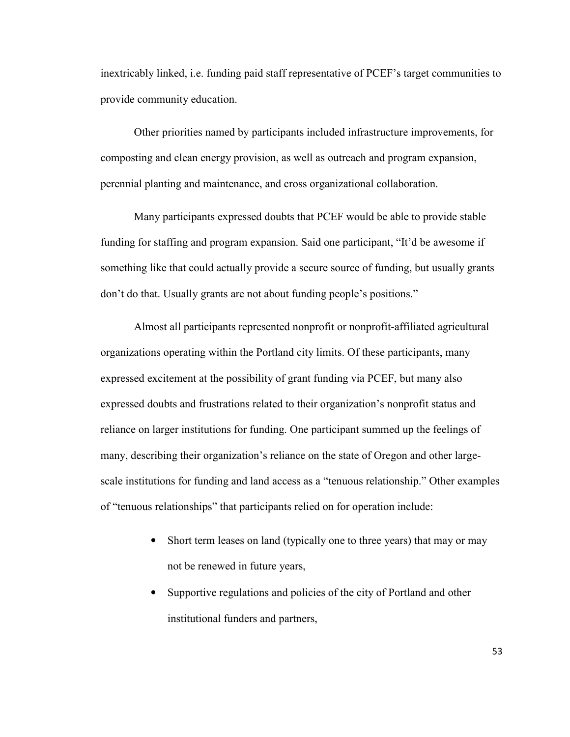inextricably linked, i.e. funding paid staff representative of PCEF's target communities to provide community education.

Other priorities named by participants included infrastructure improvements, for composting and clean energy provision, as well as outreach and program expansion, perennial planting and maintenance, and cross organizational collaboration.

Many participants expressed doubts that PCEF would be able to provide stable funding for staffing and program expansion. Said one participant, "It'd be awesome if something like that could actually provide a secure source of funding, but usually grants don't do that. Usually grants are not about funding people's positions."

Almost all participants represented nonprofit or nonprofit-affiliated agricultural organizations operating within the Portland city limits. Of these participants, many expressed excitement at the possibility of grant funding via PCEF, but many also expressed doubts and frustrations related to their organization's nonprofit status and reliance on larger institutions for funding. One participant summed up the feelings of many, describing their organization's reliance on the state of Oregon and other largescale institutions for funding and land access as a "tenuous relationship." Other examples of "tenuous relationships" that participants relied on for operation include:

- Short term leases on land (typically one to three years) that may or may not be renewed in future years,
- Supportive regulations and policies of the city of Portland and other institutional funders and partners,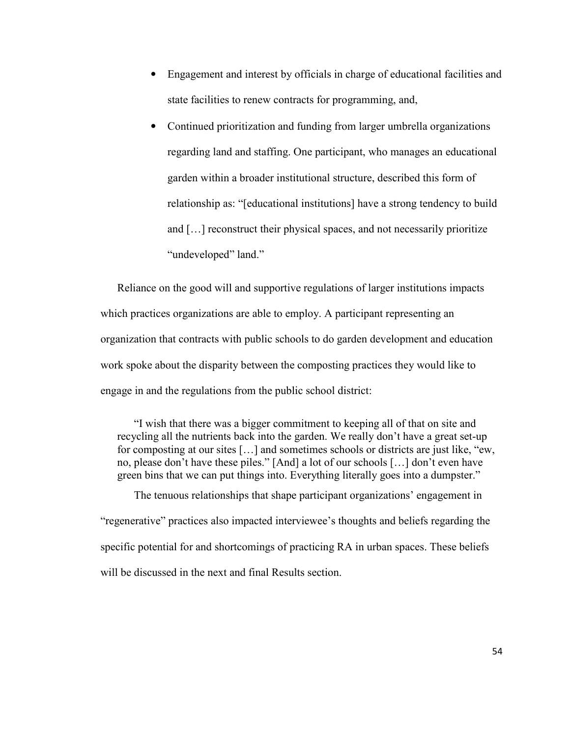- Engagement and interest by officials in charge of educational facilities and state facilities to renew contracts for programming, and,
- Continued prioritization and funding from larger umbrella organizations regarding land and staffing. One participant, who manages an educational garden within a broader institutional structure, described this form of relationship as: "[educational institutions] have a strong tendency to build and […] reconstruct their physical spaces, and not necessarily prioritize "undeveloped" land."

Reliance on the good will and supportive regulations of larger institutions impacts which practices organizations are able to employ. A participant representing an organization that contracts with public schools to do garden development and education work spoke about the disparity between the composting practices they would like to engage in and the regulations from the public school district:

"I wish that there was a bigger commitment to keeping all of that on site and recycling all the nutrients back into the garden. We really don't have a great set-up for composting at our sites […] and sometimes schools or districts are just like, "ew, no, please don't have these piles." [And] a lot of our schools […] don't even have green bins that we can put things into. Everything literally goes into a dumpster."

The tenuous relationships that shape participant organizations' engagement in "regenerative" practices also impacted interviewee's thoughts and beliefs regarding the specific potential for and shortcomings of practicing RA in urban spaces. These beliefs will be discussed in the next and final Results section.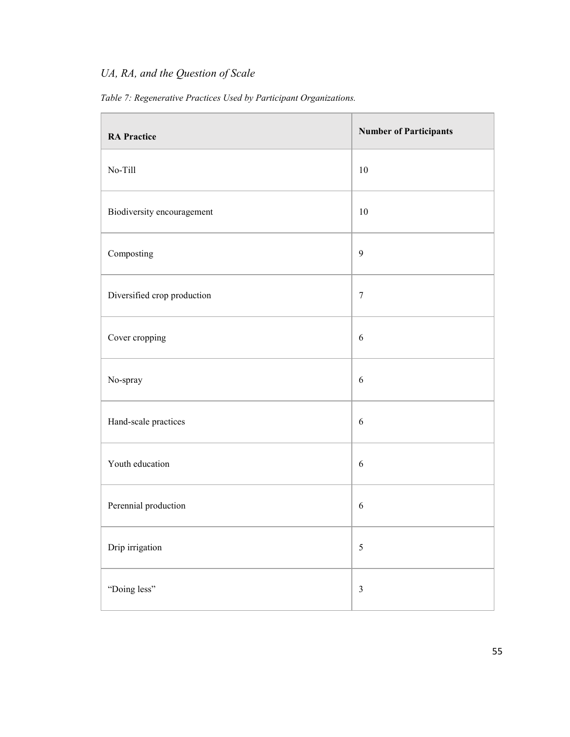# *UA, RA, and the Question of Scale*

*Table 7: Regenerative Practices Used by Participant Organizations.* 

| <b>RA Practice</b>          | <b>Number of Participants</b> |
|-----------------------------|-------------------------------|
| No-Till                     | 10                            |
| Biodiversity encouragement  | 10                            |
| Composting                  | $\boldsymbol{9}$              |
| Diversified crop production | $\tau$                        |
| Cover cropping              | $\boldsymbol{6}$              |
| No-spray                    | $\boldsymbol{6}$              |
| Hand-scale practices        | 6                             |
| Youth education             | 6                             |
| Perennial production        | 6                             |
| Drip irrigation             | $\sqrt{5}$                    |
| "Doing less"                | $\mathfrak{Z}$                |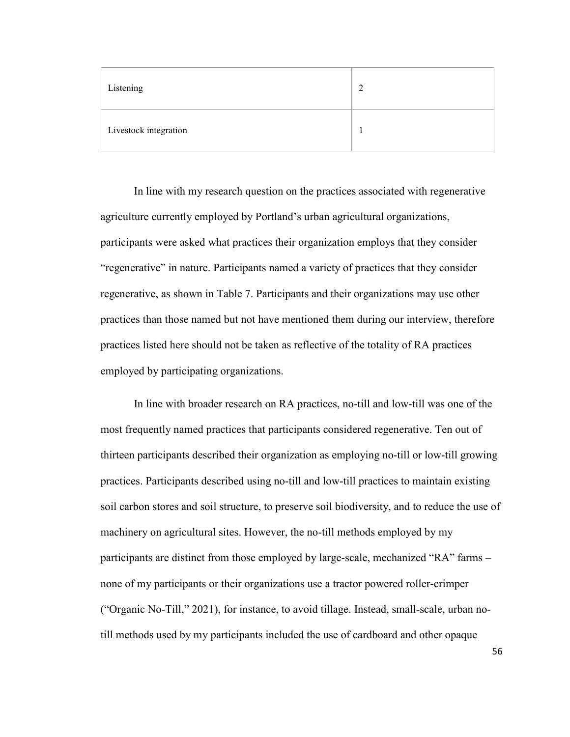| Listening             |  |
|-----------------------|--|
| Livestock integration |  |

In line with my research question on the practices associated with regenerative agriculture currently employed by Portland's urban agricultural organizations, participants were asked what practices their organization employs that they consider "regenerative" in nature. Participants named a variety of practices that they consider regenerative, as shown in Table 7. Participants and their organizations may use other practices than those named but not have mentioned them during our interview, therefore practices listed here should not be taken as reflective of the totality of RA practices employed by participating organizations.

 In line with broader research on RA practices, no-till and low-till was one of the most frequently named practices that participants considered regenerative. Ten out of thirteen participants described their organization as employing no-till or low-till growing practices. Participants described using no-till and low-till practices to maintain existing soil carbon stores and soil structure, to preserve soil biodiversity, and to reduce the use of machinery on agricultural sites. However, the no-till methods employed by my participants are distinct from those employed by large-scale, mechanized "RA" farms – none of my participants or their organizations use a tractor powered roller-crimper ("Organic No-Till," 2021), for instance, to avoid tillage. Instead, small-scale, urban notill methods used by my participants included the use of cardboard and other opaque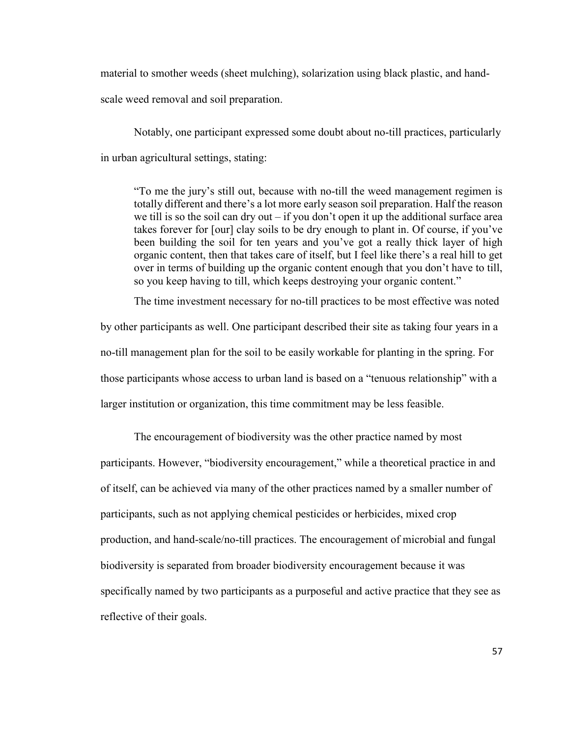material to smother weeds (sheet mulching), solarization using black plastic, and hand-

scale weed removal and soil preparation.

Notably, one participant expressed some doubt about no-till practices, particularly in urban agricultural settings, stating:

"To me the jury's still out, because with no-till the weed management regimen is totally different and there's a lot more early season soil preparation. Half the reason we till is so the soil can dry out  $-$  if you don't open it up the additional surface area takes forever for [our] clay soils to be dry enough to plant in. Of course, if you've been building the soil for ten years and you've got a really thick layer of high organic content, then that takes care of itself, but I feel like there's a real hill to get over in terms of building up the organic content enough that you don't have to till, so you keep having to till, which keeps destroying your organic content."

The time investment necessary for no-till practices to be most effective was noted

by other participants as well. One participant described their site as taking four years in a no-till management plan for the soil to be easily workable for planting in the spring. For those participants whose access to urban land is based on a "tenuous relationship" with a larger institution or organization, this time commitment may be less feasible.

The encouragement of biodiversity was the other practice named by most participants. However, "biodiversity encouragement," while a theoretical practice in and of itself, can be achieved via many of the other practices named by a smaller number of participants, such as not applying chemical pesticides or herbicides, mixed crop production, and hand-scale/no-till practices. The encouragement of microbial and fungal biodiversity is separated from broader biodiversity encouragement because it was specifically named by two participants as a purposeful and active practice that they see as reflective of their goals.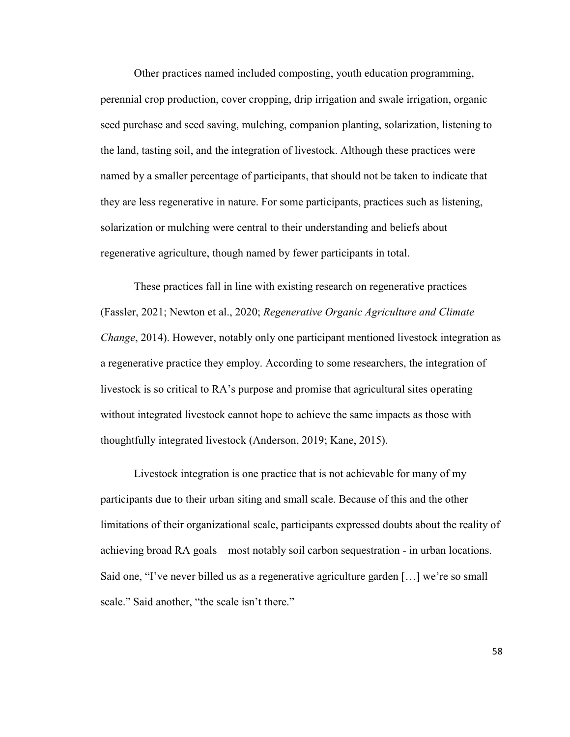Other practices named included composting, youth education programming, perennial crop production, cover cropping, drip irrigation and swale irrigation, organic seed purchase and seed saving, mulching, companion planting, solarization, listening to the land, tasting soil, and the integration of livestock. Although these practices were named by a smaller percentage of participants, that should not be taken to indicate that they are less regenerative in nature. For some participants, practices such as listening, solarization or mulching were central to their understanding and beliefs about regenerative agriculture, though named by fewer participants in total.

 These practices fall in line with existing research on regenerative practices (Fassler, 2021; Newton et al., 2020; *Regenerative Organic Agriculture and Climate Change*, 2014). However, notably only one participant mentioned livestock integration as a regenerative practice they employ. According to some researchers, the integration of livestock is so critical to RA's purpose and promise that agricultural sites operating without integrated livestock cannot hope to achieve the same impacts as those with thoughtfully integrated livestock (Anderson, 2019; Kane, 2015).

 Livestock integration is one practice that is not achievable for many of my participants due to their urban siting and small scale. Because of this and the other limitations of their organizational scale, participants expressed doubts about the reality of achieving broad RA goals – most notably soil carbon sequestration - in urban locations. Said one, "I've never billed us as a regenerative agriculture garden […] we're so small scale." Said another, "the scale isn't there."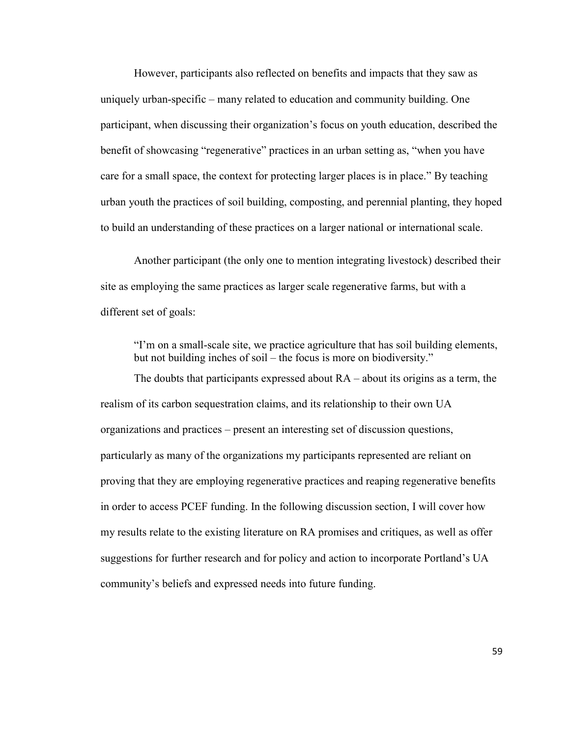However, participants also reflected on benefits and impacts that they saw as uniquely urban-specific – many related to education and community building. One participant, when discussing their organization's focus on youth education, described the benefit of showcasing "regenerative" practices in an urban setting as, "when you have care for a small space, the context for protecting larger places is in place." By teaching urban youth the practices of soil building, composting, and perennial planting, they hoped to build an understanding of these practices on a larger national or international scale.

Another participant (the only one to mention integrating livestock) described their site as employing the same practices as larger scale regenerative farms, but with a different set of goals:

"I'm on a small-scale site, we practice agriculture that has soil building elements, but not building inches of soil – the focus is more on biodiversity."

The doubts that participants expressed about RA – about its origins as a term, the realism of its carbon sequestration claims, and its relationship to their own UA organizations and practices – present an interesting set of discussion questions, particularly as many of the organizations my participants represented are reliant on proving that they are employing regenerative practices and reaping regenerative benefits in order to access PCEF funding. In the following discussion section, I will cover how my results relate to the existing literature on RA promises and critiques, as well as offer suggestions for further research and for policy and action to incorporate Portland's UA community's beliefs and expressed needs into future funding.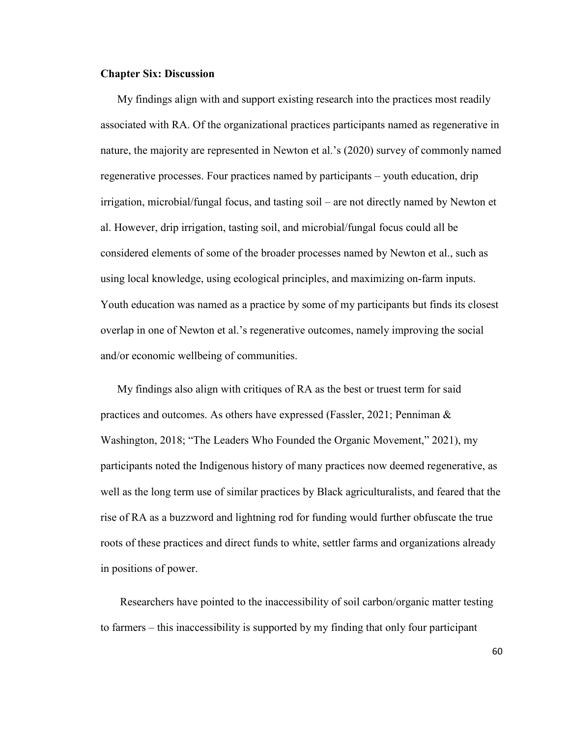#### **Chapter Six: Discussion**

My findings align with and support existing research into the practices most readily associated with RA. Of the organizational practices participants named as regenerative in nature, the majority are represented in Newton et al.'s (2020) survey of commonly named regenerative processes. Four practices named by participants – youth education, drip irrigation, microbial/fungal focus, and tasting soil – are not directly named by Newton et al. However, drip irrigation, tasting soil, and microbial/fungal focus could all be considered elements of some of the broader processes named by Newton et al., such as using local knowledge, using ecological principles, and maximizing on-farm inputs. Youth education was named as a practice by some of my participants but finds its closest overlap in one of Newton et al.'s regenerative outcomes, namely improving the social and/or economic wellbeing of communities.

My findings also align with critiques of RA as the best or truest term for said practices and outcomes. As others have expressed (Fassler, 2021; Penniman & Washington, 2018; "The Leaders Who Founded the Organic Movement," 2021), my participants noted the Indigenous history of many practices now deemed regenerative, as well as the long term use of similar practices by Black agriculturalists, and feared that the rise of RA as a buzzword and lightning rod for funding would further obfuscate the true roots of these practices and direct funds to white, settler farms and organizations already in positions of power.

 Researchers have pointed to the inaccessibility of soil carbon/organic matter testing to farmers – this inaccessibility is supported by my finding that only four participant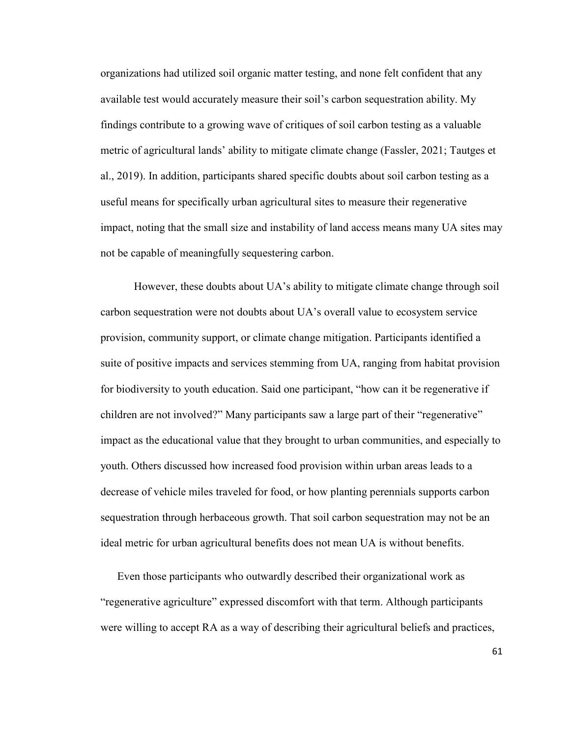organizations had utilized soil organic matter testing, and none felt confident that any available test would accurately measure their soil's carbon sequestration ability. My findings contribute to a growing wave of critiques of soil carbon testing as a valuable metric of agricultural lands' ability to mitigate climate change (Fassler, 2021; Tautges et al., 2019). In addition, participants shared specific doubts about soil carbon testing as a useful means for specifically urban agricultural sites to measure their regenerative impact, noting that the small size and instability of land access means many UA sites may not be capable of meaningfully sequestering carbon.

However, these doubts about UA's ability to mitigate climate change through soil carbon sequestration were not doubts about UA's overall value to ecosystem service provision, community support, or climate change mitigation. Participants identified a suite of positive impacts and services stemming from UA, ranging from habitat provision for biodiversity to youth education. Said one participant, "how can it be regenerative if children are not involved?" Many participants saw a large part of their "regenerative" impact as the educational value that they brought to urban communities, and especially to youth. Others discussed how increased food provision within urban areas leads to a decrease of vehicle miles traveled for food, or how planting perennials supports carbon sequestration through herbaceous growth. That soil carbon sequestration may not be an ideal metric for urban agricultural benefits does not mean UA is without benefits.

Even those participants who outwardly described their organizational work as "regenerative agriculture" expressed discomfort with that term. Although participants were willing to accept RA as a way of describing their agricultural beliefs and practices,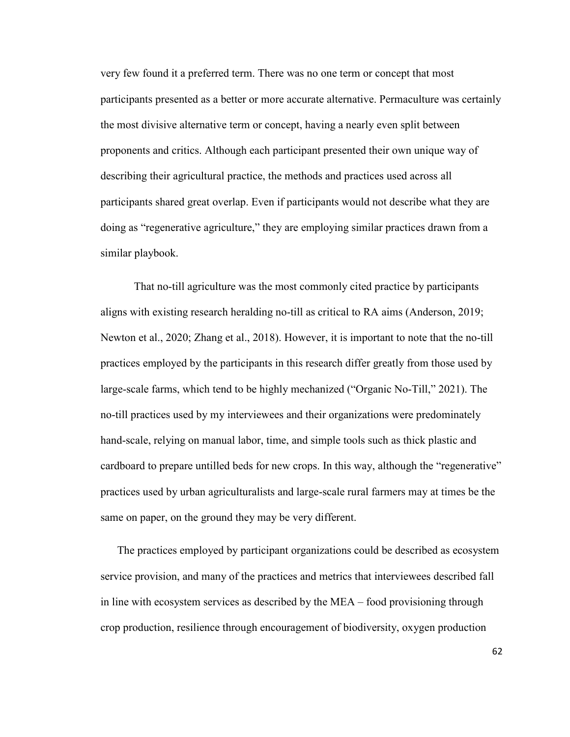very few found it a preferred term. There was no one term or concept that most participants presented as a better or more accurate alternative. Permaculture was certainly the most divisive alternative term or concept, having a nearly even split between proponents and critics. Although each participant presented their own unique way of describing their agricultural practice, the methods and practices used across all participants shared great overlap. Even if participants would not describe what they are doing as "regenerative agriculture," they are employing similar practices drawn from a similar playbook.

That no-till agriculture was the most commonly cited practice by participants aligns with existing research heralding no-till as critical to RA aims (Anderson, 2019; Newton et al., 2020; Zhang et al., 2018). However, it is important to note that the no-till practices employed by the participants in this research differ greatly from those used by large-scale farms, which tend to be highly mechanized ("Organic No-Till," 2021). The no-till practices used by my interviewees and their organizations were predominately hand-scale, relying on manual labor, time, and simple tools such as thick plastic and cardboard to prepare untilled beds for new crops. In this way, although the "regenerative" practices used by urban agriculturalists and large-scale rural farmers may at times be the same on paper, on the ground they may be very different.

The practices employed by participant organizations could be described as ecosystem service provision, and many of the practices and metrics that interviewees described fall in line with ecosystem services as described by the MEA – food provisioning through crop production, resilience through encouragement of biodiversity, oxygen production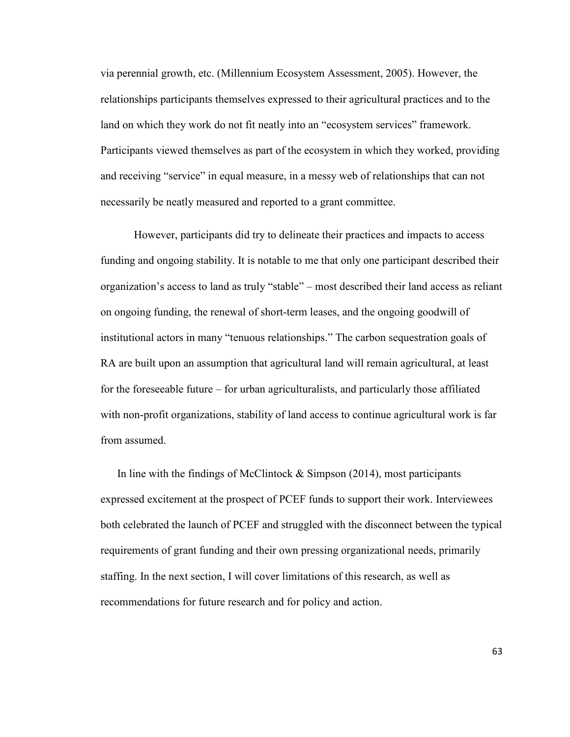via perennial growth, etc. (Millennium Ecosystem Assessment, 2005). However, the relationships participants themselves expressed to their agricultural practices and to the land on which they work do not fit neatly into an "ecosystem services" framework. Participants viewed themselves as part of the ecosystem in which they worked, providing and receiving "service" in equal measure, in a messy web of relationships that can not necessarily be neatly measured and reported to a grant committee.

 However, participants did try to delineate their practices and impacts to access funding and ongoing stability. It is notable to me that only one participant described their organization's access to land as truly "stable" – most described their land access as reliant on ongoing funding, the renewal of short-term leases, and the ongoing goodwill of institutional actors in many "tenuous relationships." The carbon sequestration goals of RA are built upon an assumption that agricultural land will remain agricultural, at least for the foreseeable future – for urban agriculturalists, and particularly those affiliated with non-profit organizations, stability of land access to continue agricultural work is far from assumed.

In line with the findings of McClintock  $\&$  Simpson (2014), most participants expressed excitement at the prospect of PCEF funds to support their work. Interviewees both celebrated the launch of PCEF and struggled with the disconnect between the typical requirements of grant funding and their own pressing organizational needs, primarily staffing. In the next section, I will cover limitations of this research, as well as recommendations for future research and for policy and action.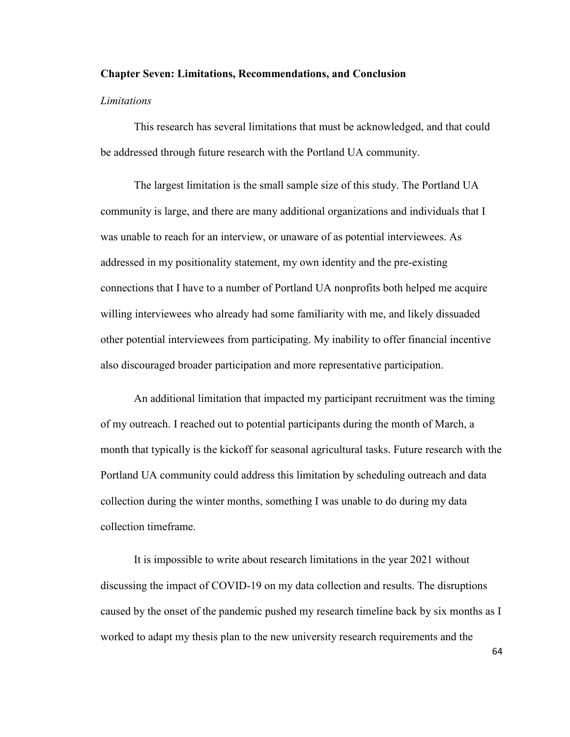#### **Chapter Seven: Limitations, Recommendations, and Conclusion**

#### *Limitations*

This research has several limitations that must be acknowledged, and that could be addressed through future research with the Portland UA community.

The largest limitation is the small sample size of this study. The Portland UA community is large, and there are many additional organizations and individuals that I was unable to reach for an interview, or unaware of as potential interviewees. As addressed in my positionality statement, my own identity and the pre-existing connections that I have to a number of Portland UA nonprofits both helped me acquire willing interviewees who already had some familiarity with me, and likely dissuaded other potential interviewees from participating. My inability to offer financial incentive also discouraged broader participation and more representative participation.

An additional limitation that impacted my participant recruitment was the timing of my outreach. I reached out to potential participants during the month of March, a month that typically is the kickoff for seasonal agricultural tasks. Future research with the Portland UA community could address this limitation by scheduling outreach and data collection during the winter months, something I was unable to do during my data collection timeframe.

It is impossible to write about research limitations in the year 2021 without discussing the impact of COVID-19 on my data collection and results. The disruptions caused by the onset of the pandemic pushed my research timeline back by six months as I worked to adapt my thesis plan to the new university research requirements and the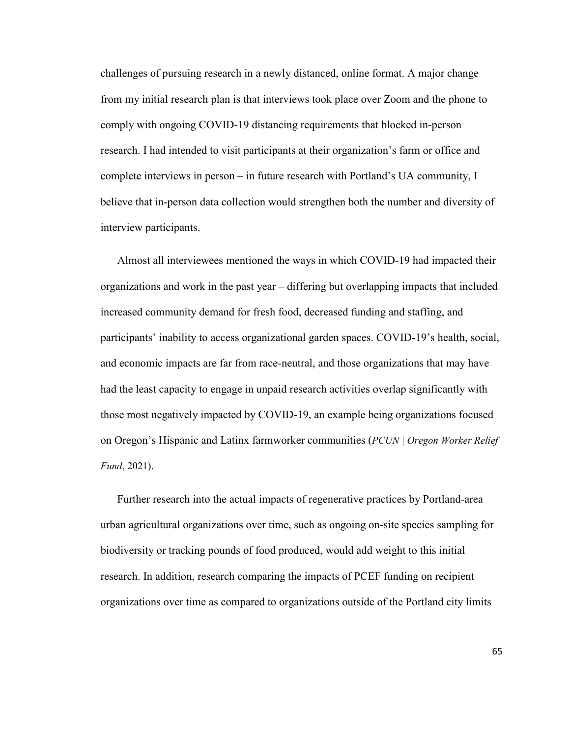challenges of pursuing research in a newly distanced, online format. A major change from my initial research plan is that interviews took place over Zoom and the phone to comply with ongoing COVID-19 distancing requirements that blocked in-person research. I had intended to visit participants at their organization's farm or office and complete interviews in person – in future research with Portland's UA community, I believe that in-person data collection would strengthen both the number and diversity of interview participants.

Almost all interviewees mentioned the ways in which COVID-19 had impacted their organizations and work in the past year – differing but overlapping impacts that included increased community demand for fresh food, decreased funding and staffing, and participants' inability to access organizational garden spaces. COVID-19's health, social, and economic impacts are far from race-neutral, and those organizations that may have had the least capacity to engage in unpaid research activities overlap significantly with those most negatively impacted by COVID-19, an example being organizations focused on Oregon's Hispanic and Latinx farmworker communities (*PCUN | Oregon Worker Relief Fund*, 2021).

Further research into the actual impacts of regenerative practices by Portland-area urban agricultural organizations over time, such as ongoing on-site species sampling for biodiversity or tracking pounds of food produced, would add weight to this initial research. In addition, research comparing the impacts of PCEF funding on recipient organizations over time as compared to organizations outside of the Portland city limits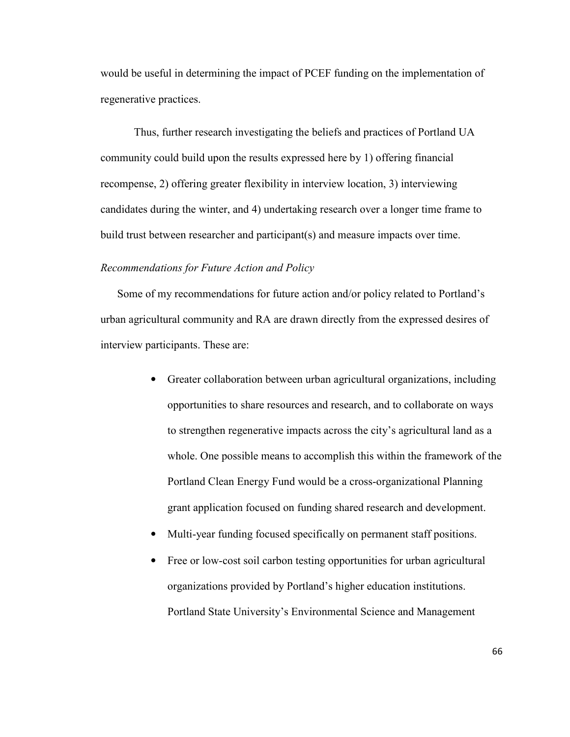would be useful in determining the impact of PCEF funding on the implementation of regenerative practices.

Thus, further research investigating the beliefs and practices of Portland UA community could build upon the results expressed here by 1) offering financial recompense, 2) offering greater flexibility in interview location, 3) interviewing candidates during the winter, and 4) undertaking research over a longer time frame to build trust between researcher and participant(s) and measure impacts over time.

#### *Recommendations for Future Action and Policy*

Some of my recommendations for future action and/or policy related to Portland's urban agricultural community and RA are drawn directly from the expressed desires of interview participants. These are:

- Greater collaboration between urban agricultural organizations, including opportunities to share resources and research, and to collaborate on ways to strengthen regenerative impacts across the city's agricultural land as a whole. One possible means to accomplish this within the framework of the Portland Clean Energy Fund would be a cross-organizational Planning grant application focused on funding shared research and development.
- Multi-year funding focused specifically on permanent staff positions.
- Free or low-cost soil carbon testing opportunities for urban agricultural organizations provided by Portland's higher education institutions. Portland State University's Environmental Science and Management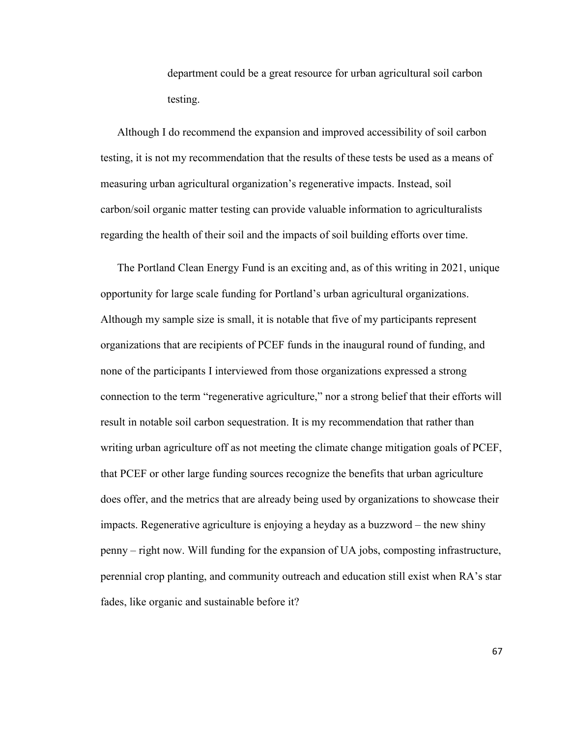department could be a great resource for urban agricultural soil carbon testing.

Although I do recommend the expansion and improved accessibility of soil carbon testing, it is not my recommendation that the results of these tests be used as a means of measuring urban agricultural organization's regenerative impacts. Instead, soil carbon/soil organic matter testing can provide valuable information to agriculturalists regarding the health of their soil and the impacts of soil building efforts over time.

The Portland Clean Energy Fund is an exciting and, as of this writing in 2021, unique opportunity for large scale funding for Portland's urban agricultural organizations. Although my sample size is small, it is notable that five of my participants represent organizations that are recipients of PCEF funds in the inaugural round of funding, and none of the participants I interviewed from those organizations expressed a strong connection to the term "regenerative agriculture," nor a strong belief that their efforts will result in notable soil carbon sequestration. It is my recommendation that rather than writing urban agriculture off as not meeting the climate change mitigation goals of PCEF, that PCEF or other large funding sources recognize the benefits that urban agriculture does offer, and the metrics that are already being used by organizations to showcase their impacts. Regenerative agriculture is enjoying a heyday as a buzzword – the new shiny penny – right now. Will funding for the expansion of UA jobs, composting infrastructure, perennial crop planting, and community outreach and education still exist when RA's star fades, like organic and sustainable before it?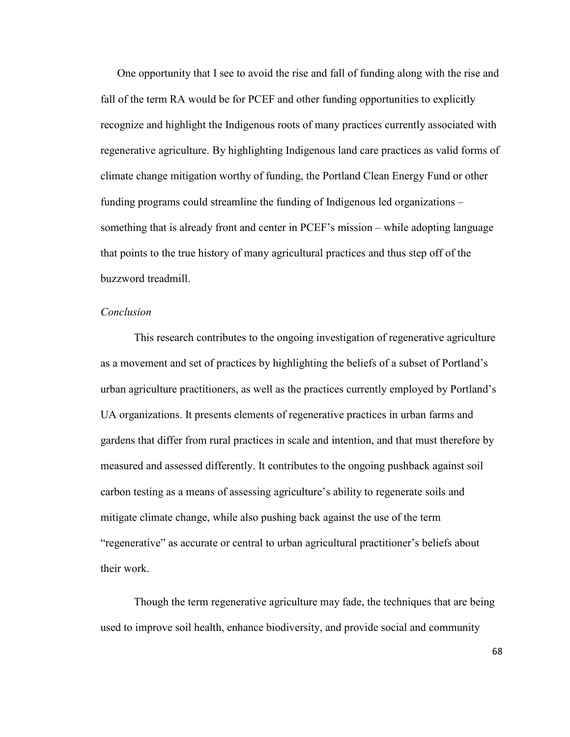One opportunity that I see to avoid the rise and fall of funding along with the rise and fall of the term RA would be for PCEF and other funding opportunities to explicitly recognize and highlight the Indigenous roots of many practices currently associated with regenerative agriculture. By highlighting Indigenous land care practices as valid forms of climate change mitigation worthy of funding, the Portland Clean Energy Fund or other funding programs could streamline the funding of Indigenous led organizations – something that is already front and center in PCEF's mission – while adopting language that points to the true history of many agricultural practices and thus step off of the buzzword treadmill.

#### *Conclusion*

 This research contributes to the ongoing investigation of regenerative agriculture as a movement and set of practices by highlighting the beliefs of a subset of Portland's urban agriculture practitioners, as well as the practices currently employed by Portland's UA organizations. It presents elements of regenerative practices in urban farms and gardens that differ from rural practices in scale and intention, and that must therefore by measured and assessed differently. It contributes to the ongoing pushback against soil carbon testing as a means of assessing agriculture's ability to regenerate soils and mitigate climate change, while also pushing back against the use of the term "regenerative" as accurate or central to urban agricultural practitioner's beliefs about their work.

 Though the term regenerative agriculture may fade, the techniques that are being used to improve soil health, enhance biodiversity, and provide social and community

68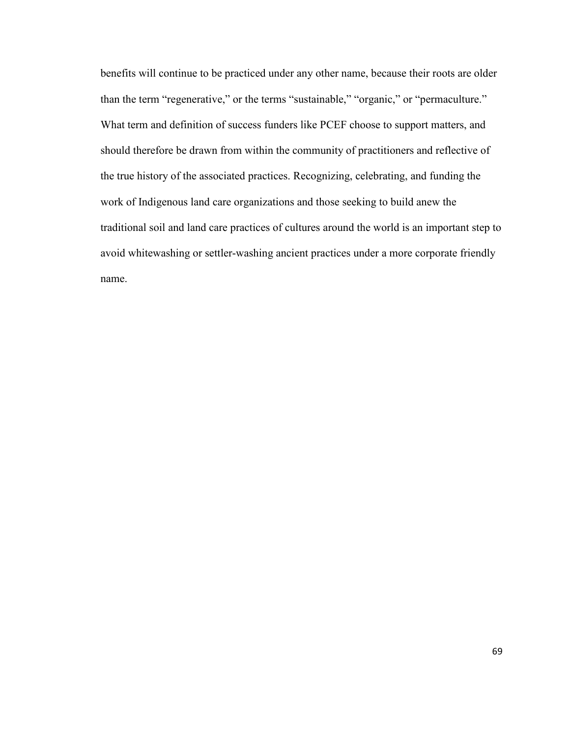benefits will continue to be practiced under any other name, because their roots are older than the term "regenerative," or the terms "sustainable," "organic," or "permaculture." What term and definition of success funders like PCEF choose to support matters, and should therefore be drawn from within the community of practitioners and reflective of the true history of the associated practices. Recognizing, celebrating, and funding the work of Indigenous land care organizations and those seeking to build anew the traditional soil and land care practices of cultures around the world is an important step to avoid whitewashing or settler-washing ancient practices under a more corporate friendly name.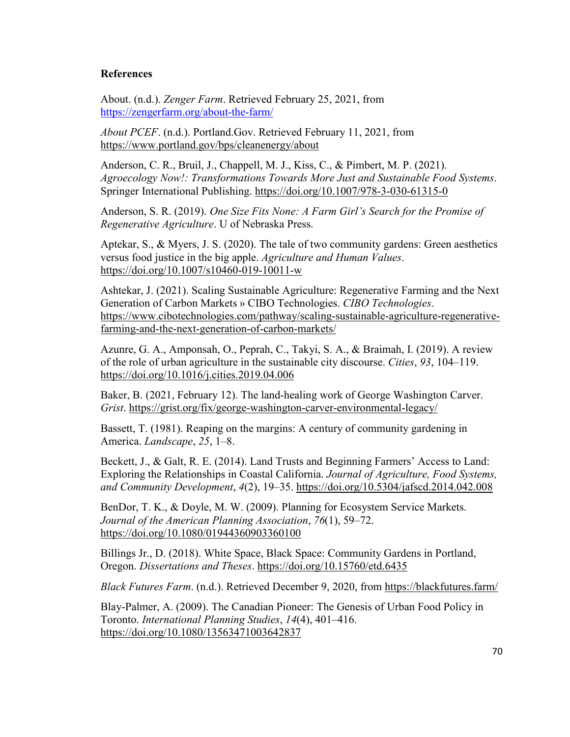## **References**

About. (n.d.). *Zenger Farm*. Retrieved February 25, 2021, from https://zengerfarm.org/about-the-farm/

*About PCEF*. (n.d.). Portland.Gov. Retrieved February 11, 2021, from https://www.portland.gov/bps/cleanenergy/about

Anderson, C. R., Bruil, J., Chappell, M. J., Kiss, C., & Pimbert, M. P. (2021). *Agroecology Now!: Transformations Towards More Just and Sustainable Food Systems*. Springer International Publishing. https://doi.org/10.1007/978-3-030-61315-0

Anderson, S. R. (2019). *One Size Fits None: A Farm Girl's Search for the Promise of Regenerative Agriculture*. U of Nebraska Press.

Aptekar, S., & Myers, J. S. (2020). The tale of two community gardens: Green aesthetics versus food justice in the big apple. *Agriculture and Human Values*. https://doi.org/10.1007/s10460-019-10011-w

Ashtekar, J. (2021). Scaling Sustainable Agriculture: Regenerative Farming and the Next Generation of Carbon Markets » CIBO Technologies. *CIBO Technologies*. https://www.cibotechnologies.com/pathway/scaling-sustainable-agriculture-regenerativefarming-and-the-next-generation-of-carbon-markets/

Azunre, G. A., Amponsah, O., Peprah, C., Takyi, S. A., & Braimah, I. (2019). A review of the role of urban agriculture in the sustainable city discourse. *Cities*, *93*, 104–119. https://doi.org/10.1016/j.cities.2019.04.006

Baker, B. (2021, February 12). The land-healing work of George Washington Carver. *Grist*. https://grist.org/fix/george-washington-carver-environmental-legacy/

Bassett, T. (1981). Reaping on the margins: A century of community gardening in America. *Landscape*, *25*, 1–8.

Beckett, J., & Galt, R. E. (2014). Land Trusts and Beginning Farmers' Access to Land: Exploring the Relationships in Coastal California. *Journal of Agriculture, Food Systems, and Community Development*, *4*(2), 19–35. https://doi.org/10.5304/jafscd.2014.042.008

BenDor, T. K., & Doyle, M. W. (2009). Planning for Ecosystem Service Markets. *Journal of the American Planning Association*, *76*(1), 59–72. https://doi.org/10.1080/01944360903360100

Billings Jr., D. (2018). White Space, Black Space: Community Gardens in Portland, Oregon. *Dissertations and Theses*. https://doi.org/10.15760/etd.6435

*Black Futures Farm*. (n.d.). Retrieved December 9, 2020, from https://blackfutures.farm/

Blay-Palmer, A. (2009). The Canadian Pioneer: The Genesis of Urban Food Policy in Toronto. *International Planning Studies*, *14*(4), 401–416. https://doi.org/10.1080/13563471003642837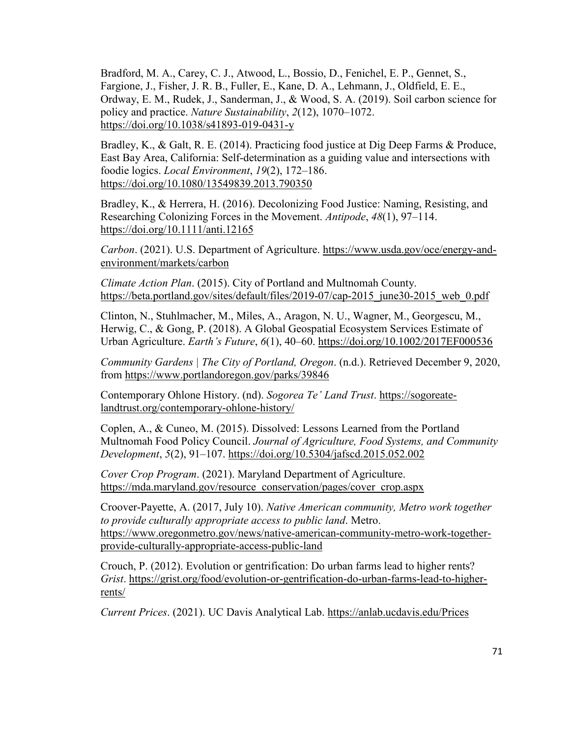Bradford, M. A., Carey, C. J., Atwood, L., Bossio, D., Fenichel, E. P., Gennet, S., Fargione, J., Fisher, J. R. B., Fuller, E., Kane, D. A., Lehmann, J., Oldfield, E. E., Ordway, E. M., Rudek, J., Sanderman, J., & Wood, S. A. (2019). Soil carbon science for policy and practice. *Nature Sustainability*, *2*(12), 1070–1072. https://doi.org/10.1038/s41893-019-0431-y

Bradley, K., & Galt, R. E. (2014). Practicing food justice at Dig Deep Farms & Produce, East Bay Area, California: Self-determination as a guiding value and intersections with foodie logics. *Local Environment*, *19*(2), 172–186. https://doi.org/10.1080/13549839.2013.790350

Bradley, K., & Herrera, H. (2016). Decolonizing Food Justice: Naming, Resisting, and Researching Colonizing Forces in the Movement. *Antipode*, *48*(1), 97–114. https://doi.org/10.1111/anti.12165

*Carbon*. (2021). U.S. Department of Agriculture. https://www.usda.gov/oce/energy-andenvironment/markets/carbon

*Climate Action Plan*. (2015). City of Portland and Multnomah County. https://beta.portland.gov/sites/default/files/2019-07/cap-2015 june30-2015 web 0.pdf

Clinton, N., Stuhlmacher, M., Miles, A., Aragon, N. U., Wagner, M., Georgescu, M., Herwig, C., & Gong, P. (2018). A Global Geospatial Ecosystem Services Estimate of Urban Agriculture. *Earth's Future*, *6*(1), 40–60. https://doi.org/10.1002/2017EF000536

*Community Gardens | The City of Portland, Oregon*. (n.d.). Retrieved December 9, 2020, from https://www.portlandoregon.gov/parks/39846

Contemporary Ohlone History. (nd). *Sogorea Te' Land Trust*. https://sogoreatelandtrust.org/contemporary-ohlone-history/

Coplen, A., & Cuneo, M. (2015). Dissolved: Lessons Learned from the Portland Multnomah Food Policy Council. *Journal of Agriculture, Food Systems, and Community Development*, *5*(2), 91–107. https://doi.org/10.5304/jafscd.2015.052.002

*Cover Crop Program*. (2021). Maryland Department of Agriculture. https://mda.maryland.gov/resource\_conservation/pages/cover\_crop.aspx

Croover-Payette, A. (2017, July 10). *Native American community, Metro work together to provide culturally appropriate access to public land*. Metro. https://www.oregonmetro.gov/news/native-american-community-metro-work-togetherprovide-culturally-appropriate-access-public-land

Crouch, P. (2012). Evolution or gentrification: Do urban farms lead to higher rents? *Grist*. https://grist.org/food/evolution-or-gentrification-do-urban-farms-lead-to-higherrents/

*Current Prices*. (2021). UC Davis Analytical Lab. https://anlab.ucdavis.edu/Prices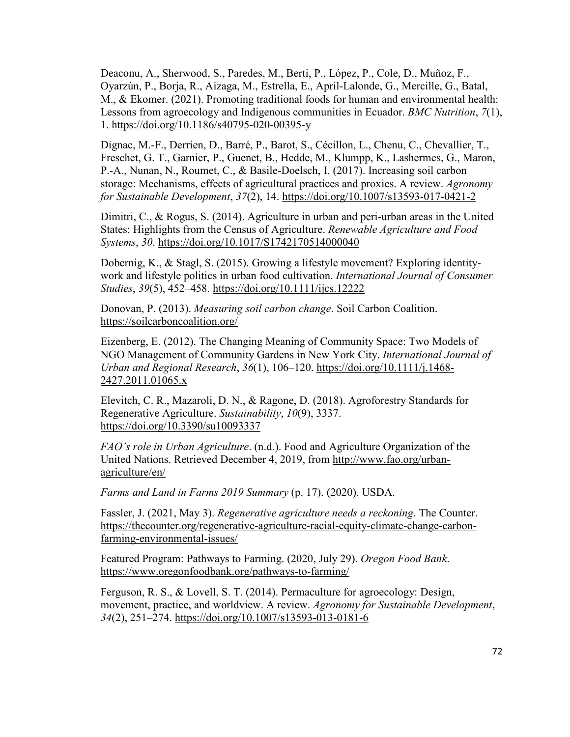Deaconu, A., Sherwood, S., Paredes, M., Berti, P., López, P., Cole, D., Muñoz, F., Oyarzún, P., Borja, R., Aizaga, M., Estrella, E., April-Lalonde, G., Mercille, G., Batal, M., & Ekomer. (2021). Promoting traditional foods for human and environmental health: Lessons from agroecology and Indigenous communities in Ecuador. *BMC Nutrition*, *7*(1), 1. https://doi.org/10.1186/s40795-020-00395-y

Dignac, M.-F., Derrien, D., Barré, P., Barot, S., Cécillon, L., Chenu, C., Chevallier, T., Freschet, G. T., Garnier, P., Guenet, B., Hedde, M., Klumpp, K., Lashermes, G., Maron, P.-A., Nunan, N., Roumet, C., & Basile-Doelsch, I. (2017). Increasing soil carbon storage: Mechanisms, effects of agricultural practices and proxies. A review. *Agronomy for Sustainable Development*, *37*(2), 14. https://doi.org/10.1007/s13593-017-0421-2

Dimitri, C., & Rogus, S. (2014). Agriculture in urban and peri-urban areas in the United States: Highlights from the Census of Agriculture. *Renewable Agriculture and Food Systems*, *30*. https://doi.org/10.1017/S1742170514000040

Dobernig, K., & Stagl, S. (2015). Growing a lifestyle movement? Exploring identitywork and lifestyle politics in urban food cultivation. *International Journal of Consumer Studies*, *39*(5), 452–458. https://doi.org/10.1111/ijcs.12222

Donovan, P. (2013). *Measuring soil carbon change*. Soil Carbon Coalition. https://soilcarboncoalition.org/

Eizenberg, E. (2012). The Changing Meaning of Community Space: Two Models of NGO Management of Community Gardens in New York City. *International Journal of Urban and Regional Research*, *36*(1), 106–120. https://doi.org/10.1111/j.1468- 2427.2011.01065.x

Elevitch, C. R., Mazaroli, D. N., & Ragone, D. (2018). Agroforestry Standards for Regenerative Agriculture. *Sustainability*, *10*(9), 3337. https://doi.org/10.3390/su10093337

*FAO's role in Urban Agriculture*. (n.d.). Food and Agriculture Organization of the United Nations. Retrieved December 4, 2019, from http://www.fao.org/urbanagriculture/en/

*Farms and Land in Farms 2019 Summary* (p. 17). (2020). USDA.

Fassler, J. (2021, May 3). *Regenerative agriculture needs a reckoning*. The Counter. https://thecounter.org/regenerative-agriculture-racial-equity-climate-change-carbonfarming-environmental-issues/

Featured Program: Pathways to Farming. (2020, July 29). *Oregon Food Bank*. https://www.oregonfoodbank.org/pathways-to-farming/

Ferguson, R. S., & Lovell, S. T. (2014). Permaculture for agroecology: Design, movement, practice, and worldview. A review. *Agronomy for Sustainable Development*, *34*(2), 251–274. https://doi.org/10.1007/s13593-013-0181-6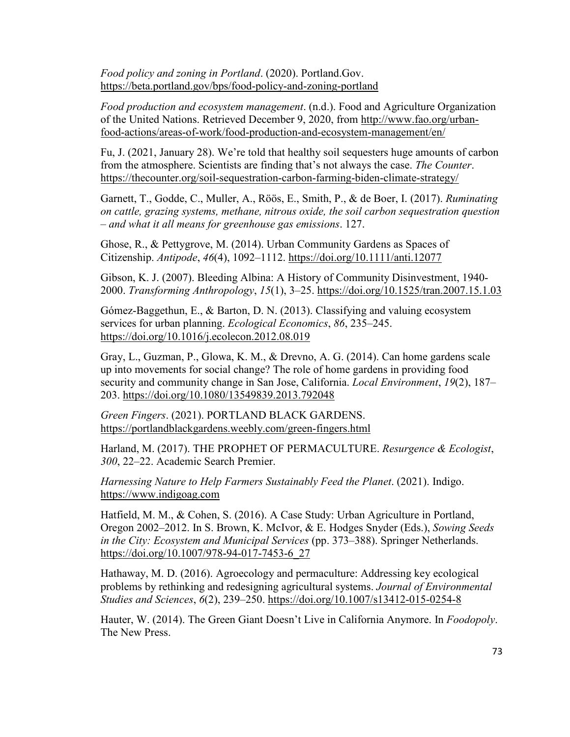*Food policy and zoning in Portland*. (2020). Portland.Gov. https://beta.portland.gov/bps/food-policy-and-zoning-portland

*Food production and ecosystem management*. (n.d.). Food and Agriculture Organization of the United Nations. Retrieved December 9, 2020, from http://www.fao.org/urbanfood-actions/areas-of-work/food-production-and-ecosystem-management/en/

Fu, J. (2021, January 28). We're told that healthy soil sequesters huge amounts of carbon from the atmosphere. Scientists are finding that's not always the case. *The Counter*. https://thecounter.org/soil-sequestration-carbon-farming-biden-climate-strategy/

Garnett, T., Godde, C., Muller, A., Röös, E., Smith, P., & de Boer, I. (2017). *Ruminating on cattle, grazing systems, methane, nitrous oxide, the soil carbon sequestration question – and what it all means for greenhouse gas emissions*. 127.

Ghose, R., & Pettygrove, M. (2014). Urban Community Gardens as Spaces of Citizenship. *Antipode*, *46*(4), 1092–1112. https://doi.org/10.1111/anti.12077

Gibson, K. J. (2007). Bleeding Albina: A History of Community Disinvestment, 1940- 2000. *Transforming Anthropology*, *15*(1), 3–25. https://doi.org/10.1525/tran.2007.15.1.03

Gómez-Baggethun, E., & Barton, D. N. (2013). Classifying and valuing ecosystem services for urban planning. *Ecological Economics*, *86*, 235–245. https://doi.org/10.1016/j.ecolecon.2012.08.019

Gray, L., Guzman, P., Glowa, K. M., & Drevno, A. G. (2014). Can home gardens scale up into movements for social change? The role of home gardens in providing food security and community change in San Jose, California. *Local Environment*, *19*(2), 187– 203. https://doi.org/10.1080/13549839.2013.792048

*Green Fingers*. (2021). PORTLAND BLACK GARDENS. https://portlandblackgardens.weebly.com/green-fingers.html

Harland, M. (2017). THE PROPHET OF PERMACULTURE. *Resurgence & Ecologist*, *300*, 22–22. Academic Search Premier.

*Harnessing Nature to Help Farmers Sustainably Feed the Planet*. (2021). Indigo. https://www.indigoag.com

Hatfield, M. M., & Cohen, S. (2016). A Case Study: Urban Agriculture in Portland, Oregon 2002–2012. In S. Brown, K. McIvor, & E. Hodges Snyder (Eds.), *Sowing Seeds in the City: Ecosystem and Municipal Services* (pp. 373–388). Springer Netherlands. https://doi.org/10.1007/978-94-017-7453-6\_27

Hathaway, M. D. (2016). Agroecology and permaculture: Addressing key ecological problems by rethinking and redesigning agricultural systems. *Journal of Environmental Studies and Sciences*, *6*(2), 239–250. https://doi.org/10.1007/s13412-015-0254-8

Hauter, W. (2014). The Green Giant Doesn't Live in California Anymore. In *Foodopoly*. The New Press.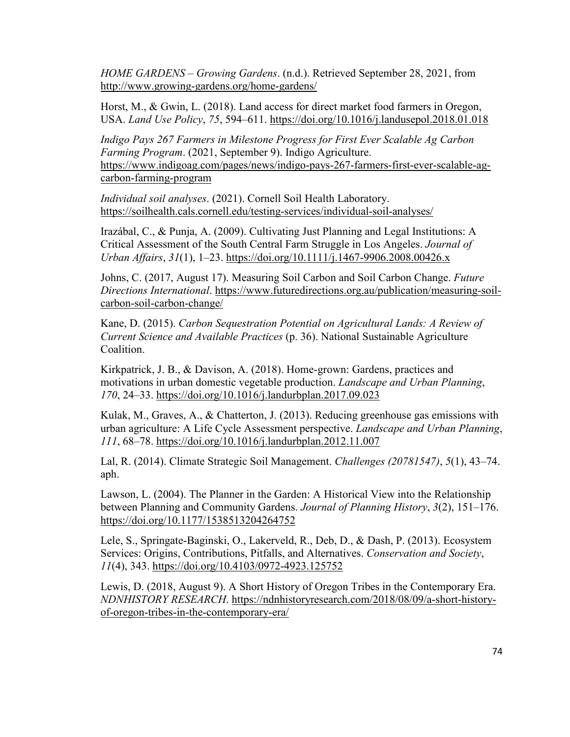*HOME GARDENS – Growing Gardens*. (n.d.). Retrieved September 28, 2021, from http://www.growing-gardens.org/home-gardens/

Horst, M., & Gwin, L. (2018). Land access for direct market food farmers in Oregon, USA. *Land Use Policy*, *75*, 594–611. https://doi.org/10.1016/j.landusepol.2018.01.018

*Indigo Pays 267 Farmers in Milestone Progress for First Ever Scalable Ag Carbon Farming Program*. (2021, September 9). Indigo Agriculture. https://www.indigoag.com/pages/news/indigo-pays-267-farmers-first-ever-scalable-agcarbon-farming-program

*Individual soil analyses*. (2021). Cornell Soil Health Laboratory. https://soilhealth.cals.cornell.edu/testing-services/individual-soil-analyses/

Irazábal, C., & Punja, A. (2009). Cultivating Just Planning and Legal Institutions: A Critical Assessment of the South Central Farm Struggle in Los Angeles. *Journal of Urban Affairs*, *31*(1), 1–23. https://doi.org/10.1111/j.1467-9906.2008.00426.x

Johns, C. (2017, August 17). Measuring Soil Carbon and Soil Carbon Change. *Future Directions International*. https://www.futuredirections.org.au/publication/measuring-soilcarbon-soil-carbon-change/

Kane, D. (2015). *Carbon Sequestration Potential on Agricultural Lands: A Review of Current Science and Available Practices* (p. 36). National Sustainable Agriculture Coalition.

Kirkpatrick, J. B., & Davison, A. (2018). Home-grown: Gardens, practices and motivations in urban domestic vegetable production. *Landscape and Urban Planning*, *170*, 24–33. https://doi.org/10.1016/j.landurbplan.2017.09.023

Kulak, M., Graves, A., & Chatterton, J. (2013). Reducing greenhouse gas emissions with urban agriculture: A Life Cycle Assessment perspective. *Landscape and Urban Planning*, *111*, 68–78. https://doi.org/10.1016/j.landurbplan.2012.11.007

Lal, R. (2014). Climate Strategic Soil Management. *Challenges (20781547)*, *5*(1), 43–74. aph.

Lawson, L. (2004). The Planner in the Garden: A Historical View into the Relationship between Planning and Community Gardens. *Journal of Planning History*, *3*(2), 151–176. https://doi.org/10.1177/1538513204264752

Lele, S., Springate-Baginski, O., Lakerveld, R., Deb, D., & Dash, P. (2013). Ecosystem Services: Origins, Contributions, Pitfalls, and Alternatives. *Conservation and Society*, *11*(4), 343. https://doi.org/10.4103/0972-4923.125752

Lewis, D. (2018, August 9). A Short History of Oregon Tribes in the Contemporary Era. *NDNHISTORY RESEARCH*. https://ndnhistoryresearch.com/2018/08/09/a-short-historyof-oregon-tribes-in-the-contemporary-era/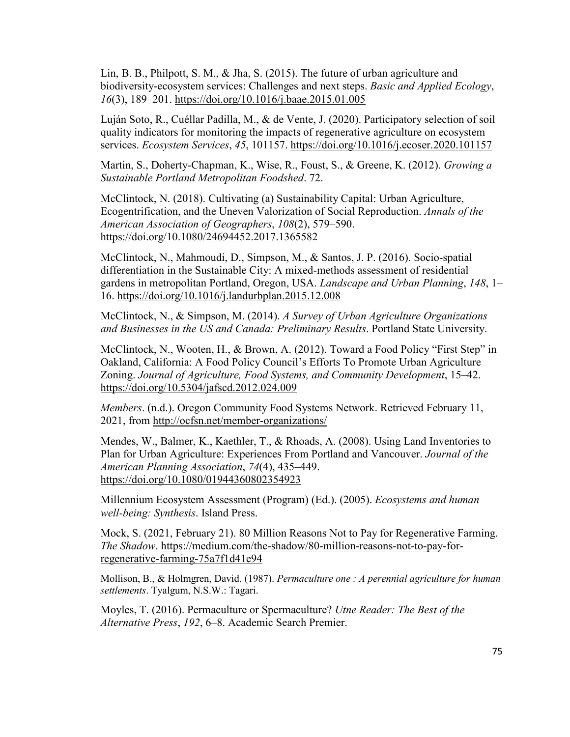Lin, B. B., Philpott, S. M., & Jha, S. (2015). The future of urban agriculture and biodiversity-ecosystem services: Challenges and next steps. *Basic and Applied Ecology*, *16*(3), 189–201. https://doi.org/10.1016/j.baae.2015.01.005

Luján Soto, R., Cuéllar Padilla, M., & de Vente, J. (2020). Participatory selection of soil quality indicators for monitoring the impacts of regenerative agriculture on ecosystem services. *Ecosystem Services*, *45*, 101157. https://doi.org/10.1016/j.ecoser.2020.101157

Martin, S., Doherty-Chapman, K., Wise, R., Foust, S., & Greene, K. (2012). *Growing a Sustainable Portland Metropolitan Foodshed*. 72.

McClintock, N. (2018). Cultivating (a) Sustainability Capital: Urban Agriculture, Ecogentrification, and the Uneven Valorization of Social Reproduction. *Annals of the American Association of Geographers*, *108*(2), 579–590. https://doi.org/10.1080/24694452.2017.1365582

McClintock, N., Mahmoudi, D., Simpson, M., & Santos, J. P. (2016). Socio-spatial differentiation in the Sustainable City: A mixed-methods assessment of residential gardens in metropolitan Portland, Oregon, USA. *Landscape and Urban Planning*, *148*, 1– 16. https://doi.org/10.1016/j.landurbplan.2015.12.008

McClintock, N., & Simpson, M. (2014). *A Survey of Urban Agriculture Organizations and Businesses in the US and Canada: Preliminary Results*. Portland State University.

McClintock, N., Wooten, H., & Brown, A. (2012). Toward a Food Policy "First Step" in Oakland, California: A Food Policy Council's Efforts To Promote Urban Agriculture Zoning. *Journal of Agriculture, Food Systems, and Community Development*, 15–42. https://doi.org/10.5304/jafscd.2012.024.009

*Members*. (n.d.). Oregon Community Food Systems Network. Retrieved February 11, 2021, from http://ocfsn.net/member-organizations/

Mendes, W., Balmer, K., Kaethler, T., & Rhoads, A. (2008). Using Land Inventories to Plan for Urban Agriculture: Experiences From Portland and Vancouver. *Journal of the American Planning Association*, *74*(4), 435–449. https://doi.org/10.1080/01944360802354923

Millennium Ecosystem Assessment (Program) (Ed.). (2005). *Ecosystems and human well-being: Synthesis*. Island Press.

Mock, S. (2021, February 21). 80 Million Reasons Not to Pay for Regenerative Farming. *The Shadow*. https://medium.com/the-shadow/80-million-reasons-not-to-pay-forregenerative-farming-75a7f1d41e94

Mollison, B., & Holmgren, David. (1987). *Permaculture one : A perennial agriculture for human settlements*. Tyalgum, N.S.W.: Tagari.

Moyles, T. (2016). Permaculture or Spermaculture? *Utne Reader: The Best of the Alternative Press*, *192*, 6–8. Academic Search Premier.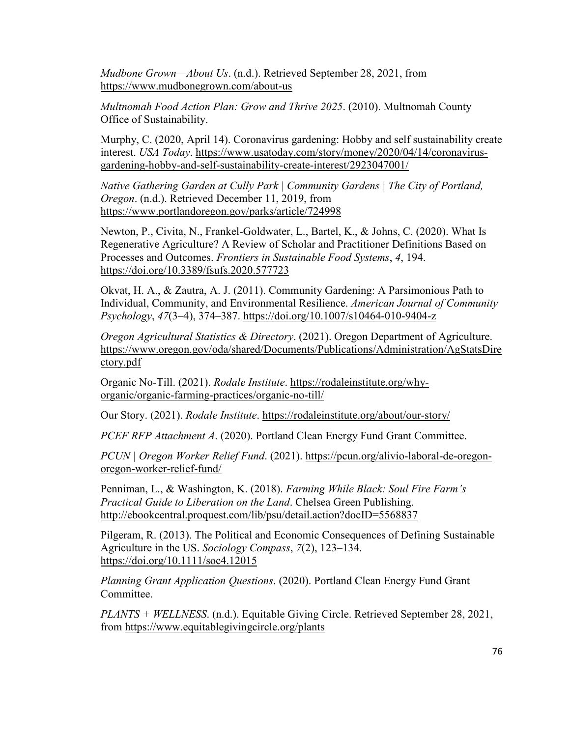*Mudbone Grown—About Us*. (n.d.). Retrieved September 28, 2021, from https://www.mudbonegrown.com/about-us

*Multnomah Food Action Plan: Grow and Thrive 2025*. (2010). Multnomah County Office of Sustainability.

Murphy, C. (2020, April 14). Coronavirus gardening: Hobby and self sustainability create interest. *USA Today*. https://www.usatoday.com/story/money/2020/04/14/coronavirusgardening-hobby-and-self-sustainability-create-interest/2923047001/

*Native Gathering Garden at Cully Park | Community Gardens | The City of Portland, Oregon*. (n.d.). Retrieved December 11, 2019, from https://www.portlandoregon.gov/parks/article/724998

Newton, P., Civita, N., Frankel-Goldwater, L., Bartel, K., & Johns, C. (2020). What Is Regenerative Agriculture? A Review of Scholar and Practitioner Definitions Based on Processes and Outcomes. *Frontiers in Sustainable Food Systems*, *4*, 194. https://doi.org/10.3389/fsufs.2020.577723

Okvat, H. A., & Zautra, A. J. (2011). Community Gardening: A Parsimonious Path to Individual, Community, and Environmental Resilience. *American Journal of Community Psychology*, *47*(3–4), 374–387. https://doi.org/10.1007/s10464-010-9404-z

*Oregon Agricultural Statistics & Directory*. (2021). Oregon Department of Agriculture. https://www.oregon.gov/oda/shared/Documents/Publications/Administration/AgStatsDire ctory.pdf

Organic No-Till. (2021). *Rodale Institute*. https://rodaleinstitute.org/whyorganic/organic-farming-practices/organic-no-till/

Our Story. (2021). *Rodale Institute*. https://rodaleinstitute.org/about/our-story/

*PCEF RFP Attachment A*. (2020). Portland Clean Energy Fund Grant Committee.

*PCUN | Oregon Worker Relief Fund*. (2021). https://pcun.org/alivio-laboral-de-oregonoregon-worker-relief-fund/

Penniman, L., & Washington, K. (2018). *Farming While Black: Soul Fire Farm's Practical Guide to Liberation on the Land*. Chelsea Green Publishing. http://ebookcentral.proquest.com/lib/psu/detail.action?docID=5568837

Pilgeram, R. (2013). The Political and Economic Consequences of Defining Sustainable Agriculture in the US. *Sociology Compass*, *7*(2), 123–134. https://doi.org/10.1111/soc4.12015

*Planning Grant Application Questions*. (2020). Portland Clean Energy Fund Grant Committee.

*PLANTS + WELLNESS*. (n.d.). Equitable Giving Circle. Retrieved September 28, 2021, from https://www.equitablegivingcircle.org/plants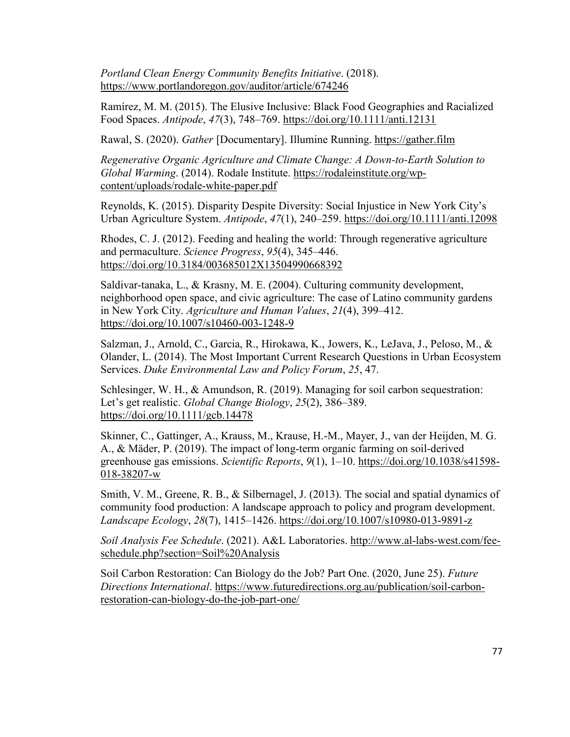*Portland Clean Energy Community Benefits Initiative*. (2018). https://www.portlandoregon.gov/auditor/article/674246

Ramírez, M. M. (2015). The Elusive Inclusive: Black Food Geographies and Racialized Food Spaces. *Antipode*, *47*(3), 748–769. https://doi.org/10.1111/anti.12131

Rawal, S. (2020). *Gather* [Documentary]. Illumine Running. https://gather.film

*Regenerative Organic Agriculture and Climate Change: A Down-to-Earth Solution to Global Warming*. (2014). Rodale Institute. https://rodaleinstitute.org/wpcontent/uploads/rodale-white-paper.pdf

Reynolds, K. (2015). Disparity Despite Diversity: Social Injustice in New York City's Urban Agriculture System. *Antipode*, *47*(1), 240–259. https://doi.org/10.1111/anti.12098

Rhodes, C. J. (2012). Feeding and healing the world: Through regenerative agriculture and permaculture. *Science Progress*, *95*(4), 345–446. https://doi.org/10.3184/003685012X13504990668392

Saldivar-tanaka, L., & Krasny, M. E. (2004). Culturing community development, neighborhood open space, and civic agriculture: The case of Latino community gardens in New York City. *Agriculture and Human Values*, *21*(4), 399–412. https://doi.org/10.1007/s10460-003-1248-9

Salzman, J., Arnold, C., Garcia, R., Hirokawa, K., Jowers, K., LeJava, J., Peloso, M., & Olander, L. (2014). The Most Important Current Research Questions in Urban Ecosystem Services. *Duke Environmental Law and Policy Forum*, *25*, 47.

Schlesinger, W. H., & Amundson, R. (2019). Managing for soil carbon sequestration: Let's get realistic. *Global Change Biology*, *25*(2), 386–389. https://doi.org/10.1111/gcb.14478

Skinner, C., Gattinger, A., Krauss, M., Krause, H.-M., Mayer, J., van der Heijden, M. G. A., & Mäder, P. (2019). The impact of long-term organic farming on soil-derived greenhouse gas emissions. *Scientific Reports*, *9*(1), 1–10. https://doi.org/10.1038/s41598- 018-38207-w

Smith, V. M., Greene, R. B., & Silbernagel, J. (2013). The social and spatial dynamics of community food production: A landscape approach to policy and program development. *Landscape Ecology*, *28*(7), 1415–1426. https://doi.org/10.1007/s10980-013-9891-z

*Soil Analysis Fee Schedule*. (2021). A&L Laboratories. http://www.al-labs-west.com/feeschedule.php?section=Soil%20Analysis

Soil Carbon Restoration: Can Biology do the Job? Part One. (2020, June 25). *Future Directions International*. https://www.futuredirections.org.au/publication/soil-carbonrestoration-can-biology-do-the-job-part-one/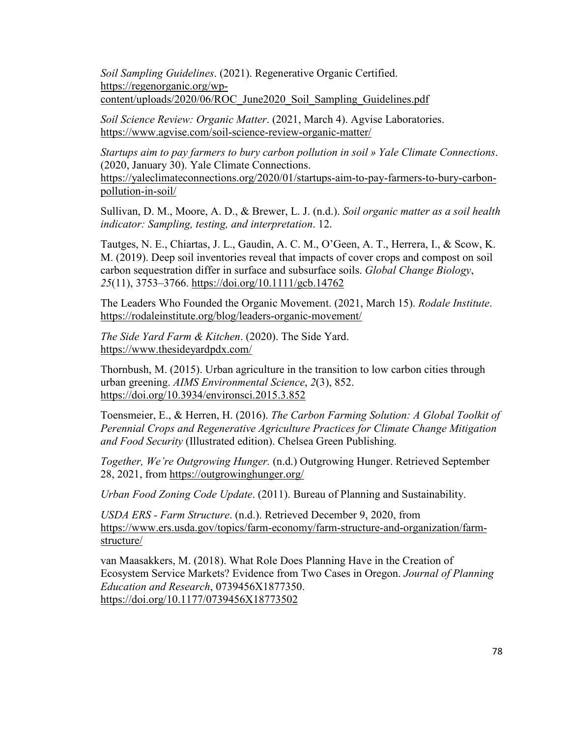*Soil Sampling Guidelines*. (2021). Regenerative Organic Certified. https://regenorganic.org/wpcontent/uploads/2020/06/ROC\_June2020\_Soil\_Sampling\_Guidelines.pdf

*Soil Science Review: Organic Matter*. (2021, March 4). Agvise Laboratories. https://www.agvise.com/soil-science-review-organic-matter/

*Startups aim to pay farmers to bury carbon pollution in soil » Yale Climate Connections*. (2020, January 30). Yale Climate Connections. https://yaleclimateconnections.org/2020/01/startups-aim-to-pay-farmers-to-bury-carbonpollution-in-soil/

Sullivan, D. M., Moore, A. D., & Brewer, L. J. (n.d.). *Soil organic matter as a soil health indicator: Sampling, testing, and interpretation*. 12.

Tautges, N. E., Chiartas, J. L., Gaudin, A. C. M., O'Geen, A. T., Herrera, I., & Scow, K. M. (2019). Deep soil inventories reveal that impacts of cover crops and compost on soil carbon sequestration differ in surface and subsurface soils. *Global Change Biology*, *25*(11), 3753–3766. https://doi.org/10.1111/gcb.14762

The Leaders Who Founded the Organic Movement. (2021, March 15). *Rodale Institute*. https://rodaleinstitute.org/blog/leaders-organic-movement/

*The Side Yard Farm & Kitchen*. (2020). The Side Yard. https://www.thesideyardpdx.com/

Thornbush, M. (2015). Urban agriculture in the transition to low carbon cities through urban greening. *AIMS Environmental Science*, *2*(3), 852. https://doi.org/10.3934/environsci.2015.3.852

Toensmeier, E., & Herren, H. (2016). *The Carbon Farming Solution: A Global Toolkit of Perennial Crops and Regenerative Agriculture Practices for Climate Change Mitigation and Food Security* (Illustrated edition). Chelsea Green Publishing.

*Together, We're Outgrowing Hunger.* (n.d.) Outgrowing Hunger. Retrieved September 28, 2021, from https://outgrowinghunger.org/

*Urban Food Zoning Code Update*. (2011). Bureau of Planning and Sustainability.

*USDA ERS - Farm Structure*. (n.d.). Retrieved December 9, 2020, from https://www.ers.usda.gov/topics/farm-economy/farm-structure-and-organization/farmstructure/

van Maasakkers, M. (2018). What Role Does Planning Have in the Creation of Ecosystem Service Markets? Evidence from Two Cases in Oregon. *Journal of Planning Education and Research*, 0739456X1877350. https://doi.org/10.1177/0739456X18773502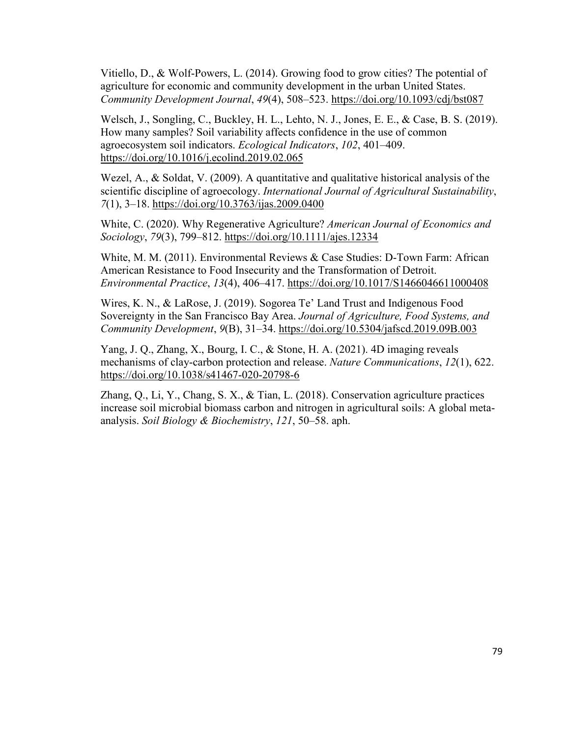Vitiello, D., & Wolf-Powers, L. (2014). Growing food to grow cities? The potential of agriculture for economic and community development in the urban United States. *Community Development Journal*, *49*(4), 508–523. https://doi.org/10.1093/cdj/bst087

Welsch, J., Songling, C., Buckley, H. L., Lehto, N. J., Jones, E. E., & Case, B. S. (2019). How many samples? Soil variability affects confidence in the use of common agroecosystem soil indicators. *Ecological Indicators*, *102*, 401–409. https://doi.org/10.1016/j.ecolind.2019.02.065

Wezel, A., & Soldat, V. (2009). A quantitative and qualitative historical analysis of the scientific discipline of agroecology. *International Journal of Agricultural Sustainability*, *7*(1), 3–18. https://doi.org/10.3763/ijas.2009.0400

White, C. (2020). Why Regenerative Agriculture? *American Journal of Economics and Sociology*, *79*(3), 799–812. https://doi.org/10.1111/ajes.12334

White, M. M. (2011). Environmental Reviews & Case Studies: D-Town Farm: African American Resistance to Food Insecurity and the Transformation of Detroit. *Environmental Practice*, *13*(4), 406–417. https://doi.org/10.1017/S1466046611000408

Wires, K. N., & LaRose, J. (2019). Sogorea Te' Land Trust and Indigenous Food Sovereignty in the San Francisco Bay Area. *Journal of Agriculture, Food Systems, and Community Development*, *9*(B), 31–34. https://doi.org/10.5304/jafscd.2019.09B.003

Yang, J. Q., Zhang, X., Bourg, I. C., & Stone, H. A. (2021). 4D imaging reveals mechanisms of clay-carbon protection and release. *Nature Communications*, *12*(1), 622. https://doi.org/10.1038/s41467-020-20798-6

Zhang, O., Li, Y., Chang, S. X., & Tian, L. (2018). Conservation agriculture practices increase soil microbial biomass carbon and nitrogen in agricultural soils: A global metaanalysis. *Soil Biology & Biochemistry*, *121*, 50–58. aph.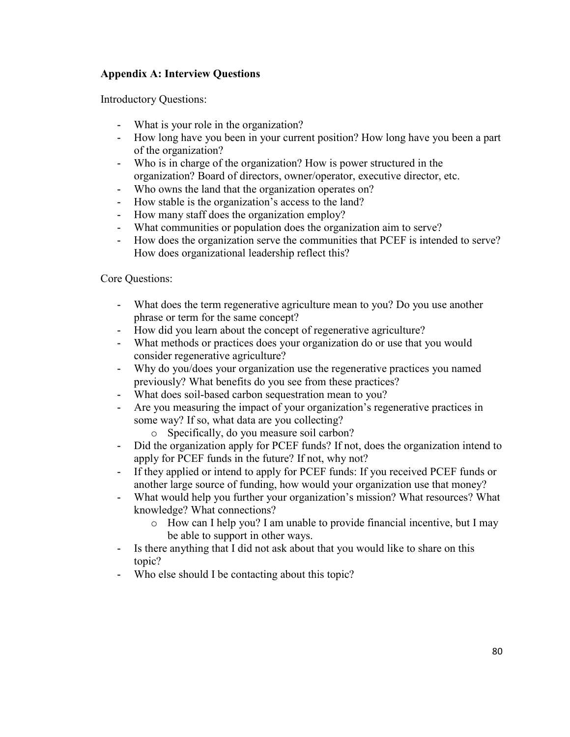# **Appendix A: Interview Questions**

Introductory Questions:

- What is your role in the organization?
- How long have you been in your current position? How long have you been a part of the organization?
- Who is in charge of the organization? How is power structured in the organization? Board of directors, owner/operator, executive director, etc.
- Who owns the land that the organization operates on?<br>- How stable is the organization's access to the land?
- How stable is the organization's access to the land?
- How many staff does the organization employ?
- What communities or population does the organization aim to serve?
- How does the organization serve the communities that PCEF is intended to serve? How does organizational leadership reflect this?

Core Questions:

- What does the term regenerative agriculture mean to you? Do you use another phrase or term for the same concept?
- How did you learn about the concept of regenerative agriculture?
- What methods or practices does your organization do or use that you would consider regenerative agriculture?
- Why do you/does your organization use the regenerative practices you named previously? What benefits do you see from these practices?
- What does soil-based carbon sequestration mean to you?
- Are you measuring the impact of your organization's regenerative practices in some way? If so, what data are you collecting?
	- o Specifically, do you measure soil carbon?
- Did the organization apply for PCEF funds? If not, does the organization intend to apply for PCEF funds in the future? If not, why not?
- If they applied or intend to apply for PCEF funds: If you received PCEF funds or another large source of funding, how would your organization use that money?
- What would help you further your organization's mission? What resources? What knowledge? What connections?
	- o How can I help you? I am unable to provide financial incentive, but I may be able to support in other ways.
- Is there anything that I did not ask about that you would like to share on this topic?
- Who else should I be contacting about this topic?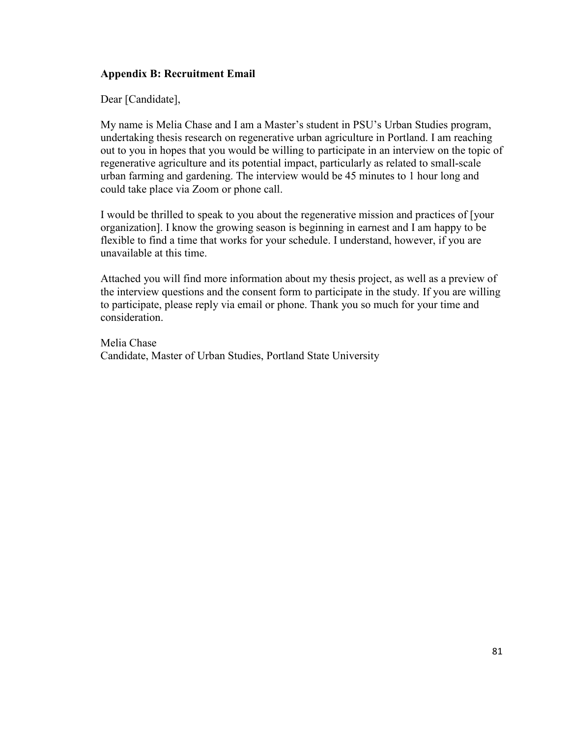## **Appendix B: Recruitment Email**

Dear [Candidate],

My name is Melia Chase and I am a Master's student in PSU's Urban Studies program, undertaking thesis research on regenerative urban agriculture in Portland. I am reaching out to you in hopes that you would be willing to participate in an interview on the topic of regenerative agriculture and its potential impact, particularly as related to small-scale urban farming and gardening. The interview would be 45 minutes to 1 hour long and could take place via Zoom or phone call.

I would be thrilled to speak to you about the regenerative mission and practices of [your organization]. I know the growing season is beginning in earnest and I am happy to be flexible to find a time that works for your schedule. I understand, however, if you are unavailable at this time.

Attached you will find more information about my thesis project, as well as a preview of the interview questions and the consent form to participate in the study. If you are willing to participate, please reply via email or phone. Thank you so much for your time and consideration.

Melia Chase Candidate, Master of Urban Studies, Portland State University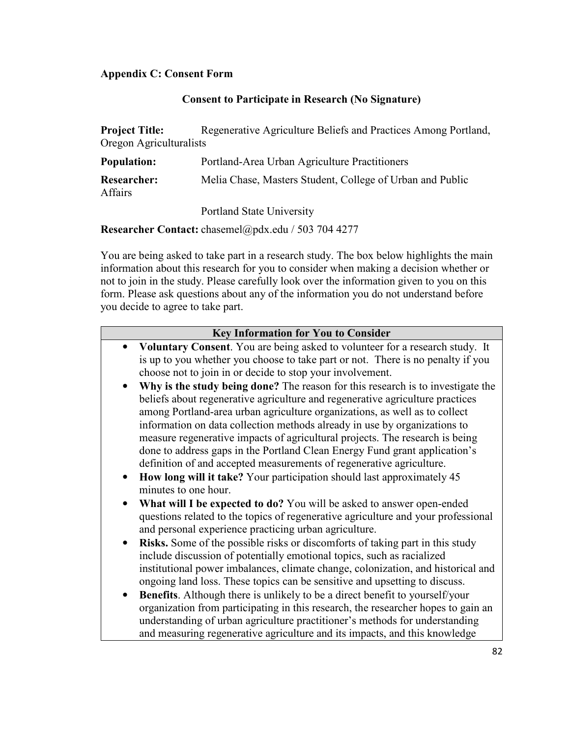# **Appendix C: Consent Form**

## **Consent to Participate in Research (No Signature)**

| <b>Project Title:</b>   | Regenerative Agriculture Beliefs and Practices Among Portland, |  |  |  |  |
|-------------------------|----------------------------------------------------------------|--|--|--|--|
| Oregon Agriculturalists |                                                                |  |  |  |  |
| <b>Population:</b>      | Portland-Area Urban Agriculture Practitioners                  |  |  |  |  |

| <b>Researcher:</b> | Melia Chase, Masters Student, College of Urban and Public |  |  |  |
|--------------------|-----------------------------------------------------------|--|--|--|
| <b>Affairs</b>     |                                                           |  |  |  |

Portland State University

**Researcher Contact:** chasemel@pdx.edu / 503 704 4277

You are being asked to take part in a research study. The box below highlights the main information about this research for you to consider when making a decision whether or not to join in the study. Please carefully look over the information given to you on this form. Please ask questions about any of the information you do not understand before you decide to agree to take part.

| <b>Key Information for You to Consider</b>                                                                                                                     |  |  |  |  |
|----------------------------------------------------------------------------------------------------------------------------------------------------------------|--|--|--|--|
| Voluntary Consent. You are being asked to volunteer for a research study. It                                                                                   |  |  |  |  |
| is up to you whether you choose to take part or not. There is no penalty if you                                                                                |  |  |  |  |
| choose not to join in or decide to stop your involvement.                                                                                                      |  |  |  |  |
| Why is the study being done? The reason for this research is to investigate the                                                                                |  |  |  |  |
| beliefs about regenerative agriculture and regenerative agriculture practices                                                                                  |  |  |  |  |
| among Portland-area urban agriculture organizations, as well as to collect                                                                                     |  |  |  |  |
| information on data collection methods already in use by organizations to                                                                                      |  |  |  |  |
| measure regenerative impacts of agricultural projects. The research is being                                                                                   |  |  |  |  |
| done to address gaps in the Portland Clean Energy Fund grant application's                                                                                     |  |  |  |  |
| definition of and accepted measurements of regenerative agriculture.                                                                                           |  |  |  |  |
| How long will it take? Your participation should last approximately 45<br>minutes to one hour.                                                                 |  |  |  |  |
| What will I be expected to do? You will be asked to answer open-ended                                                                                          |  |  |  |  |
| questions related to the topics of regenerative agriculture and your professional<br>and personal experience practicing urban agriculture.                     |  |  |  |  |
| Risks. Some of the possible risks or discomforts of taking part in this study                                                                                  |  |  |  |  |
| include discussion of potentially emotional topics, such as racialized                                                                                         |  |  |  |  |
| institutional power imbalances, climate change, colonization, and historical and<br>ongoing land loss. These topics can be sensitive and upsetting to discuss. |  |  |  |  |
| <b>Benefits.</b> Although there is unlikely to be a direct benefit to yourself/your<br>$\bullet$                                                               |  |  |  |  |
| organization from participating in this research, the researcher hopes to gain an                                                                              |  |  |  |  |
| understanding of urban agriculture practitioner's methods for understanding                                                                                    |  |  |  |  |
| and measuring regenerative agriculture and its impacts, and this knowledge                                                                                     |  |  |  |  |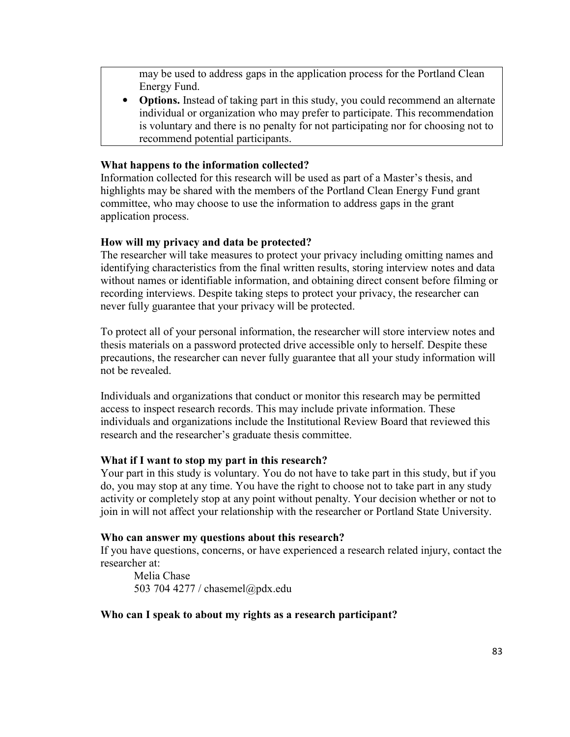may be used to address gaps in the application process for the Portland Clean Energy Fund.

• **Options.** Instead of taking part in this study, you could recommend an alternate individual or organization who may prefer to participate. This recommendation is voluntary and there is no penalty for not participating nor for choosing not to recommend potential participants.

## **What happens to the information collected?**

Information collected for this research will be used as part of a Master's thesis, and highlights may be shared with the members of the Portland Clean Energy Fund grant committee, who may choose to use the information to address gaps in the grant application process.

## **How will my privacy and data be protected?**

The researcher will take measures to protect your privacy including omitting names and identifying characteristics from the final written results, storing interview notes and data without names or identifiable information, and obtaining direct consent before filming or recording interviews. Despite taking steps to protect your privacy, the researcher can never fully guarantee that your privacy will be protected.

To protect all of your personal information, the researcher will store interview notes and thesis materials on a password protected drive accessible only to herself. Despite these precautions, the researcher can never fully guarantee that all your study information will not be revealed.

Individuals and organizations that conduct or monitor this research may be permitted access to inspect research records. This may include private information. These individuals and organizations include the Institutional Review Board that reviewed this research and the researcher's graduate thesis committee.

## **What if I want to stop my part in this research?**

Your part in this study is voluntary. You do not have to take part in this study, but if you do, you may stop at any time. You have the right to choose not to take part in any study activity or completely stop at any point without penalty. Your decision whether or not to join in will not affect your relationship with the researcher or Portland State University.

## **Who can answer my questions about this research?**

If you have questions, concerns, or have experienced a research related injury, contact the researcher at:

Melia Chase 503 704 4277 / chasemel@pdx.edu

## **Who can I speak to about my rights as a research participant?**